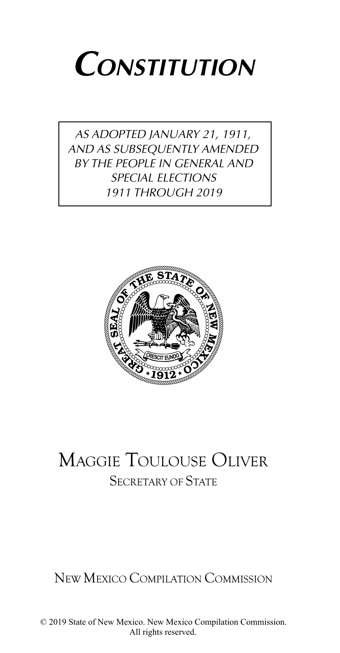

*AS ADOPTED JANUARY 21, 1911, AND AS SUBSEQUENTLY AMENDED BY THE PEOPLE IN GENERAL AND SPECIAL ELECTIONS 1911 THROUGH 2019*



# MAGGIE TOULOUSE OLIVER SECRETARY OF STATE

# NEW MEXICO COMPILATION COMMISSION

© 2019 State of New Mexico. New Mexico Compilation Commission. All rights reserved.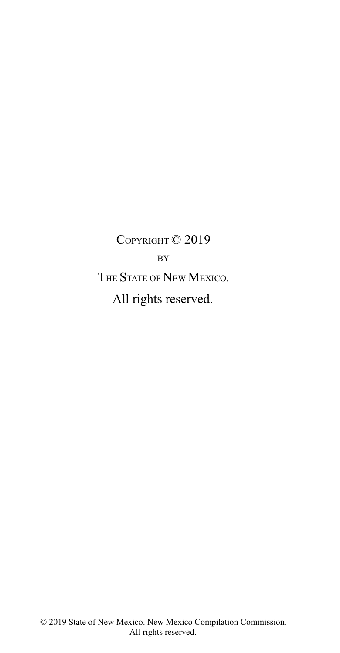COPYRIGHT © 2019 BY THE STATE OF NEW MEXICO. All rights reserved.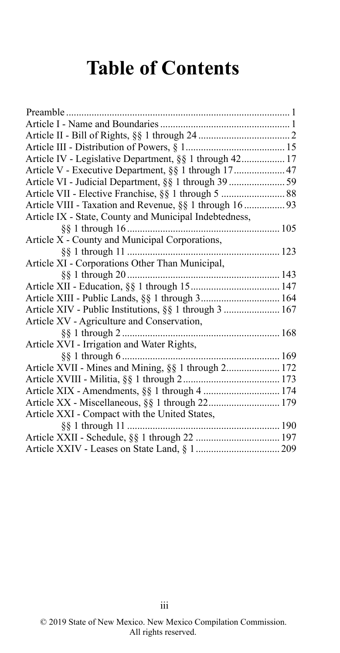# **Table of Contents**

| Preamble                                                |  |
|---------------------------------------------------------|--|
|                                                         |  |
|                                                         |  |
|                                                         |  |
| Article IV - Legislative Department, §§ 1 through 42 17 |  |
|                                                         |  |
|                                                         |  |
|                                                         |  |
|                                                         |  |
| Article IX - State, County and Municipal Indebtedness,  |  |
|                                                         |  |
| Article X - County and Municipal Corporations,          |  |
|                                                         |  |
| Article XI - Corporations Other Than Municipal,         |  |
|                                                         |  |
|                                                         |  |
|                                                         |  |
|                                                         |  |
| Article XV - Agriculture and Conservation,              |  |
|                                                         |  |
| Article XVI - Irrigation and Water Rights,              |  |
| $\S\S 1$ through 6                                      |  |
| Article XVII - Mines and Mining, §§ 1 through 2 172     |  |
|                                                         |  |
|                                                         |  |
|                                                         |  |
| Article XXI - Compact with the United States,           |  |
| \$\$ 1 through 11                                       |  |
|                                                         |  |
|                                                         |  |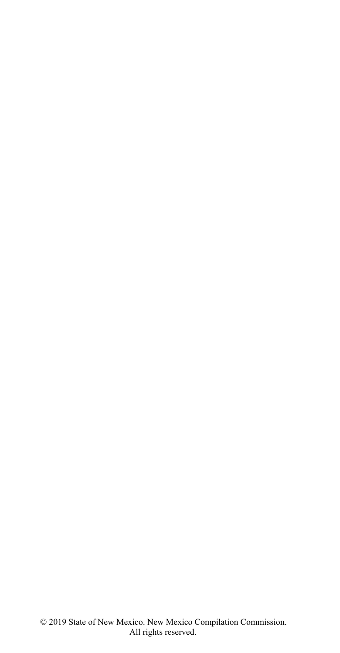© 2019 State of New Mexico. New Mexico Compilation Commission. All rights reserved.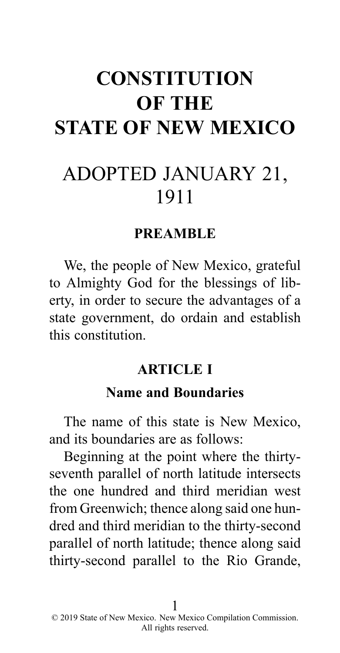# **CONSTITUTION OF THE STATE OF NEW MEXICO**

# ADOPTED JANUARY 21, 1911

#### **PREAMBLE**

We, the people of New Mexico, grateful to Almighty God for the blessings of liberty, in order to secure the advantages of <sup>a</sup> state government, do ordain and establish this constitution.

#### **ARTICLE I**

### **Name and Boundaries**

The name of this state is New Mexico, and its boundaries are as follows:

Beginning at the point where the thirtyseventh parallel of north latitude intersects the one hundred and third meridian west from Greenwich; thence along said one hundred and third meridian to the thirty-second parallel of north latitude; thence along said thirty-second parallel to the Rio Grande,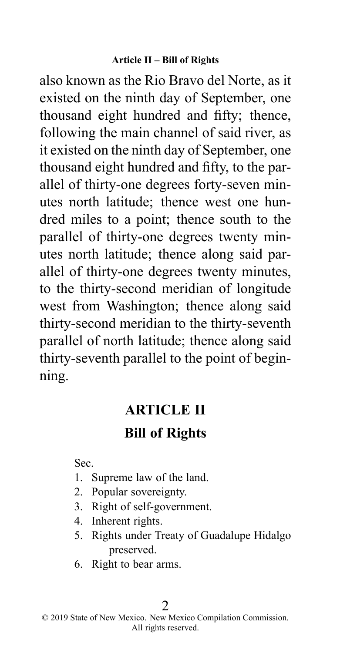also known as the Rio Bravo del Norte, as it existed on the ninth day of September, one thousand eight hundred and fifty; thence, following the main channel of said river, as it existed on the ninth day of September, one thousand eight hundred and fifty, to the parallel of thirty-one degrees forty-seven minutes north latitude; thence west one hundred miles to <sup>a</sup> point; thence south to the parallel of thirty-one degrees twenty minutes north latitude; thence along said parallel of thirty-one degrees twenty minutes, to the thirty-second meridian of longitude west from Washington; thence along said thirty-second meridian to the thirty-seventh parallel of north latitude; thence along said thirty-seventh parallel to the point of beginning.

# **ARTICLE II Bill of Rights**

#### Sec.

- 1. Supreme law of the land.
- 2. Popular sovereignty.
- 3. Right of self-government.
- 4. Inherent rights.
- 5. Rights under Treaty of Guadalupe Hidalgo preserved.
- 6. Right to bear arms.

2

© 2019 State of New Mexico. New Mexico Compilation Commission. All rights reserved.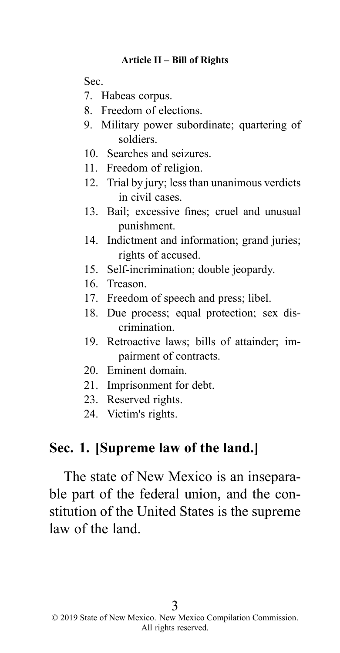#### Sec.

- 7. Habeas corpus.
- 8. Freedom of elections.
- 9. Military power subordinate; quartering of soldiers.
- 10. Searches and seizures.
- 11. Freedom of religion.
- 12. Trial by jury; less than unanimous verdicts in civil cases.
- 13. Bail; excessive fines; cruel and unusual punishment.
- 14. Indictment and information; grand juries; rights of accused.
- 15. Self-incrimination; double jeopardy.
- 16. Treason.
- 17. Freedom of speech and press; libel.
- 18. Due process; equal protection; sex discrimination.
- 19. Retroactive laws; bills of attainder; impairment of contracts.
- 20. Eminent domain.
- 21. Imprisonment for debt.
- 23. Reserved rights.
- 24. Victim's rights.

### **Sec. 1. [Supreme law of the land.]**

The state of New Mexico is an inseparable par<sup>t</sup> of the federal union, and the constitution of the United States is the supreme law of the land.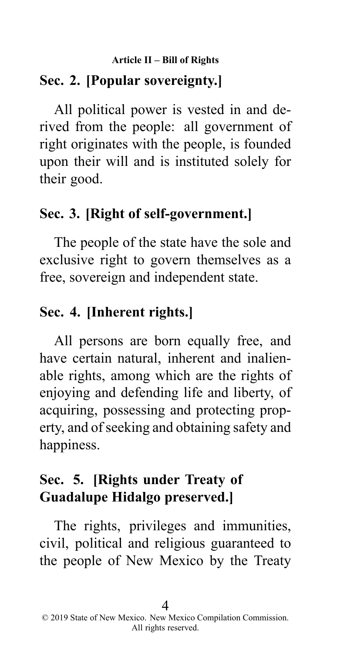### **Sec. 2. [Popular sovereignty.]**

All political power is vested in and derived from the people: all governmen<sup>t</sup> of right originates with the people, is founded upon their will and is instituted solely for their good.

# **Sec. 3. [Right of self-government.]**

The people of the state have the sole and exclusive right to govern themselves as <sup>a</sup> free, sovereign and independent state.

## **Sec. 4. [Inherent rights.]**

All persons are born equally free, and have certain natural, inherent and inalienable rights, among which are the rights of enjoying and defending life and liberty, of acquiring, possessing and protecting property, and ofseeking and obtaining safety and happiness.

# **Sec. 5. [Rights under Treaty of Guadalupe Hidalgo preserved.]**

The rights, privileges and immunities, civil, political and religious guaranteed to the people of New Mexico by the Treaty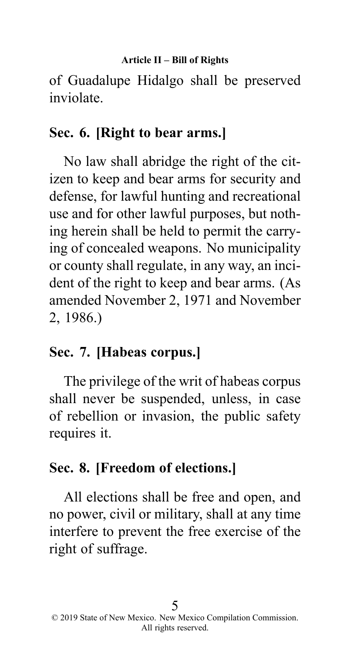of Guadalupe Hidalgo shall be preserved inviolate.

### **Sec. 6. [Right to bear arms.]**

No law shall abridge the right of the citizen to keep and bear arms for security and defense, for lawful hunting and recreational use and for other lawful purposes, but nothing herein shall be held to permit the carrying of concealed weapons. No municipality or county shall regulate, in any way, an incident of the right to keep and bear arms. (As amended November 2, 1971 and November 2, 1986.)

### **Sec. 7. [Habeas corpus.]**

The privilege of the writ of habeas corpus shall never be suspended, unless, in case of rebellion or invasion, the public safety requires it.

### **Sec. 8. [Freedom of elections.]**

All elections shall be free and open, and no power, civil or military, shall at any time interfere to preven<sup>t</sup> the free exercise of the right of suffrage.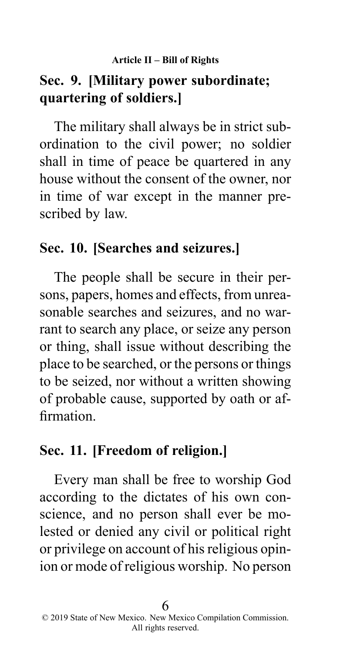# **Sec. 9. [Military power subordinate; quartering of soldiers.]**

The military shall always be in strict subordination to the civil power; no soldier shall in time of peace be quartered in any house without the consent of the owner, nor in time of war excep<sup>t</sup> in the manner prescribed by law.

### **Sec. 10. [Searches and seizures.]**

The people shall be secure in their persons, papers, homes and effects, from unreasonable searches and seizures, and no warrant to search any place, or seize any person or thing, shall issue without describing the place to be searched, or the persons or things to be seized, nor without <sup>a</sup> written showing of probable cause, supported by oath or affirmation.

### **Sec. 11. [Freedom of religion.]**

Every man shall be free to worship God according to the dictates of his own conscience, and no person shall ever be molested or denied any civil or political right or privilege on account of hisreligious opinion or mode of religious worship. No person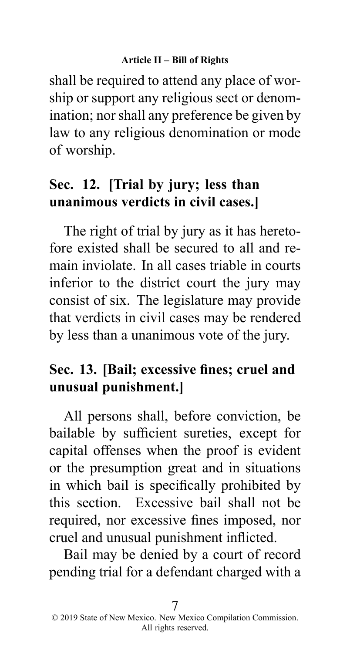shall be required to attend any place of worship or suppor<sup>t</sup> any religious sect or denomination; norshall any preference be given by law to any religious denomination or mode of worship.

# **Sec. 12. [Trial by jury; less than unanimous verdicts in civil cases.]**

The right of trial by jury as it has heretofore existed shall be secured to all and remain inviolate. In all cases triable in courts inferior to the district court the jury may consist of six. The legislature may provide that verdicts in civil cases may be rendered by less than <sup>a</sup> unanimous vote of the jury.

# **Sec. 13. [Bail; excessive fines; cruel and unusual punishment.]**

All persons shall, before conviction, be bailable by sufficient sureties, excep<sup>t</sup> for capital offenses when the proof is evident or the presumption grea<sup>t</sup> and in situations in which bail is specifically prohibited by this section. Excessive bail shall not be required, nor excessive fines imposed, nor cruel and unusual punishment inflicted.

Bail may be denied by <sup>a</sup> court of record pending trial for <sup>a</sup> defendant charged with <sup>a</sup>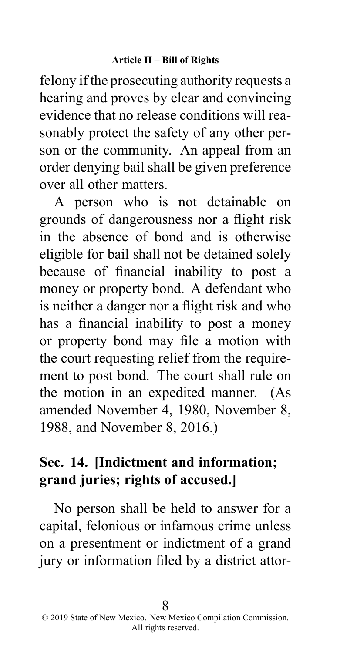felony if the prosecuting authority requests <sup>a</sup> hearing and proves by clear and convincing evidence that no release conditions will reasonably protect the safety of any other person or the community. An appeal from an order denying bail shall be given preference over all other matters.

A person who is not detainable on grounds of dangerousness nor <sup>a</sup> flight risk in the absence of bond and is otherwise eligible for bail shall not be detained solely because of financial inability to pos<sup>t</sup> <sup>a</sup> money or property bond. A defendant who is neither <sup>a</sup> danger nor <sup>a</sup> flight risk and who has <sup>a</sup> financial inability to pos<sup>t</sup> <sup>a</sup> money or property bond may file <sup>a</sup> motion with the court requesting relief from the requirement to pos<sup>t</sup> bond. The court shall rule on the motion in an expedited manner. (As amended November 4, 1980, November 8, 1988, and November 8, 2016.)

# **Sec. 14. [Indictment and information; grand juries; rights of accused.]**

No person shall be held to answer for <sup>a</sup> capital, felonious or infamous crime unless on <sup>a</sup> presentment or indictment of <sup>a</sup> grand jury or information filed by <sup>a</sup> district attor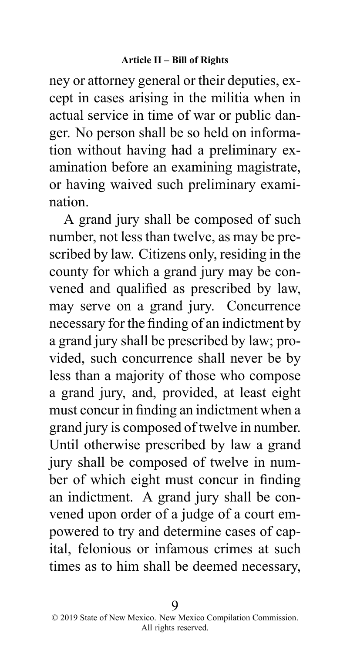ney or attorney general or their deputies, excep<sup>t</sup> in cases arising in the militia when in actual service in time of war or public danger. No person shall be so held on information without having had <sup>a</sup> preliminary examination before an examining magistrate, or having waived such preliminary examination.

A grand jury shall be composed of such number, not less than twelve, as may be prescribed by law. Citizens only, residing in the county for which <sup>a</sup> grand jury may be convened and qualified as prescribed by law, may serve on <sup>a</sup> grand jury. Concurrence necessary for the finding of an indictment by <sup>a</sup> grand jury shall be prescribed by law; provided, such concurrence shall never be by less than <sup>a</sup> majority of those who compose <sup>a</sup> grand jury, and, provided, at least eight must concur in finding an indictment when <sup>a</sup> grand jury is composed of twelve in number. Until otherwise prescribed by law <sup>a</sup> grand jury shall be composed of twelve in number of which eight must concur in finding an indictment. A grand jury shall be convened upon order of <sup>a</sup> judge of <sup>a</sup> court empowered to try and determine cases of capital, felonious or infamous crimes at such times as to him shall be deemed necessary,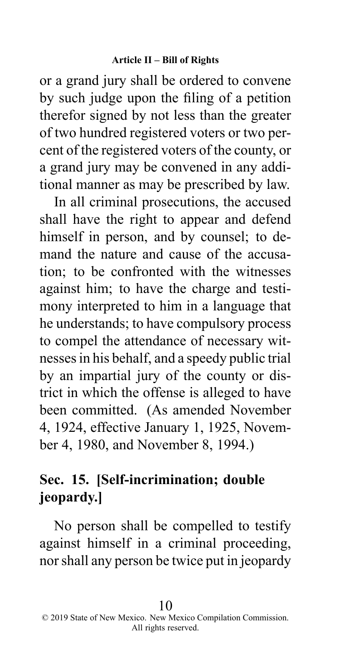or <sup>a</sup> grand jury shall be ordered to convene by such judge upon the filing of <sup>a</sup> petition therefor signed by not less than the greater of two hundred registered voters or two percent of the registered voters of the county, or <sup>a</sup> grand jury may be convened in any additional manner as may be prescribed by law.

In all criminal prosecutions, the accused shall have the right to appear and defend himself in person, and by counsel; to demand the nature and cause of the accusation; to be confronted with the witnesses against him; to have the charge and testimony interpreted to him in <sup>a</sup> language that he understands; to have compulsory process to compel the attendance of necessary witnessesin his behalf, and <sup>a</sup> speedy public trial by an impartial jury of the county or district in which the offense is alleged to have been committed. (As amended November 4, 1924, effective January 1, 1925, November 4, 1980, and November 8, 1994.)

# **Sec. 15. [Self-incrimination; double jeopardy.]**

No person shall be compelled to testify against himself in <sup>a</sup> criminal proceeding, norshall any person be twice pu<sup>t</sup> in jeopardy

<sup>©</sup> 2019 State of New Mexico. New Mexico Compilation Commission. All rights reserved.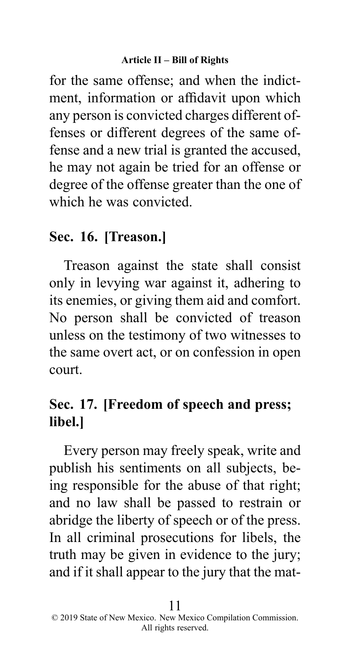for the same offense; and when the indictment, information or affidavit upon which any person is convicted charges different offenses or different degrees of the same offense and <sup>a</sup> new trial is granted the accused, he may not again be tried for an offense or degree of the offense greater than the one of which he was convicted.

# **Sec. 16. [Treason.]**

Treason against the state shall consist only in levying war against it, adhering to its enemies, or giving them aid and comfort. No person shall be convicted of treason unless on the testimony of two witnesses to the same overt act, or on confession in open court.

# **Sec. 17. [Freedom of speech and press; libel.]**

Every person may freely speak, write and publish his sentiments on all subjects, being responsible for the abuse of that right; and no law shall be passed to restrain or abridge the liberty of speech or of the press. In all criminal prosecutions for libels, the truth may be given in evidence to the jury; and if it shall appear to the jury that the mat-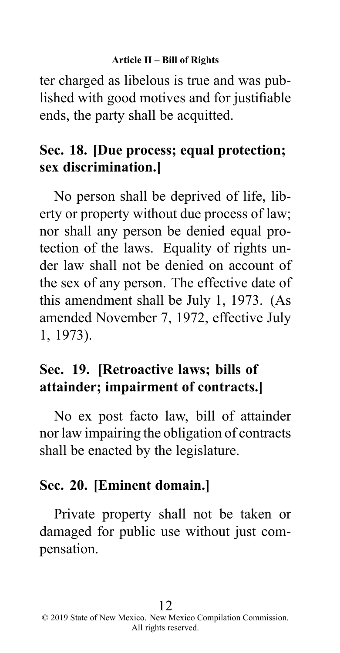ter charged as libelous is true and was published with good motives and for justifiable ends, the party shall be acquitted.

## **Sec. 18. [Due process; equal protection; sex discrimination.]**

No person shall be deprived of life, liberty or property without due process of law; nor shall any person be denied equal protection of the laws. Equality of rights under law shall not be denied on account of the sex of any person. The effective date of this amendment shall be July 1, 1973. (As amended November 7, 1972, effective July 1, 1973).

### **Sec. 19. [Retroactive laws; bills of attainder; impairment of contracts.]**

No ex pos<sup>t</sup> facto law, bill of attainder nor law impairing the obligation of contracts shall be enacted by the legislature.

### **Sec. 20. [Eminent domain.]**

Private property shall not be taken or damaged for public use without just compensation.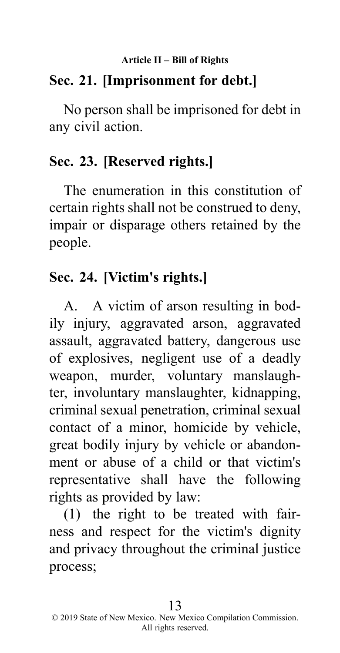### **Sec. 21. [Imprisonment for debt.]**

No person shall be imprisoned for debt in any civil action.

# **Sec. 23. [Reserved rights.]**

The enumeration in this constitution of certain rights shall not be construed to deny, impair or disparage others retained by the people.

# **Sec. 24. [Victim's rights.]**

A. A victim of arson resulting in bodily injury, aggravated arson, aggravated assault, aggravated battery, dangerous use of explosives, negligent use of <sup>a</sup> deadly weapon, murder, voluntary manslaughter, involuntary manslaughter, kidnapping, criminal sexual penetration, criminal sexual contact of <sup>a</sup> minor, homicide by vehicle, grea<sup>t</sup> bodily injury by vehicle or abandonment or abuse of <sup>a</sup> child or that victim's representative shall have the following rights as provided by law:

(1) the right to be treated with fairness and respec<sup>t</sup> for the victim's dignity and privacy throughout the criminal justice process;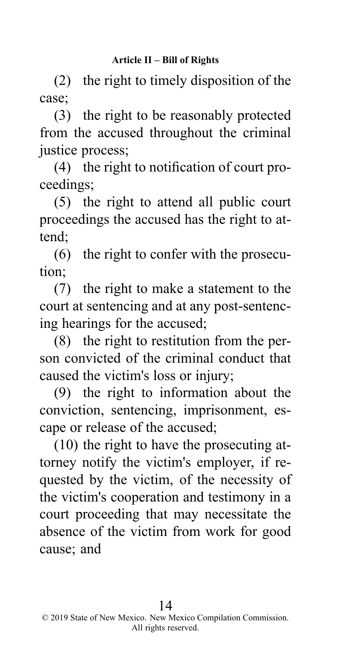(2) the right to timely disposition of the case;

(3) the right to be reasonably protected from the accused throughout the criminal justice process;

(4) the right to notification of court proceedings;

(5) the right to attend all public court proceedings the accused has the right to attend;

(6) the right to confer with the prosecution;

(7) the right to make <sup>a</sup> statement to the court at sentencing and at any post-sentencing hearings for the accused;

(8) the right to restitution from the person convicted of the criminal conduct that caused the victim's loss or injury;

(9) the right to information about the conviction, sentencing, imprisonment, escape or release of the accused;

(10) the right to have the prosecuting attorney notify the victim's employer, if requested by the victim, of the necessity of the victim's cooperation and testimony in <sup>a</sup> court proceeding that may necessitate the absence of the victim from work for good cause; and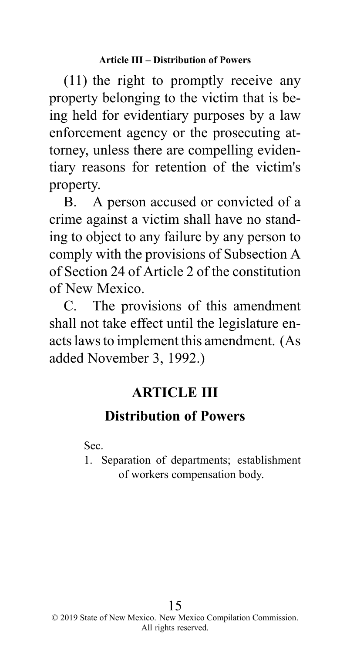(11) the right to promptly receive any property belonging to the victim that is being held for evidentiary purposes by <sup>a</sup> law enforcement agency or the prosecuting attorney, unless there are compelling evidentiary reasons for retention of the victim's property.

B. A person accused or convicted of <sup>a</sup> crime against <sup>a</sup> victim shall have no standing to object to any failure by any person to comply with the provisions of Subsection A of Section 24 of Article 2 of the constitution of New Mexico.

C. The provisions of this amendment shall not take effect until the legislature enactslawsto implement this amendment. (As added November 3, 1992.)

### **ARTICLE III**

### **Distribution of Powers**

Sec.

1. Separation of departments; establishment of workers compensation body.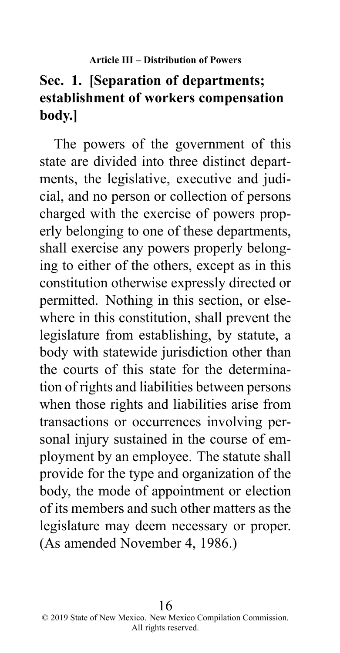# **Sec. 1. [Separation of departments; establishment of workers compensation body.]**

The powers of the governmen<sup>t</sup> of this state are divided into three distinct departments, the legislative, executive and judicial, and no person or collection of persons charged with the exercise of powers properly belonging to one of these departments, shall exercise any powers properly belonging to either of the others, excep<sup>t</sup> as in this constitution otherwise expressly directed or permitted. Nothing in this section, or elsewhere in this constitution, shall preven<sup>t</sup> the legislature from establishing, by statute, <sup>a</sup> body with statewide jurisdiction other than the courts of this state for the determination of rights and liabilities between persons when those rights and liabilities arise from transactions or occurrences involving personal injury sustained in the course of employment by an employee. The statute shall provide for the type and organization of the body, the mode of appointment or election of its members and such other matters as the legislature may deem necessary or proper. (As amended November 4, 1986.)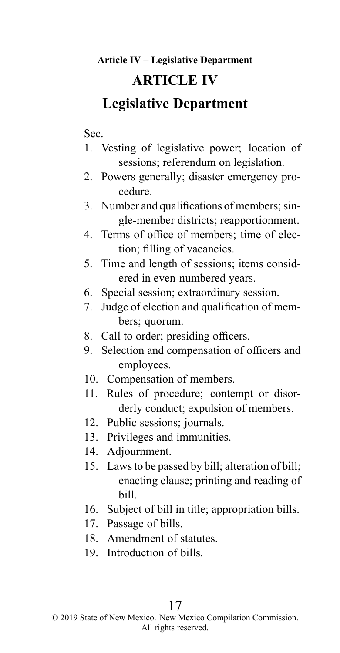#### **ARTICLE IV**

### **Legislative Department**

#### Sec.

- 1. Vesting of legislative power; location of sessions: referendum on legislation.
- 2. Powers generally; disaster emergency procedure.
- 3. Number and qualifications of members; single-member districts; reapportionment.
- 4. Terms of office of members; time of election; filling of vacancies.
- 5. Time and length of sessions; items considered in even-numbered years.
- 6. Special session; extraordinary session.
- 7. Judge of election and qualification of members; quorum.
- 8. Call to order; presiding officers.
- 9. Selection and compensation of officers and employees.
- 10. Compensation of members.
- 11. Rules of procedure; contempt or disorderly conduct; expulsion of members.
- 12. Public sessions; journals.
- 13. Privileges and immunities.
- 14. Adjournment.
- 15. Lawsto be passed by bill; alteration of bill; enacting clause; printing and reading of bill.
- 16. Subject of bill in title; appropriation bills.
- 17. Passage of bills.
- 18. Amendment of statutes.
- 19. Introduction of bills.

#### 17

© 2019 State of New Mexico. New Mexico Compilation Commission. All rights reserved.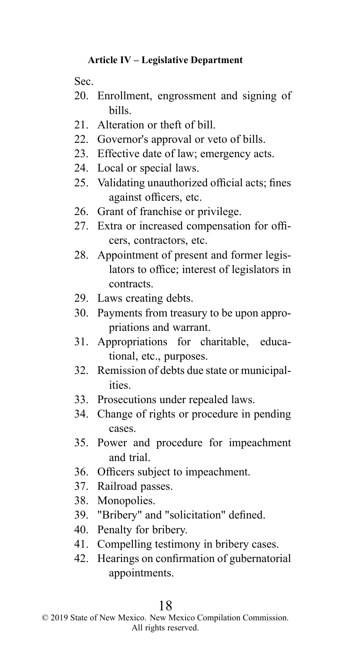#### Sec.

- 20. Enrollment, engrossmen<sup>t</sup> and signing of bills.
- 21. Alteration or theft of bill.
- 22. Governor's approval or veto of bills.
- 23. Effective date of law; emergency acts.
- 24. Local or special laws.
- 25. Validating unauthorized official acts; fines against officers, etc.
- 26. Grant of franchise or privilege.
- 27. Extra or increased compensation for officers, contractors, etc.
- 28. Appointment of presen<sup>t</sup> and former legislators to office; interest of legislators in contracts.
- 29. Laws creating debts.
- 30. Payments from treasury to be upon appropriations and warrant.
- 31. Appropriations for charitable, educational, etc., purposes.
- 32. Remission of debts due state or municipalities.
- 33. Prosecutions under repealed laws.
- 34. Change of rights or procedure in pending cases.
- 35. Power and procedure for impeachment and trial.
- 36. Officers subject to impeachment.
- 37. Railroad passes.
- 38. Monopolies.
- 39. "Bribery" and "solicitation" defined.
- 40. Penalty for bribery.
- 41. Compelling testimony in bribery cases.
- 42. Hearings on confirmation of gubernatorial appointments.

#### 18

© 2019 State of New Mexico. New Mexico Compilation Commission. All rights reserved.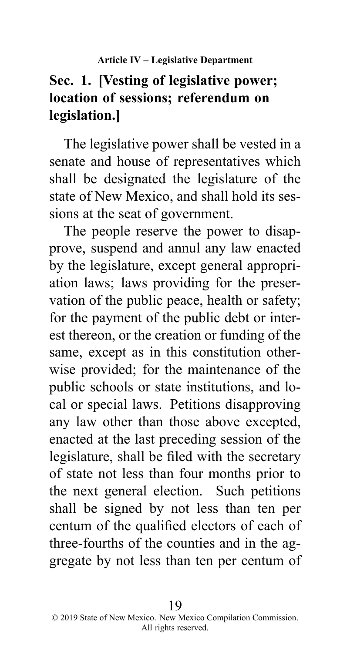# **Sec. 1. [Vesting of legislative power; location of sessions; referendum on legislation.]**

The legislative power shall be vested in <sup>a</sup> senate and house of representatives which shall be designated the legislature of the state of New Mexico, and shall hold its sessions at the seat of government.

The people reserve the power to disapprove, suspend and annul any law enacted by the legislature, excep<sup>t</sup> general appropriation laws; laws providing for the preservation of the public peace, health or safety; for the paymen<sup>t</sup> of the public debt or interest thereon, or the creation or funding of the same, excep<sup>t</sup> as in this constitution otherwise provided; for the maintenance of the public schools or state institutions, and local or special laws. Petitions disapproving any law other than those above excepted, enacted at the last preceding session of the legislature, shall be filed with the secretary of state not less than four months prior to the next general election. Such petitions shall be signed by not less than ten per centum of the qualified electors of each of three-fourths of the counties and in the aggregate by not less than ten per centum of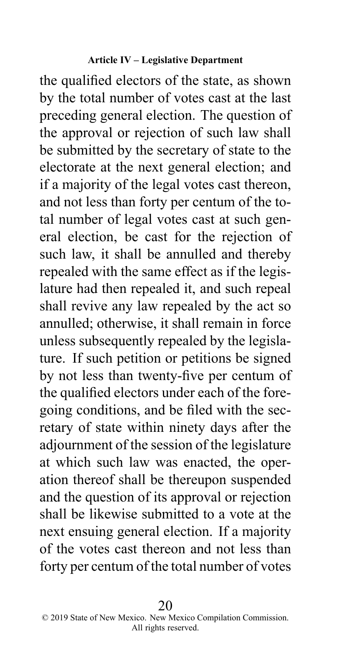the qualified electors of the state, as shown by the total number of votes cast at the last preceding general election. The question of the approval or rejection of such law shall be submitted by the secretary of state to the electorate at the next general election; and if <sup>a</sup> majority of the legal votes cast thereon, and not less than forty per centum of the total number of legal votes cast at such general election, be cast for the rejection of such law, it shall be annulled and thereby repealed with the same effect as if the legislature had then repealed it, and such repeal shall revive any law repealed by the act so annulled; otherwise, it shall remain in force unless subsequently repealed by the legislature. If such petition or petitions be signed by not less than twenty-five per centum of the qualified electors under each of the foregoing conditions, and be filed with the secretary of state within ninety days after the adjournment of the session of the legislature at which such law was enacted, the operation thereof shall be thereupon suspended and the question of its approval or rejection shall be likewise submitted to <sup>a</sup> vote at the next ensuing general election. If <sup>a</sup> majority of the votes cast thereon and not less than forty per centum of the total number of votes

<sup>©</sup> 2019 State of New Mexico. New Mexico Compilation Commission. All rights reserved.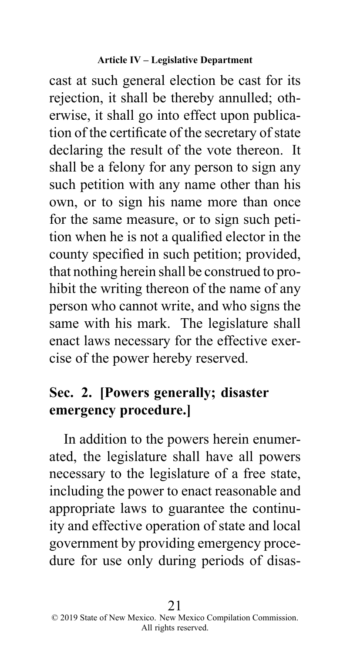cast at such general election be cast for its rejection, it shall be thereby annulled; otherwise, it shall go into effect upon publication of the certificate of the secretary of state declaring the result of the vote thereon. It shall be <sup>a</sup> felony for any person to sign any such petition with any name other than his own, or to sign his name more than once for the same measure, or to sign such petition when he is not <sup>a</sup> qualified elector in the county specified in such petition; provided, that nothing herein shall be construed to prohibit the writing thereon of the name of any person who cannot write, and who signs the same with his mark. The legislature shall enact laws necessary for the effective exercise of the power hereby reserved.

# **Sec. 2. [Powers generally; disaster emergency procedure.]**

In addition to the powers herein enumerated, the legislature shall have all powers necessary to the legislature of <sup>a</sup> free state, including the power to enact reasonable and appropriate laws to guarantee the continuity and effective operation of state and local governmen<sup>t</sup> by providing emergency procedure for use only during periods of disas-

21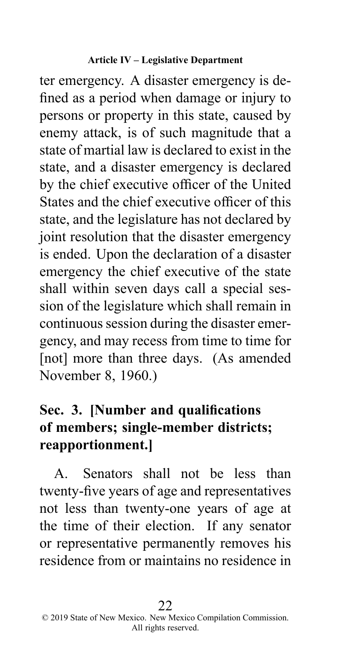ter emergency. A disaster emergency is defined as <sup>a</sup> period when damage or injury to persons or property in this state, caused by enemy attack, is of such magnitude that <sup>a</sup> state of martial law is declared to exist in the state, and <sup>a</sup> disaster emergency is declared by the chief executive officer of the United States and the chief executive officer of this state, and the legislature has not declared by joint resolution that the disaster emergency is ended. Upon the declaration of <sup>a</sup> disaster emergency the chief executive of the state shall within seven days call <sup>a</sup> special session of the legislature which shall remain in continuous session during the disaster emergency, and may recess from time to time for [not] more than three days. (As amended November 8, 1960.)

# **Sec. 3. [Number and qualifications of members; single-member districts; reapportionment.]**

A. Senators shall not be less than twenty-five years of age and representatives not less than twenty-one years of age at the time of their election. If any senator or representative permanently removes his residence from or maintains no residence in

<sup>©</sup> 2019 State of New Mexico. New Mexico Compilation Commission. All rights reserved.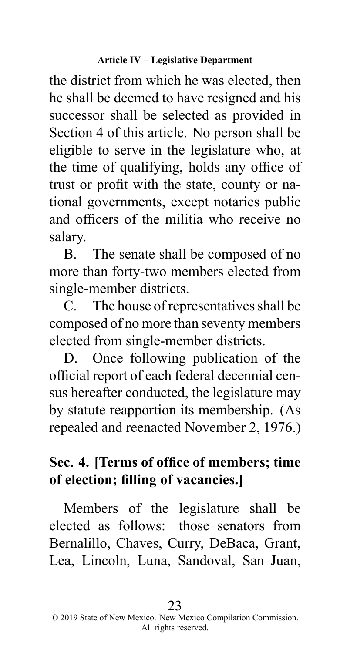the district from which he was elected, then he shall be deemed to have resigned and his successor shall be selected as provided in Section 4 of this article. No person shall be eligible to serve in the legislature who, at the time of qualifying, holds any office of trust or profit with the state, county or national governments, excep<sup>t</sup> notaries public and officers of the militia who receive no salary.

B. The senate shall be composed of no more than forty-two members elected from single-member districts.

C. The house of representatives shall be composed of no more than seventy members elected from single-member districts.

D. Once following publication of the official repor<sup>t</sup> of each federal decennial census hereafter conducted, the legislature may by statute reapportion its membership. (As repealed and reenacted November 2, 1976.)

# **Sec. 4. [Terms of office of members; time of election; filling of vacancies.]**

Members of the legislature shall be elected as follows: those senators from Bernalillo, Chaves, Curry, DeBaca, Grant, Lea, Lincoln, Luna, Sandoval, San Juan,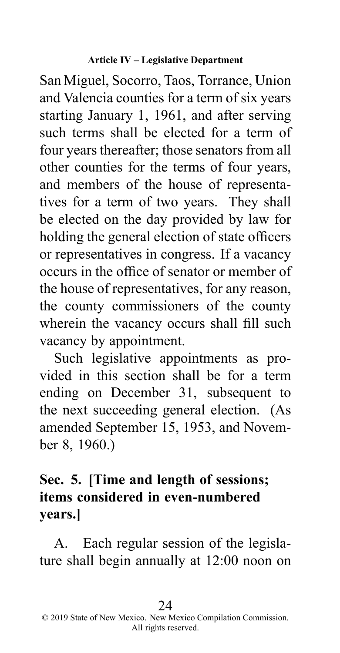San Miguel, Socorro, Taos, Torrance, Union and Valencia counties for <sup>a</sup> term of six years starting January 1, 1961, and after serving such terms shall be elected for <sup>a</sup> term of four years thereafter; those senators from all other counties for the terms of four years, and members of the house of representatives for <sup>a</sup> term of two years. They shall be elected on the day provided by law for holding the general election of state officers or representatives in congress. If <sup>a</sup> vacancy occurs in the office of senator or member of the house of representatives, for any reason, the county commissioners of the county wherein the vacancy occurs shall fill such vacancy by appointment.

Such legislative appointments as provided in this section shall be for <sup>a</sup> term ending on December 31, subsequent to the next succeeding general election. (As amended September 15, 1953, and November 8, 1960.)

# **Sec. 5. [Time and length of sessions; items considered in even-numbered years.]**

A. Each regular session of the legislature shall begin annually at 12:00 noon on

<sup>©</sup> 2019 State of New Mexico. New Mexico Compilation Commission. All rights reserved.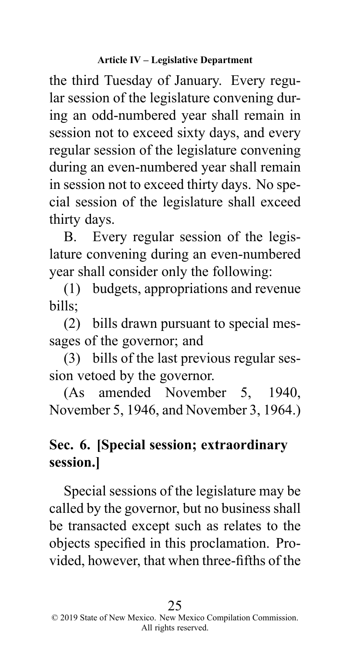the third Tuesday of January. Every regular session of the legislature convening during an odd-numbered year shall remain in session not to exceed sixty days, and every regular session of the legislature convening during an even-numbered year shall remain in session not to exceed thirty days. No special session of the legislature shall exceed thirty days.

B. Every regular session of the legislature convening during an even-numbered year shall consider only the following:

(1) budgets, appropriations and revenue bills;

(2) bills drawn pursuan<sup>t</sup> to special messages of the governor; and

(3) bills of the last previous regular session vetoed by the governor.

(As amended November 5, 1940, November 5, 1946, and November 3, 1964.)

# **Sec. 6. [Special session; extraordinary session.]**

Special sessions of the legislature may be called by the governor, but no business shall be transacted excep<sup>t</sup> such as relates to the objects specified in this proclamation. Provided, however, that when three-fifths of the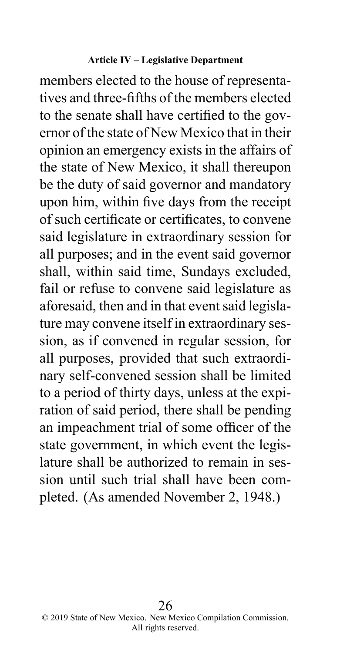members elected to the house of representatives and three-fifths of the members elected to the senate shall have certified to the governor of the state of New Mexico that in their opinion an emergency exists in the affairs of the state of New Mexico, it shall thereupon be the duty of said governor and mandatory upon him, within five days from the receipt of such certificate or certificates, to convene said legislature in extraordinary session for all purposes; and in the event said governor shall, within said time, Sundays excluded, fail or refuse to convene said legislature as aforesaid, then and in that event said legislature may convene itself in extraordinary session, as if convened in regular session, for all purposes, provided that such extraordinary self-convened session shall be limited to <sup>a</sup> period of thirty days, unless at the expiration of said period, there shall be pending an impeachment trial of some officer of the state government, in which event the legislature shall be authorized to remain in session until such trial shall have been completed. (As amended November 2, 1948.)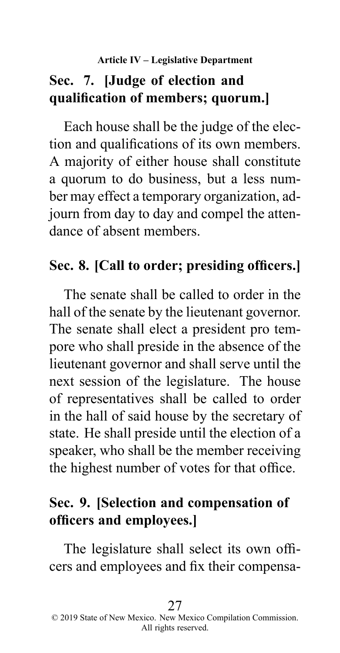## **Sec. 7. [Judge of election and qualification of members; quorum.]**

Each house shall be the judge of the election and qualifications of its own members. A majority of either house shall constitute <sup>a</sup> quorum to do business, but <sup>a</sup> less number may effect <sup>a</sup> temporary organization, adjourn from day to day and compel the attendance of absent members.

### **Sec. 8. [Call to order; presiding officers.]**

The senate shall be called to order in the hall of the senate by the lieutenant governor. The senate shall elect <sup>a</sup> president pro tempore who shall preside in the absence of the lieutenant governor and shall serve until the next session of the legislature. The house of representatives shall be called to order in the hall of said house by the secretary of state. He shall preside until the election of <sup>a</sup> speaker, who shall be the member receiving the highest number of votes for that office.

# **Sec. 9. [Selection and compensation of officers and employees.]**

The legislature shall select its own officers and employees and fix their compensa-

<sup>©</sup> 2019 State of New Mexico. New Mexico Compilation Commission. All rights reserved.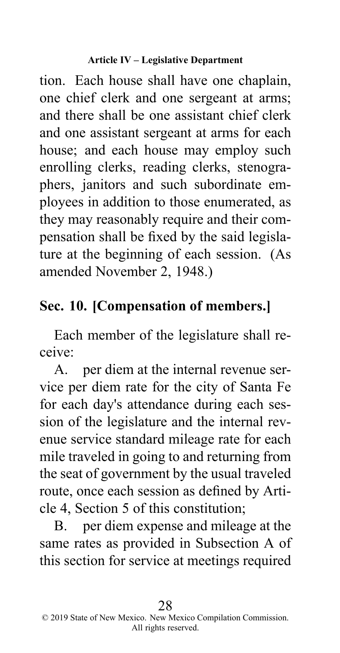tion. Each house shall have one chaplain, one chief clerk and one sergean<sup>t</sup> at arms; and there shall be one assistant chief clerk and one assistant sergean<sup>t</sup> at arms for each house; and each house may employ such enrolling clerks, reading clerks, stenographers, janitors and such subordinate employees in addition to those enumerated, as they may reasonably require and their compensation shall be fixed by the said legislature at the beginning of each session. (As amended November 2, 1948.)

# **Sec. 10. [Compensation of members.]**

Each member of the legislature shall receive:

A. per diem at the internal revenue service per diem rate for the city of Santa Fe for each day's attendance during each session of the legislature and the internal revenue service standard mileage rate for each mile traveled in going to and returning from the seat of governmen<sup>t</sup> by the usual traveled route, once each session as defined by Article 4, Section 5 of this constitution;

B. per diem expense and mileage at the same rates as provided in Subsection A of this section for service at meetings required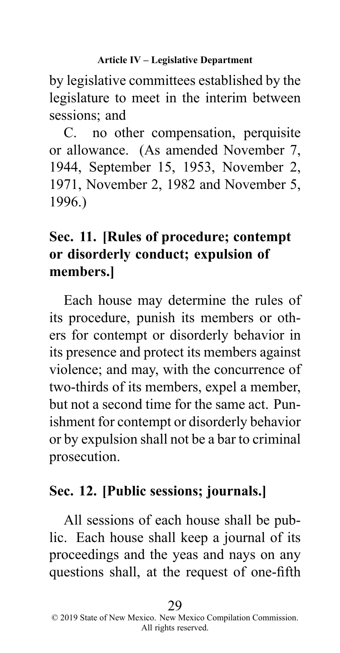by legislative committees established by the legislature to meet in the interim between sessions; and

C. no other compensation, perquisite or allowance. (As amended November 7, 1944, September 15, 1953, November 2, 1971, November 2, 1982 and November 5, 1996.)

# **Sec. 11. [Rules of procedure; contempt or disorderly conduct; expulsion of members.]**

Each house may determine the rules of its procedure, punish its members or others for contempt or disorderly behavior in its presence and protect its members against violence; and may, with the concurrence of two-thirds of its members, expel <sup>a</sup> member, but not <sup>a</sup> second time for the same act. Punishment for contempt or disorderly behavior or by expulsion shall not be <sup>a</sup> bar to criminal prosecution.

### **Sec. 12. [Public sessions; journals.]**

All sessions of each house shall be public. Each house shall keep <sup>a</sup> journal of its proceedings and the yeas and nays on any questions shall, at the reques<sup>t</sup> of one-fifth

<sup>©</sup> 2019 State of New Mexico. New Mexico Compilation Commission. All rights reserved.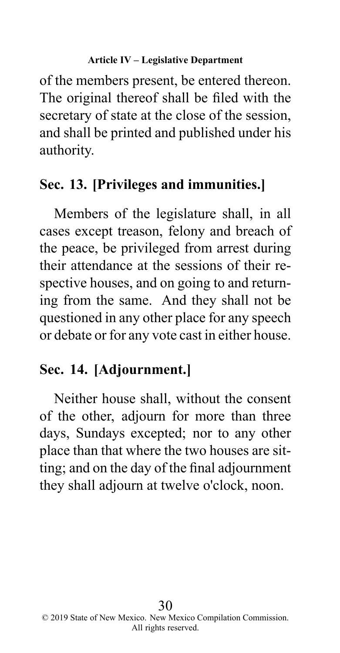of the members present, be entered thereon. The original thereof shall be filed with the secretary of state at the close of the session, and shall be printed and published under his authority.

### **Sec. 13. [Privileges and immunities.]**

Members of the legislature shall, in all cases excep<sup>t</sup> treason, felony and breach of the peace, be privileged from arrest during their attendance at the sessions of their respective houses, and on going to and returning from the same. And they shall not be questioned in any other place for any speech or debate or for any vote cast in either house.

### **Sec. 14. [Adjournment.]**

Neither house shall, without the consent of the other, adjourn for more than three days, Sundays excepted; nor to any other place than that where the two houses are sitting; and on the day of the final adjournment they shall adjourn at twelve <sup>o</sup>'clock, noon.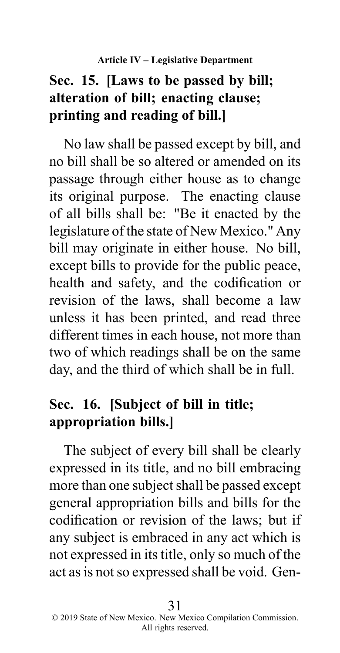# **Sec. 15. [Laws to be passed by bill; alteration of bill; enacting clause; printing and reading of bill.]**

No law shall be passed excep<sup>t</sup> by bill, and no bill shall be so altered or amended on its passage through either house as to change its original purpose. The enacting clause of all bills shall be: "Be it enacted by the legislature of the state of New Mexico." Any bill may originate in either house. No bill, excep<sup>t</sup> bills to provide for the public peace, health and safety, and the codification or revision of the laws, shall become <sup>a</sup> law unless it has been printed, and read three different times in each house, not more than two of which readings shall be on the same day, and the third of which shall be in full.

# **Sec. 16. [Subject of bill in title; appropriation bills.]**

The subject of every bill shall be clearly expressed in its title, and no bill embracing more than one subject shall be passed except general appropriation bills and bills for the codification or revision of the laws; but if any subject is embraced in any act which is not expressed in itstitle, only so much of the act as is not so expressed shall be void. Gen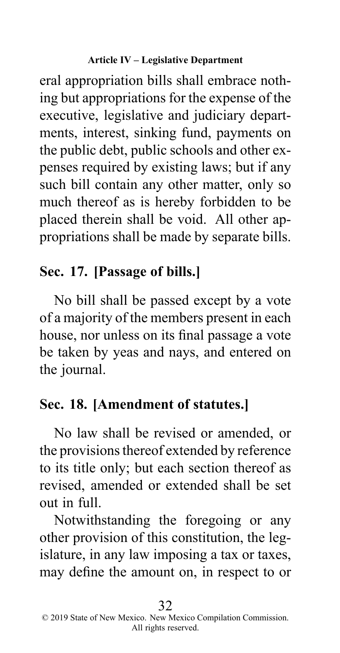eral appropriation bills shall embrace nothing but appropriations for the expense of the executive, legislative and judiciary departments, interest, sinking fund, payments on the public debt, public schools and other expenses required by existing laws; but if any such bill contain any other matter, only so much thereof as is hereby forbidden to be placed therein shall be void. All other appropriations shall be made by separate bills.

# **Sec. 17. [Passage of bills.]**

No bill shall be passed excep<sup>t</sup> by <sup>a</sup> vote of <sup>a</sup> majority of the members presen<sup>t</sup> in each house, nor unless on its final passage <sup>a</sup> vote be taken by yeas and nays, and entered on the journal.

# **Sec. 18. [Amendment of statutes.]**

No law shall be revised or amended, or the provisions thereof extended by reference to its title only; but each section thereof as revised, amended or extended shall be set out in full.

Notwithstanding the foregoing or any other provision of this constitution, the legislature, in any law imposing <sup>a</sup> tax or taxes, may define the amount on, in respec<sup>t</sup> to or

<sup>©</sup> 2019 State of New Mexico. New Mexico Compilation Commission. All rights reserved.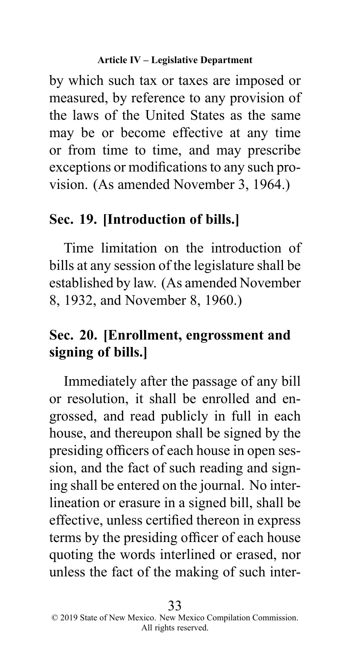by which such tax or taxes are imposed or measured, by reference to any provision of the laws of the United States as the same may be or become effective at any time or from time to time, and may prescribe exceptions or modifications to any such provision. (As amended November 3, 1964.)

### **Sec. 19. [Introduction of bills.]**

Time limitation on the introduction of bills at any session of the legislature shall be established by law. (As amended November 8, 1932, and November 8, 1960.)

# **Sec. 20. [Enrollment, engrossment and signing of bills.]**

Immediately after the passage of any bill or resolution, it shall be enrolled and engrossed, and read publicly in full in each house, and thereupon shall be signed by the presiding officers of each house in open session, and the fact of such reading and signing shall be entered on the journal. No interlineation or erasure in <sup>a</sup> signed bill, shall be effective, unless certified thereon in express terms by the presiding officer of each house quoting the words interlined or erased, nor unless the fact of the making of such inter-

<sup>©</sup> 2019 State of New Mexico. New Mexico Compilation Commission. All rights reserved.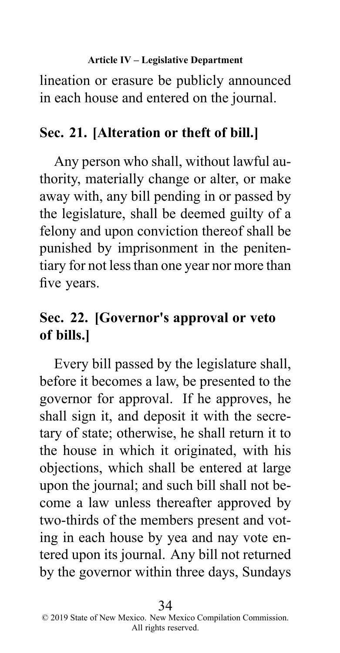#### **Article IV – Legislative Department**

lineation or erasure be publicly announced in each house and entered on the journal.

### **Sec. 21. [Alteration or theft of bill.]**

Any person who shall, without lawful authority, materially change or alter, or make away with, any bill pending in or passed by the legislature, shall be deemed guilty of <sup>a</sup> felony and upon conviction thereof shall be punished by imprisonment in the penitentiary for not less than one year nor more than five years.

### **Sec. 22. [Governor's approval or veto of bills.]**

Every bill passed by the legislature shall, before it becomes <sup>a</sup> law, be presented to the governor for approval. If he approves, he shall sign it, and deposit it with the secretary of state; otherwise, he shall return it to the house in which it originated, with his objections, which shall be entered at large upon the journal; and such bill shall not become <sup>a</sup> law unless thereafter approved by two-thirds of the members presen<sup>t</sup> and voting in each house by yea and nay vote entered upon its journal. Any bill not returned by the governor within three days, Sundays

<sup>34</sup>

<sup>©</sup> 2019 State of New Mexico. New Mexico Compilation Commission. All rights reserved.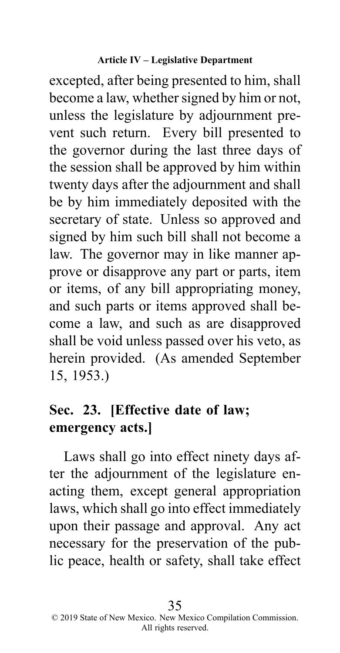excepted, after being presented to him, shall become a law, whether signed by him or not. unless the legislature by adjournment prevent such return. Every bill presented to the governor during the last three days of the session shall be approved by him within twenty days after the adjournment and shall be by him immediately deposited with the secretary of state. Unless so approved and signed by him such bill shall not become <sup>a</sup> law. The governor may in like manner approve or disapprove any par<sup>t</sup> or parts, item or items, of any bill appropriating money, and such parts or items approved shall become <sup>a</sup> law, and such as are disapproved shall be void unless passed over his veto, as herein provided. (As amended September 15, 1953.)

# **Sec. 23. [Effective date of law; emergency acts.]**

Laws shall go into effect ninety days after the adjournment of the legislature enacting them, excep<sup>t</sup> general appropriation laws, which shall go into effect immediately upon their passage and approval. Any act necessary for the preservation of the public peace, health or safety, shall take effect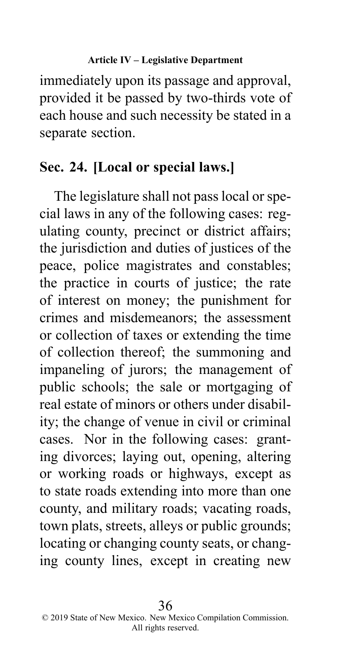#### **Article IV – Legislative Department**

immediately upon its passage and approval, provided it be passed by two-thirds vote of each house and such necessity be stated in <sup>a</sup> separate section.

### **Sec. 24. [Local or special laws.]**

The legislature shall not pass local or special laws in any of the following cases: regulating county, precinct or district affairs; the jurisdiction and duties of justices of the peace, police magistrates and constables; the practice in courts of justice; the rate of interest on money; the punishment for crimes and misdemeanors; the assessment or collection of taxes or extending the time of collection thereof; the summoning and impaneling of jurors; the managemen<sup>t</sup> of public schools; the sale or mortgaging of real estate of minors or others under disability; the change of venue in civil or criminal cases. Nor in the following cases: granting divorces; laying out, opening, altering or working roads or highways, excep<sup>t</sup> as to state roads extending into more than one county, and military roads; vacating roads, town plats, streets, alleys or public grounds; locating or changing county seats, or changing county lines, excep<sup>t</sup> in creating new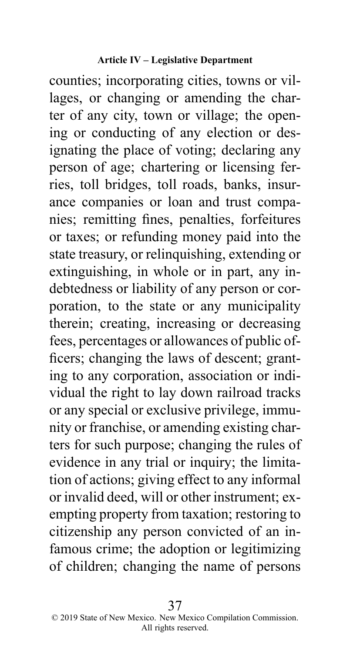counties; incorporating cities, towns or villages, or changing or amending the charter of any city, town or village; the opening or conducting of any election or designating the place of voting; declaring any person of age; chartering or licensing ferries, toll bridges, toll roads, banks, insurance companies or loan and trust companies; remitting fines, penalties, forfeitures or taxes; or refunding money paid into the state treasury, or relinquishing, extending or extinguishing, in whole or in part, any indebtedness or liability of any person or corporation, to the state or any municipality therein; creating, increasing or decreasing fees, percentages or allowances of public officers; changing the laws of descent; granting to any corporation, association or individual the right to lay down railroad tracks or any special or exclusive privilege, immunity or franchise, or amending existing charters for such purpose; changing the rules of evidence in any trial or inquiry; the limitation of actions; giving effect to any informal or invalid deed, will or other instrument; exempting property from taxation; restoring to citizenship any person convicted of an infamous crime; the adoption or legitimizing of children; changing the name of persons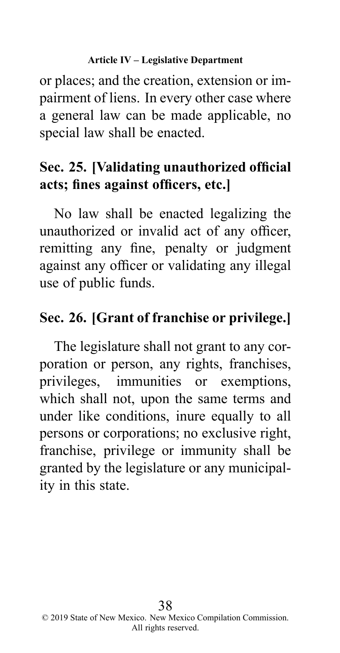### **Article IV – Legislative Department**

or places; and the creation, extension or impairment of liens. In every other case where <sup>a</sup> general law can be made applicable, no special law shall be enacted.

### **Sec. 25. [Validating unauthorized official acts; fines against officers, etc.]**

No law shall be enacted legalizing the unauthorized or invalid act of any officer, remitting any fine, penalty or judgment against any officer or validating any illegal use of public funds.

### **Sec. 26. [Grant of franchise or privilege.]**

The legislature shall not gran<sup>t</sup> to any corporation or person, any rights, franchises, privileges, immunities or exemptions, which shall not, upon the same terms and under like conditions, inure equally to all persons or corporations; no exclusive right, franchise, privilege or immunity shall be granted by the legislature or any municipality in this state.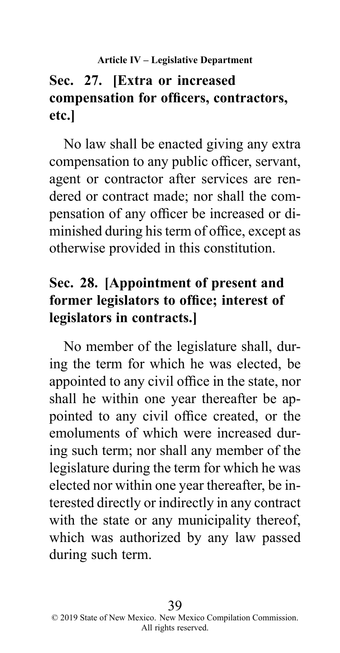## **Sec. 27. [Extra or increased compensation for officers, contractors, etc.]**

No law shall be enacted giving any extra compensation to any public officer, servant, agen<sup>t</sup> or contractor after services are rendered or contract made; nor shall the compensation of any officer be increased or diminished during histerm of office, excep<sup>t</sup> as otherwise provided in this constitution.

### **Sec. 28. [Appointment of present and former legislators to office; interest of legislators in contracts.]**

No member of the legislature shall, during the term for which he was elected, be appointed to any civil office in the state, nor shall he within one year thereafter be appointed to any civil office created, or the emoluments of which were increased during such term; nor shall any member of the legislature during the term for which he was elected nor within one year thereafter, be interested directly or indirectly in any contract with the state or any municipality thereof, which was authorized by any law passed during such term.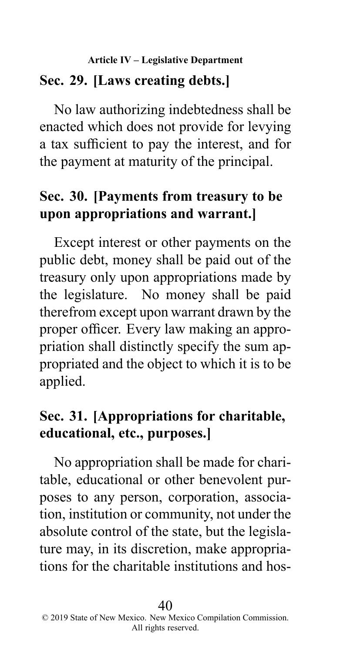### **Sec. 29. [Laws creating debts.]**

No law authorizing indebtedness shall be enacted which does not provide for levying <sup>a</sup> tax sufficient to pay the interest, and for the paymen<sup>t</sup> at maturity of the principal.

### **Sec. 30. [Payments from treasury to be upon appropriations and warrant.]**

Except interest or other payments on the public debt, money shall be paid out of the treasury only upon appropriations made by the legislature. No money shall be paid therefrom excep<sup>t</sup> upon warrant drawn by the proper officer. Every law making an appropriation shall distinctly specify the sum appropriated and the object to which it is to be applied.

# **Sec. 31. [Appropriations for charitable, educational, etc., purposes.]**

No appropriation shall be made for charitable, educational or other benevolent purposes to any person, corporation, association, institution or community, not under the absolute control of the state, but the legislature may, in its discretion, make appropriations for the charitable institutions and hos-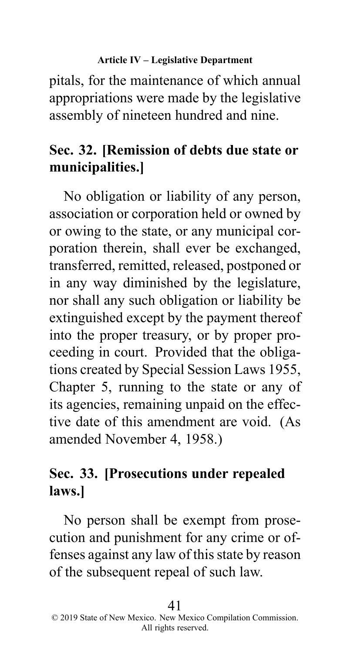#### **Article IV – Legislative Department**

pitals, for the maintenance of which annual appropriations were made by the legislative assembly of nineteen hundred and nine.

### **Sec. 32. [Remission of debts due state or municipalities.]**

No obligation or liability of any person, association or corporation held or owned by or owing to the state, or any municipal corporation therein, shall ever be exchanged, transferred, remitted, released, postponed or in any way diminished by the legislature, nor shall any such obligation or liability be extinguished excep<sup>t</sup> by the paymen<sup>t</sup> thereof into the proper treasury, or by proper proceeding in court. Provided that the obligations created by Special Session Laws 1955, Chapter 5, running to the state or any of its agencies, remaining unpaid on the effective date of this amendment are void. (As amended November 4, 1958.)

### **Sec. 33. [Prosecutions under repealed laws.]**

No person shall be exemp<sup>t</sup> from prosecution and punishment for any crime or offenses against any law of this state by reason of the subsequent repeal of such law.

<sup>©</sup> 2019 State of New Mexico. New Mexico Compilation Commission. All rights reserved.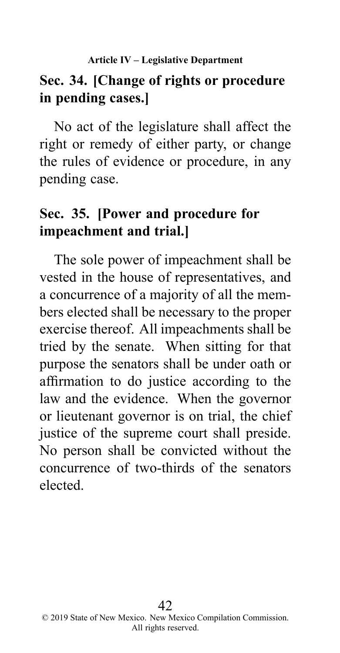### **Sec. 34. [Change of rights or procedure in pending cases.]**

No act of the legislature shall affect the right or remedy of either party, or change the rules of evidence or procedure, in any pending case.

### **Sec. 35. [Power and procedure for impeachment and trial.]**

The sole power of impeachment shall be vested in the house of representatives, and <sup>a</sup> concurrence of <sup>a</sup> majority of all the members elected shall be necessary to the proper exercise thereof. All impeachments shall be tried by the senate. When sitting for that purpose the senators shall be under oath or affirmation to do justice according to the law and the evidence. When the governor or lieutenant governor is on trial, the chief justice of the supreme court shall preside. No person shall be convicted without the concurrence of two-thirds of the senators elected.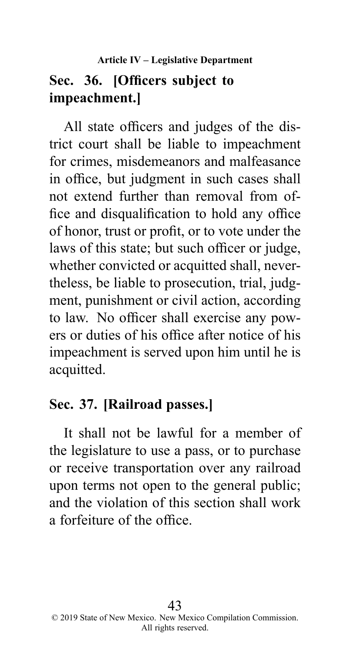### **Sec. 36. [Officers subject to impeachment.]**

All state officers and judges of the district court shall be liable to impeachment for crimes, misdemeanors and malfeasance in office, but judgment in such cases shall not extend further than removal from office and disqualification to hold any office of honor, trust or profit, or to vote under the laws of this state; but such officer or judge, whether convicted or acquitted shall, nevertheless, be liable to prosecution, trial, judgment, punishment or civil action, according to law. No officer shall exercise any powers or duties of his office after notice of his impeachment is served upon him until he is acquitted.

### **Sec. 37. [Railroad passes.]**

It shall not be lawful for <sup>a</sup> member of the legislature to use <sup>a</sup> pass, or to purchase or receive transportation over any railroad upon terms not open to the general public; and the violation of this section shall work <sup>a</sup> forfeiture of the office.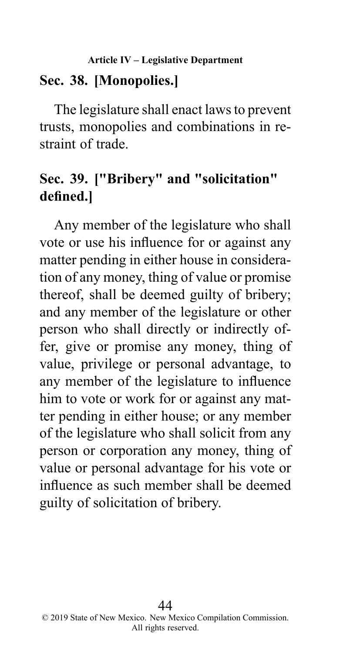### **Sec. 38. [Monopolies.]**

The legislature shall enact lawsto preven<sup>t</sup> trusts, monopolies and combinations in restraint of trade.

## **Sec. 39. ["Bribery" and "solicitation" defined.]**

Any member of the legislature who shall vote or use his influence for or against any matter pending in either house in consideration of any money, thing of value or promise thereof, shall be deemed guilty of bribery; and any member of the legislature or other person who shall directly or indirectly offer, give or promise any money, thing of value, privilege or personal advantage, to any member of the legislature to influence him to vote or work for or against any matter pending in either house; or any member of the legislature who shall solicit from any person or corporation any money, thing of value or personal advantage for his vote or influence as such member shall be deemed guilty of solicitation of bribery.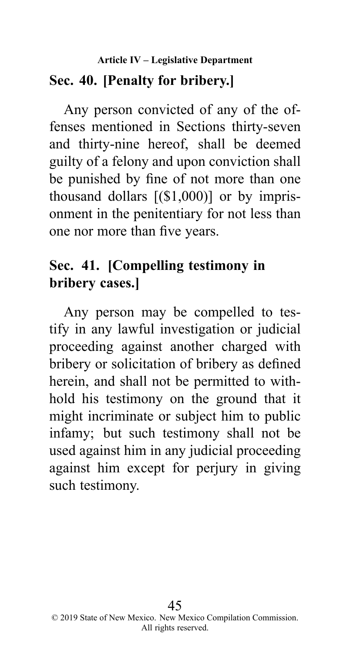### **Sec. 40. [Penalty for bribery.]**

Any person convicted of any of the offenses mentioned in Sections thirty-seven and thirty-nine hereof, shall be deemed guilty of <sup>a</sup> felony and upon conviction shall be punished by fine of not more than one thousand dollars  $[(\$1,000)]$  or by imprisonment in the penitentiary for not less than one nor more than five years.

### **Sec. 41. [Compelling testimony in bribery cases.]**

Any person may be compelled to testify in any lawful investigation or judicial proceeding against another charged with bribery or solicitation of bribery as defined herein, and shall not be permitted to withhold his testimony on the ground that it might incriminate or subject him to public infamy; but such testimony shall not be used against him in any judicial proceeding against him excep<sup>t</sup> for perjury in giving such testimony.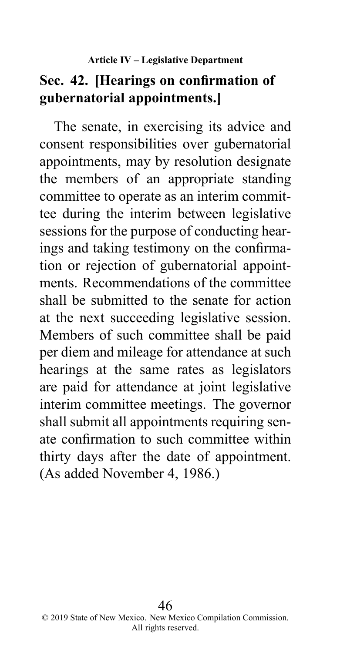### **Sec. 42. [Hearings on confirmation of gubernatorial appointments.]**

The senate, in exercising its advice and consent responsibilities over gubernatorial appointments, may by resolution designate the members of an appropriate standing committee to operate as an interim committee during the interim between legislative sessions for the purpose of conducting hearings and taking testimony on the confirmation or rejection of gubernatorial appointments. Recommendations of the committee shall be submitted to the senate for action at the next succeeding legislative session. Members of such committee shall be paid per diem and mileage for attendance at such hearings at the same rates as legislators are paid for attendance at joint legislative interim committee meetings. The governor shall submit all appointments requiring senate confirmation to such committee within thirty days after the date of appointment. (As added November 4, 1986.)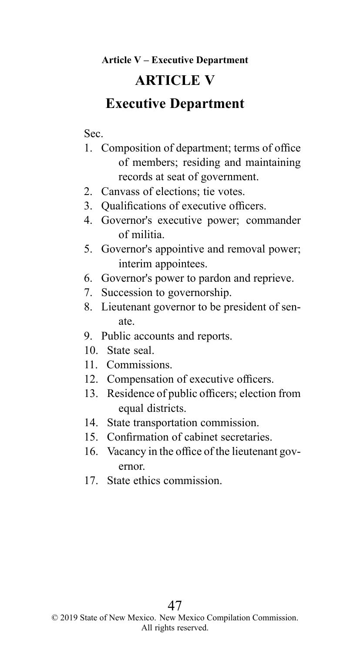#### **Article V – Executive Department**

### **ARTICLE V**

### **Executive Department**

#### Sec.

- 1. Composition of department; terms of office of members; residing and maintaining records at seat of government.
- 2. Canvass of elections; tie votes.
- 3. Qualifications of executive officers.
- 4. Governor's executive power; commander of militia.
- 5. Governor's appointive and removal power; interim appointees.
- 6. Governor's power to pardon and reprieve.
- 7. Succession to governorship.
- 8. Lieutenant governor to be president of senate.
- 9. Public accounts and reports.
- 10. State seal.
- 11. Commissions.
- 12. Compensation of executive officers.
- 13. Residence of public officers; election from equal districts.
- 14. State transportation commission.
- 15. Confirmation of cabinet secretaries.
- 16. Vacancy in the office of the lieutenant governor.
- 17. State ethics commission.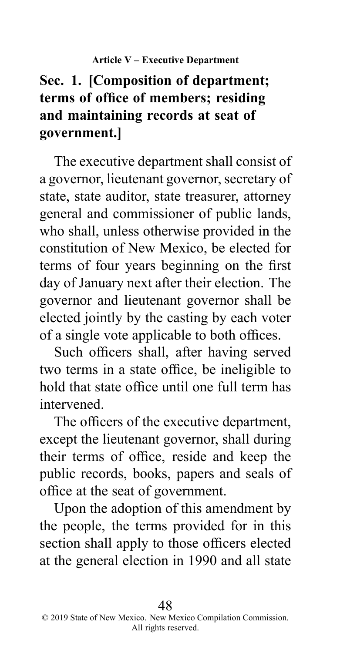# **Sec. 1. [Composition of department; terms of office of members; residing and maintaining records at seat of government.]**

The executive department shall consist of a governor, lieutenant governor, secretary of state, state auditor, state treasurer, attorney general and commissioner of public lands, who shall, unless otherwise provided in the constitution of New Mexico, be elected for terms of four years beginning on the first day of January next after their election. The governor and lieutenant governor shall be elected jointly by the casting by each voter of <sup>a</sup> single vote applicable to both offices.

Such officers shall, after having served two terms in <sup>a</sup> state office, be ineligible to hold that state office until one full term has intervened.

The officers of the executive department, excep<sup>t</sup> the lieutenant governor, shall during their terms of office, reside and keep the public records, books, papers and seals of office at the seat of government.

Upon the adoption of this amendment by the people, the terms provided for in this section shall apply to those officers elected at the general election in 1990 and all state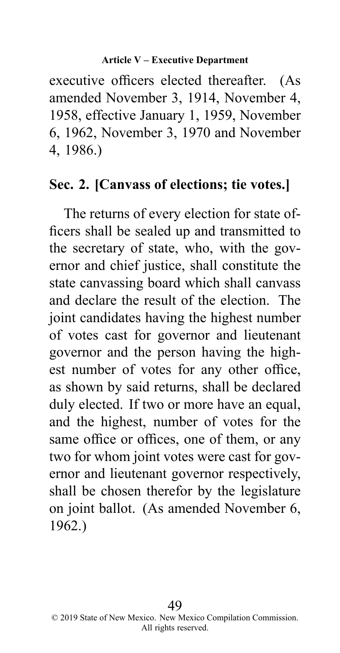#### **Article V – Executive Department**

executive officers elected thereafter. (As amended November 3, 1914, November 4, 1958, effective January 1, 1959, November 6, 1962, November 3, 1970 and November 4, 1986.)

### **Sec. 2. [Canvass of elections; tie votes.]**

The returns of every election for state officers shall be sealed up and transmitted to the secretary of state, who, with the governor and chief justice, shall constitute the state canvassing board which shall canvass and declare the result of the election. The joint candidates having the highest number of votes cast for governor and lieutenant governor and the person having the highest number of votes for any other office, as shown by said returns, shall be declared duly elected. If two or more have an equal, and the highest, number of votes for the same office or offices, one of them, or any two for whom joint votes were cast for governor and lieutenant governor respectively, shall be chosen therefor by the legislature on joint ballot. (As amended November 6, 1962.)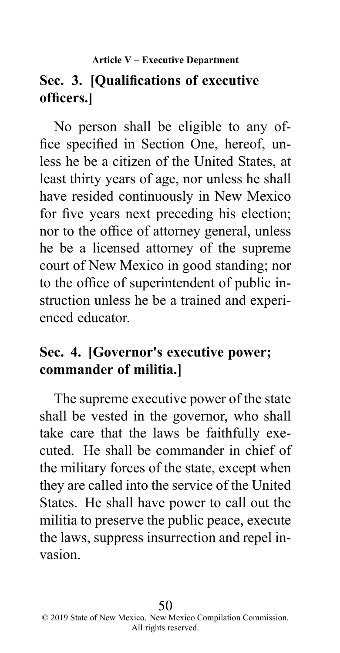# **Sec. 3. [Qualifications of executive officers.]**

No person shall be eligible to any office specified in Section One, hereof, unless he be <sup>a</sup> citizen of the United States, at least thirty years of age, nor unless he shall have resided continuously in New Mexico for five years next preceding his election; nor to the office of attorney general, unless he be <sup>a</sup> licensed attorney of the supreme court of New Mexico in good standing; nor to the office of superintendent of public instruction unless he be <sup>a</sup> trained and experienced educator.

### **Sec. 4. [Governor's executive power; commander of militia.]**

The supreme executive power of the state shall be vested in the governor, who shall take care that the laws be faithfully executed. He shall be commander in chief of the military forces of the state, excep<sup>t</sup> when they are called into the service of the United States. He shall have power to call out the militia to preserve the public peace, execute the laws, suppress insurrection and repel invasion.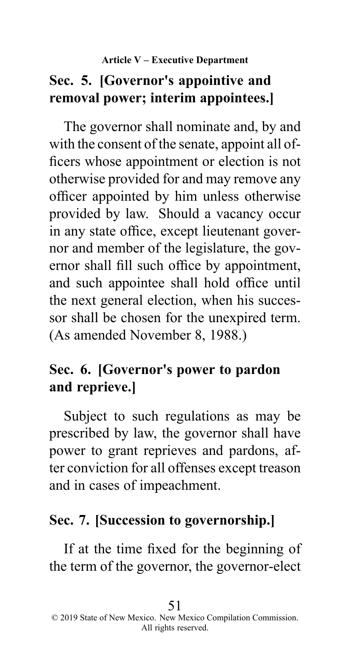# **Sec. 5. [Governor's appointive and removal power; interim appointees.]**

The governor shall nominate and, by and with the consent of the senate, appoint all officers whose appointment or election is not otherwise provided for and may remove any officer appointed by him unless otherwise provided by law. Should <sup>a</sup> vacancy occur in any state office, excep<sup>t</sup> lieutenant governor and member of the legislature, the governor shall fill such office by appointment, and such appointee shall hold office until the next general election, when his successor shall be chosen for the unexpired term. (As amended November 8, 1988.)

### **Sec. 6. [Governor's power to pardon and reprieve.]**

Subject to such regulations as may be prescribed by law, the governor shall have power to gran<sup>t</sup> reprieves and pardons, after conviction for all offenses excep<sup>t</sup> treason and in cases of impeachment.

### **Sec. 7. [Succession to governorship.]**

If at the time fixed for the beginning of the term of the governor, the governor-elect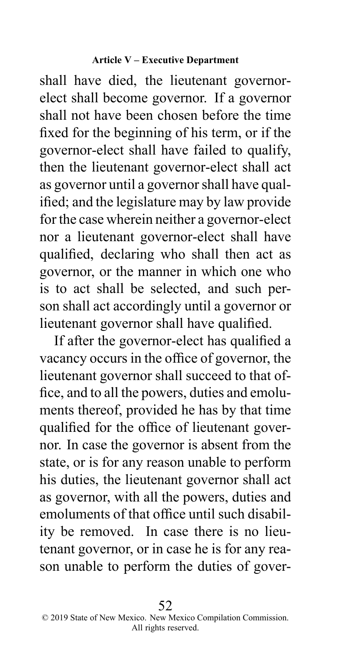#### **Article V – Executive Department**

shall have died, the lieutenant governorelect shall become governor. If <sup>a</sup> governor shall not have been chosen before the time fixed for the beginning of his term, or if the governor-elect shall have failed to qualify, then the lieutenant governor-elect shall act as governor until <sup>a</sup> governorshall have qualified; and the legislature may by law provide for the case wherein neither <sup>a</sup> governor-elect nor <sup>a</sup> lieutenant governor-elect shall have qualified, declaring who shall then act as governor, or the manner in which one who is to act shall be selected, and such person shall act accordingly until <sup>a</sup> governor or lieutenant governor shall have qualified.

If after the governor-elect has qualified <sup>a</sup> vacancy occurs in the office of governor, the lieutenant governor shall succeed to that office, and to all the powers, duties and emoluments thereof, provided he has by that time qualified for the office of lieutenant governor. In case the governor is absent from the state, or is for any reason unable to perform his duties, the lieutenant governor shall act as governor, with all the powers, duties and emoluments of that office until such disability be removed. In case there is no lieutenant governor, or in case he is for any reason unable to perform the duties of gover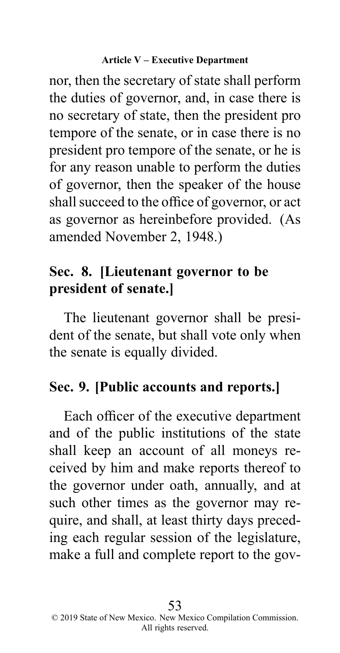nor, then the secretary of state shall perform the duties of governor, and, in case there is no secretary of state, then the president pro tempore of the senate, or in case there is no president pro tempore of the senate, or he is for any reason unable to perform the duties of governor, then the speaker of the house shall succeed to the office of governor, or act as governor as hereinbefore provided. (As amended November 2, 1948.)

# **Sec. 8. [Lieutenant governor to be president of senate.]**

The lieutenant governor shall be president of the senate, but shall vote only when the senate is equally divided.

# **Sec. 9. [Public accounts and reports.]**

Each officer of the executive department and of the public institutions of the state shall keep an account of all moneys received by him and make reports thereof to the governor under oath, annually, and at such other times as the governor may require, and shall, at least thirty days preceding each regular session of the legislature, make <sup>a</sup> full and complete repor<sup>t</sup> to the gov-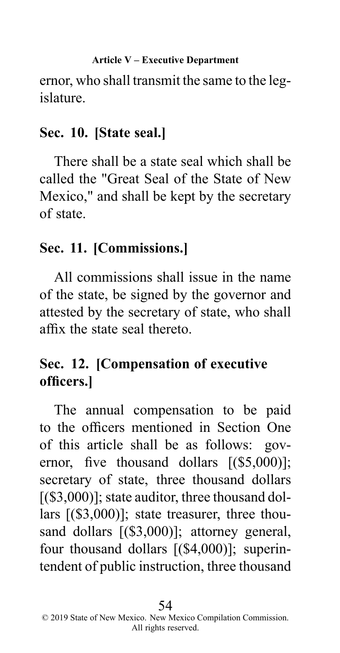### **Article V – Executive Department**

ernor, who shall transmit the same to the legislature.

### **Sec. 10. [State seal.]**

There shall be <sup>a</sup> state seal which shall be called the "Great Seal of the State of New Mexico," and shall be kept by the secretary of state.

### **Sec. 11. [Commissions.]**

All commissions shall issue in the name of the state, be signed by the governor and attested by the secretary of state, who shall affix the state seal thereto.

# **Sec. 12. [Compensation of executive officers.]**

The annual compensation to be paid to the officers mentioned in Section One of this article shall be as follows: governor, five thousand dollars [(\$5,000)]; secretary of state, three thousand dollars [(\$3,000)]; state auditor, three thousand dollars [(\$3,000)]; state treasurer, three thousand dollars [(\$3,000)]; attorney general, four thousand dollars [(\$4,000)]; superintendent of public instruction, three thousand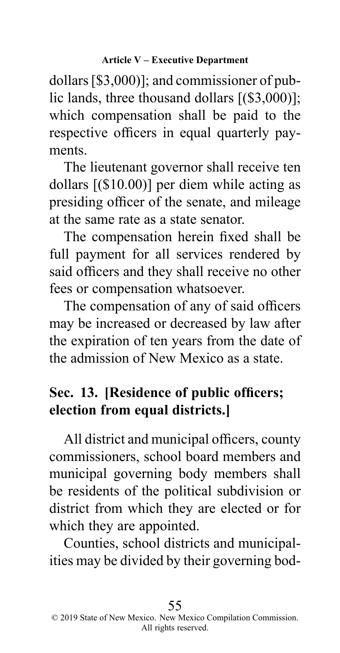dollars[\$3,000)]; and commissioner of public lands, three thousand dollars [(\$3,000)]; which compensation shall be paid to the respective officers in equal quarterly payments.

The lieutenant governor shall receive ten dollars [(\$10.00)] per diem while acting as presiding officer of the senate, and mileage at the same rate as <sup>a</sup> state senator.

The compensation herein fixed shall be full paymen<sup>t</sup> for all services rendered by said officers and they shall receive no other fees or compensation whatsoever.

The compensation of any of said officers may be increased or decreased by law after the expiration of ten years from the date of the admission of New Mexico as <sup>a</sup> state.

## **Sec. 13. [Residence of public officers; election from equal districts.]**

All district and municipal officers, county commissioners, school board members and municipal governing body members shall be residents of the political subdivision or district from which they are elected or for which they are appointed.

Counties, school districts and municipalities may be divided by their governing bod-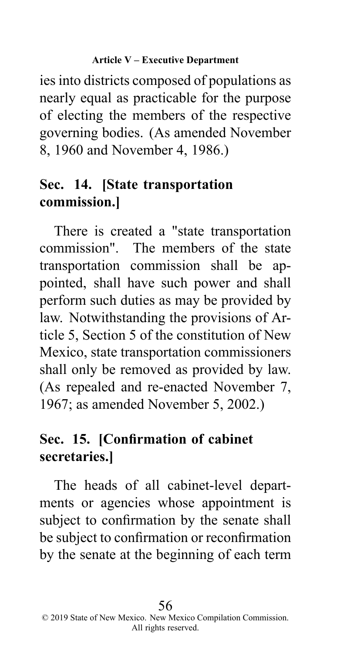#### **Article V – Executive Department**

ies into districts composed of populations as nearly equal as practicable for the purpose of electing the members of the respective governing bodies. (As amended November 8, 1960 and November 4, 1986.)

### **Sec. 14. [State transportation commission.]**

There is created <sup>a</sup> "state transportation commission". The members of the state transportation commission shall be appointed, shall have such power and shall perform such duties as may be provided by law. Notwithstanding the provisions of Article 5, Section 5 of the constitution of New Mexico, state transportation commissioners shall only be removed as provided by law. (As repealed and re-enacted November 7, 1967; as amended November 5, 2002.)

### **Sec. 15. [Confirmation of cabinet secretaries.]**

The heads of all cabinet-level departments or agencies whose appointment is subject to confirmation by the senate shall be subject to confirmation or reconfirmation by the senate at the beginning of each term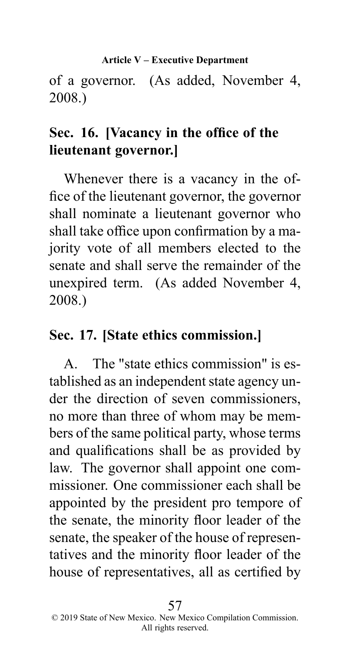#### **Article V – Executive Department**

of <sup>a</sup> governor. (As added, November 4, 2008.)

### **Sec. 16. [Vacancy in the office of the lieutenant governor.]**

Whenever there is <sup>a</sup> vacancy in the office of the lieutenant governor, the governor shall nominate <sup>a</sup> lieutenant governor who shall take office upon confirmation by <sup>a</sup> majority vote of all members elected to the senate and shall serve the remainder of the unexpired term. (As added November 4, 2008.)

### **Sec. 17. [State ethics commission.]**

A. The "state ethics commission" is established as an independent state agency under the direction of seven commissioners, no more than three of whom may be members of the same political party, whose terms and qualifications shall be as provided by law. The governor shall appoint one commissioner. One commissioner each shall be appointed by the president pro tempore of the senate, the minority floor leader of the senate, the speaker of the house of representatives and the minority floor leader of the house of representatives, all as certified by

<sup>57</sup> © 2019 State of New Mexico. New Mexico Compilation Commission. All rights reserved.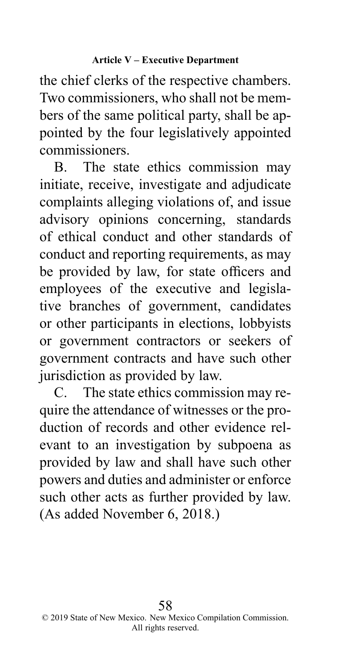the chief clerks of the respective chambers. Two commissioners, who shall not be members of the same political party, shall be appointed by the four legislatively appointed commissioners.

B. The state ethics commission may initiate, receive, investigate and adjudicate complaints alleging violations of, and issue advisory opinions concerning, standards of ethical conduct and other standards of conduct and reporting requirements, as may be provided by law, for state officers and employees of the executive and legislative branches of government, candidates or other participants in elections, lobbyists or governmen<sup>t</sup> contractors or seekers of governmen<sup>t</sup> contracts and have such other jurisdiction as provided by law.

C. The state ethics commission may require the attendance of witnesses or the production of records and other evidence relevant to an investigation by subpoena as provided by law and shall have such other powers and duties and administer or enforce such other acts as further provided by law. (As added November 6, 2018.)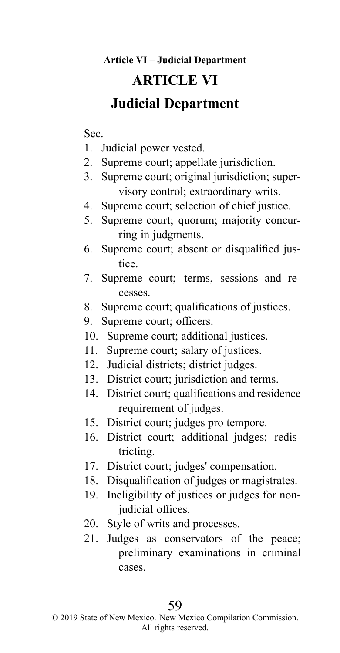# **ARTICLE VI**

### **Judicial Department**

#### Sec.

- 1. Judicial power vested.
- 2. Supreme court; appellate jurisdiction.
- 3. Supreme court; original jurisdiction; supervisory control; extraordinary writs.
- 4. Supreme court; selection of chief justice.
- 5. Supreme court; quorum; majority concurring in judgments.
- 6. Supreme court; absent or disqualified justice.
- 7. Supreme court; terms, sessions and recesses.
- 8. Supreme court; qualifications of justices.
- 9. Supreme court; officers.
- 10. Supreme court; additional justices.
- 11. Supreme court; salary of justices.
- 12. Judicial districts; district judges.
- 13. District court; jurisdiction and terms.
- 14. District court; qualifications and residence requirement of judges.
- 15. District court; judges pro tempore.
- 16. District court; additional judges; redistricting.
- 17. District court; judges' compensation.
- 18. Disqualification of judges or magistrates.
- 19. Ineligibility of justices or judges for nonjudicial offices.
- 20. Style of writs and processes.
- 21. Judges as conservators of the peace; preliminary examinations in criminal cases.

59

© 2019 State of New Mexico. New Mexico Compilation Commission. All rights reserved.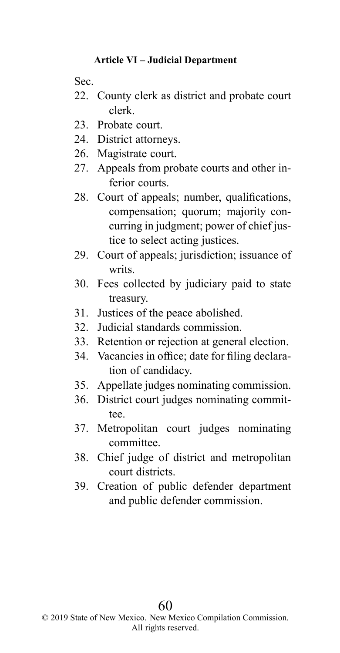Sec.

- 22. County clerk as district and probate court clerk.
- 23. Probate court.
- 24. District attorneys.
- 26. Magistrate court.
- 27. Appeals from probate courts and other inferior courts.
- 28. Court of appeals; number, qualifications, compensation; quorum; majority concurring in judgment; power of chief justice to select acting justices.
- 29. Court of appeals; jurisdiction; issuance of writs.
- 30. Fees collected by judiciary paid to state treasury.
- 31. Justices of the peace abolished.
- 32. Judicial standards commission.
- 33. Retention or rejection at general election.
- 34. Vacancies in office; date for filing declaration of candidacy.
- 35. Appellate judges nominating commission.
- 36. District court judges nominating committee.
- 37. Metropolitan court judges nominating committee.
- 38. Chief judge of district and metropolitan court districts.
- 39. Creation of public defender department and public defender commission.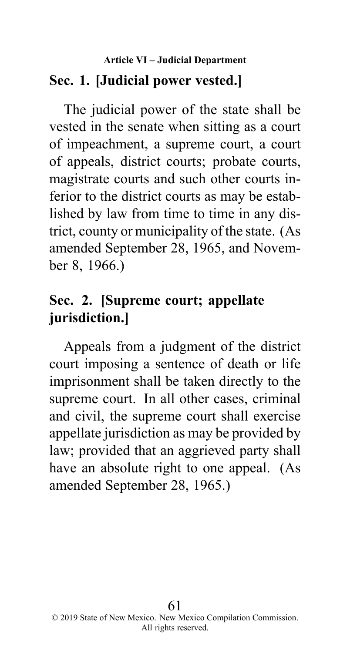### **Sec. 1. [Judicial power vested.]**

The judicial power of the state shall be vested in the senate when sitting as <sup>a</sup> court of impeachment, <sup>a</sup> supreme court, <sup>a</sup> court of appeals, district courts; probate courts, magistrate courts and such other courts inferior to the district courts as may be established by law from time to time in any district, county or municipality of the state. (As amended September 28, 1965, and November 8, 1966.)

### **Sec. 2. [Supreme court; appellate jurisdiction.]**

Appeals from <sup>a</sup> judgment of the district court imposing <sup>a</sup> sentence of death or life imprisonment shall be taken directly to the supreme court. In all other cases, criminal and civil, the supreme court shall exercise appellate jurisdiction as may be provided by law; provided that an aggrieved party shall have an absolute right to one appeal. (As amended September 28, 1965.)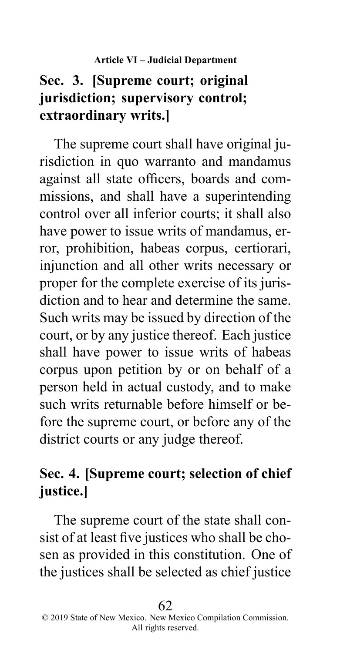## **Sec. 3. [Supreme court; original jurisdiction; supervisory control; extraordinary writs.]**

The supreme court shall have original jurisdiction in quo warranto and mandamus against all state officers, boards and commissions, and shall have <sup>a</sup> superintending control over all inferior courts; it shall also have power to issue writs of mandamus, error, prohibition, habeas corpus, certiorari, injunction and all other writs necessary or proper for the complete exercise of its jurisdiction and to hear and determine the same. Such writs may be issued by direction of the court, or by any justice thereof. Each justice shall have power to issue writs of habeas corpus upon petition by or on behalf of <sup>a</sup> person held in actual custody, and to make such writs returnable before himself or before the supreme court, or before any of the district courts or any judge thereof.

### **Sec. 4. [Supreme court; selection of chief justice.]**

The supreme court of the state shall consist of at least five justices who shall be chosen as provided in this constitution. One of the justices shall be selected as chief justice

<sup>62</sup> 

<sup>©</sup> 2019 State of New Mexico. New Mexico Compilation Commission. All rights reserved.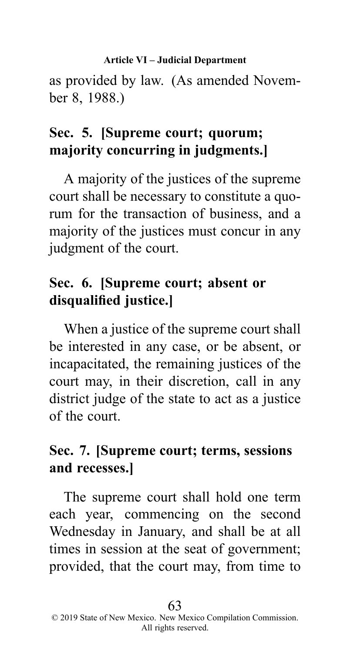as provided by law. (As amended November 8, 1988.)

### **Sec. 5. [Supreme court; quorum; majority concurring in judgments.]**

A majority of the justices of the supreme court shall be necessary to constitute <sup>a</sup> quorum for the transaction of business, and <sup>a</sup> majority of the justices must concur in any judgment of the court.

### **Sec. 6. [Supreme court; absent or disqualified justice.]**

When <sup>a</sup> justice of the supreme court shall be interested in any case, or be absent, or incapacitated, the remaining justices of the court may, in their discretion, call in any district judge of the state to act as <sup>a</sup> justice of the court.

### **Sec. 7. [Supreme court; terms, sessions and recesses.]**

The supreme court shall hold one term each year, commencing on the second Wednesday in January, and shall be at all times in session at the seat of government; provided, that the court may, from time to

<sup>©</sup> 2019 State of New Mexico. New Mexico Compilation Commission. All rights reserved.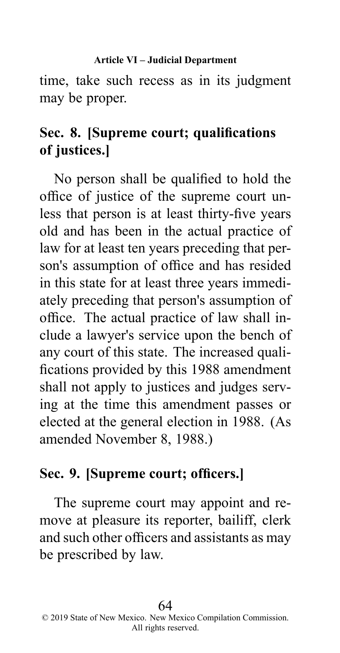time, take such recess as in its judgment may be proper.

## **Sec. 8. [Supreme court; qualifications of justices.]**

No person shall be qualified to hold the office of justice of the supreme court unless that person is at least thirty-five years old and has been in the actual practice of law for at least ten years preceding that person's assumption of office and has resided in this state for at least three years immediately preceding that person's assumption of office. The actual practice of law shall include <sup>a</sup> lawyer's service upon the bench of any court of this state. The increased qualifications provided by this 1988 amendment shall not apply to justices and judges serving at the time this amendment passes or elected at the general election in 1988. (As amended November 8, 1988.)

### **Sec. 9. [Supreme court; officers.]**

The supreme court may appoint and remove at pleasure its reporter, bailiff, clerk and such other officers and assistants as may be prescribed by law.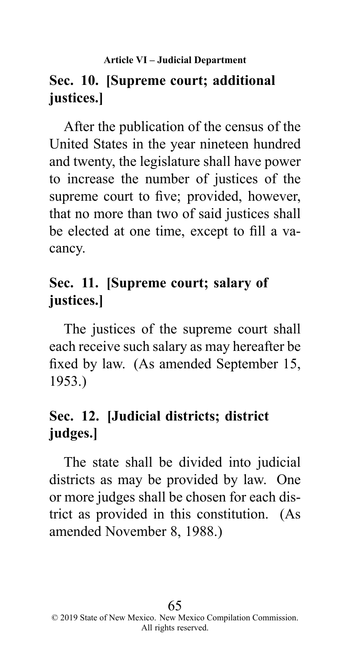# **Sec. 10. [Supreme court; additional justices.]**

After the publication of the census of the United States in the year nineteen hundred and twenty, the legislature shall have power to increase the number of justices of the supreme court to five; provided, however, that no more than two of said justices shall be elected at one time, excep<sup>t</sup> to fill <sup>a</sup> vacancy.

# **Sec. 11. [Supreme court; salary of justices.]**

The justices of the supreme court shall each receive such salary as may hereafter be fixed by law. (As amended September 15, 1953.)

# **Sec. 12. [Judicial districts; district judges.]**

The state shall be divided into judicial districts as may be provided by law. One or more judges shall be chosen for each district as provided in this constitution. (As amended November 8, 1988.)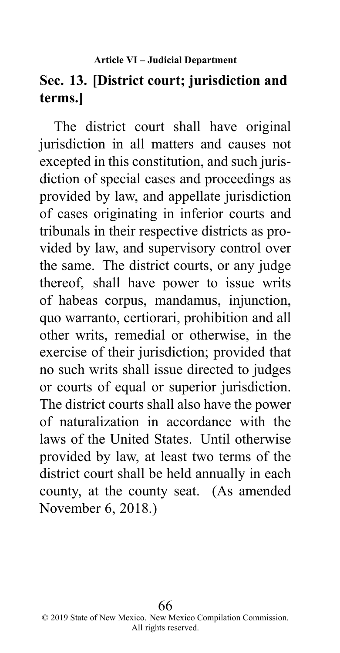### **Sec. 13. [District court; jurisdiction and terms.]**

The district court shall have original jurisdiction in all matters and causes not excepted in this constitution, and such jurisdiction of special cases and proceedings as provided by law, and appellate jurisdiction of cases originating in inferior courts and tribunals in their respective districts as provided by law, and supervisory control over the same. The district courts, or any judge thereof, shall have power to issue writs of habeas corpus, mandamus, injunction, quo warranto, certiorari, prohibition and all other writs, remedial or otherwise, in the exercise of their jurisdiction; provided that no such writs shall issue directed to judges or courts of equal or superior jurisdiction. The district courts shall also have the power of naturalization in accordance with the laws of the United States. Until otherwise provided by law, at least two terms of the district court shall be held annually in each county, at the county seat. (As amended November 6, 2018.)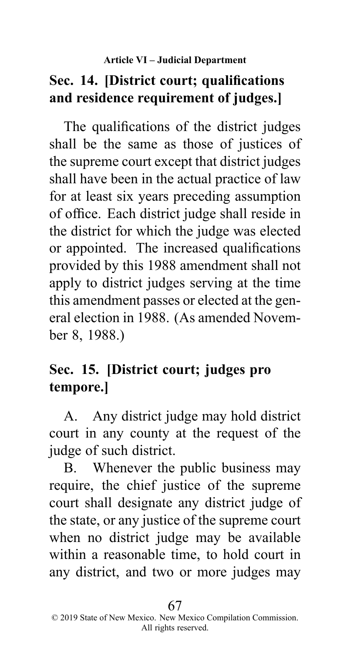# **Sec. 14. [District court; qualifications and residence requirement of judges.]**

The qualifications of the district judges shall be the same as those of justices of the supreme court excep<sup>t</sup> that district judges shall have been in the actual practice of law for at least six years preceding assumption of office. Each district judge shall reside in the district for which the judge was elected or appointed. The increased qualifications provided by this 1988 amendment shall not apply to district judges serving at the time this amendment passes or elected at the general election in 1988. (As amended November 8, 1988.)

## **Sec. 15. [District court; judges pro tempore.]**

A. Any district judge may hold district court in any county at the reques<sup>t</sup> of the judge of such district.

B. Whenever the public business may require, the chief justice of the supreme court shall designate any district judge of the state, or any justice of the supreme court when no district judge may be available within <sup>a</sup> reasonable time, to hold court in any district, and two or more judges may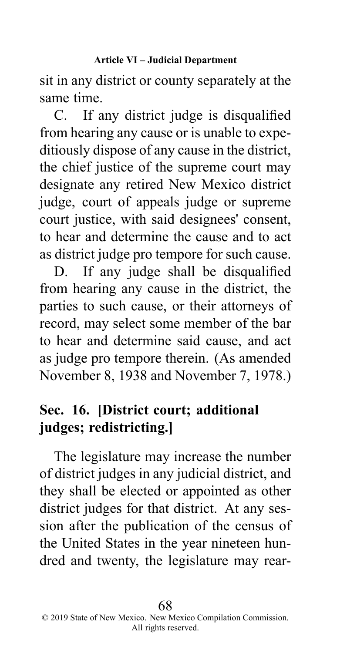sit in any district or county separately at the same time.

C. If any district judge is disqualified from hearing any cause or is unable to expeditiously dispose of any cause in the district, the chief justice of the supreme court may designate any retired New Mexico district judge, court of appeals judge or supreme court justice, with said designees' consent, to hear and determine the cause and to act as district judge pro tempore for such cause.

D. If any judge shall be disqualified from hearing any cause in the district, the parties to such cause, or their attorneys of record, may select some member of the bar to hear and determine said cause, and act as judge pro tempore therein. (As amended November 8, 1938 and November 7, 1978.)

## **Sec. 16. [District court; additional judges; redistricting.]**

The legislature may increase the number of district judges in any judicial district, and they shall be elected or appointed as other district judges for that district. At any session after the publication of the census of the United States in the year nineteen hundred and twenty, the legislature may rear-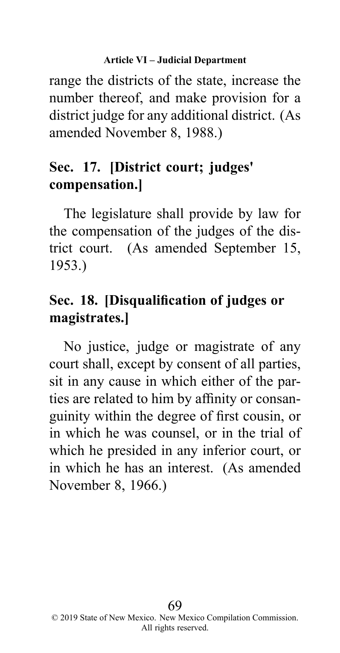#### **Article VI – Judicial Department**

range the districts of the state, increase the number thereof, and make provision for <sup>a</sup> district judge for any additional district. (As amended November 8, 1988.)

# **Sec. 17. [District court; judges' compensation.]**

The legislature shall provide by law for the compensation of the judges of the district court. (As amended September 15, 1953.)

# **Sec. 18. [Disqualification of judges or magistrates.]**

No justice, judge or magistrate of any court shall, excep<sup>t</sup> by consent of all parties, sit in any cause in which either of the parties are related to him by affinity or consanguinity within the degree of first cousin, or in which he was counsel, or in the trial of which he presided in any inferior court, or in which he has an interest. (As amended November 8, 1966.)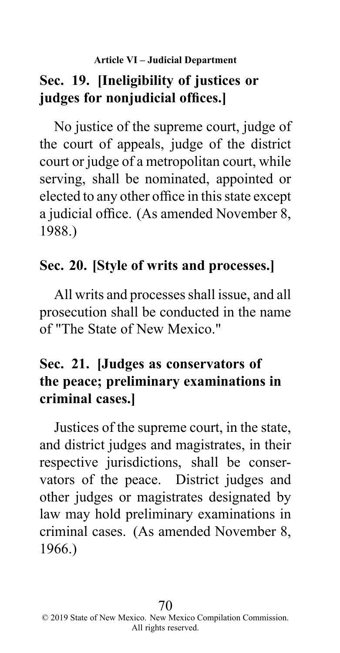# **Sec. 19. [Ineligibility of justices or judges for nonjudicial offices.]**

No justice of the supreme court, judge of the court of appeals, judge of the district court or judge of <sup>a</sup> metropolitan court, while serving, shall be nominated, appointed or elected to any other office in this state except <sup>a</sup> judicial office. (As amended November 8, 1988.)

# **Sec. 20. [Style of writs and processes.]**

All writs and processes shall issue, and all prosecution shall be conducted in the name of "The State of New Mexico."

# **Sec. 21. [Judges as conservators of the peace; preliminary examinations in criminal cases.]**

Justices of the supreme court, in the state, and district judges and magistrates, in their respective jurisdictions, shall be conservators of the peace. District judges and other judges or magistrates designated by law may hold preliminary examinations in criminal cases. (As amended November 8, 1966.)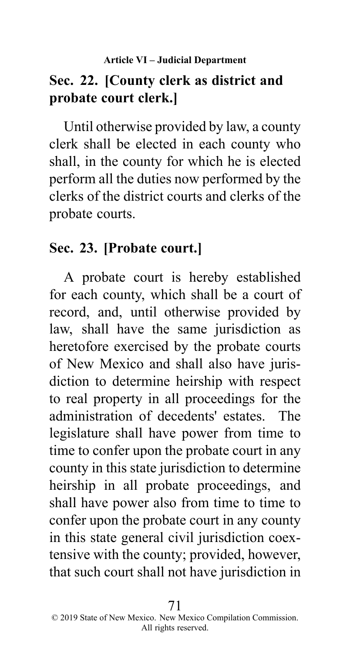## **Sec. 22. [County clerk as district and probate court clerk.]**

Until otherwise provided by law, <sup>a</sup> county clerk shall be elected in each county who shall, in the county for which he is elected perform all the duties now performed by the clerks of the district courts and clerks of the probate courts.

#### **Sec. 23. [Probate court.]**

A probate court is hereby established for each county, which shall be <sup>a</sup> court of record, and, until otherwise provided by law, shall have the same jurisdiction as heretofore exercised by the probate courts of New Mexico and shall also have jurisdiction to determine heirship with respec<sup>t</sup> to real property in all proceedings for the administration of decedents' estates. The legislature shall have power from time to time to confer upon the probate court in any county in this state jurisdiction to determine heirship in all probate proceedings, and shall have power also from time to time to confer upon the probate court in any county in this state general civil jurisdiction coextensive with the county; provided, however, that such court shall not have jurisdiction in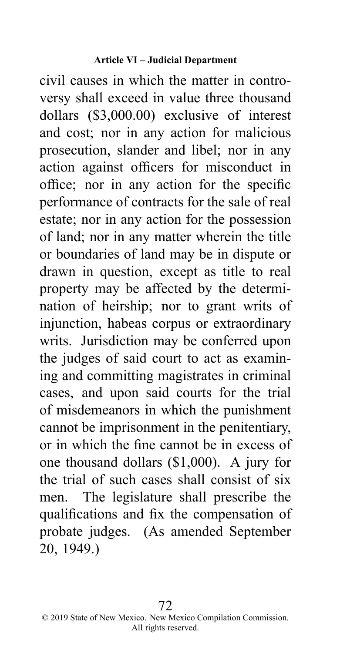civil causes in which the matter in controversy shall exceed in value three thousand dollars (\$3,000.00) exclusive of interest and cost; nor in any action for malicious prosecution, slander and libel; nor in any action against officers for misconduct in office; nor in any action for the specific performance of contracts for the sale of real estate; nor in any action for the possession of land; nor in any matter wherein the title or boundaries of land may be in dispute or drawn in question, excep<sup>t</sup> as title to real property may be affected by the determination of heirship; nor to gran<sup>t</sup> writs of injunction, habeas corpus or extraordinary writs. Jurisdiction may be conferred upon the judges of said court to act as examining and committing magistrates in criminal cases, and upon said courts for the trial of misdemeanors in which the punishment cannot be imprisonment in the penitentiary, or in which the fine cannot be in excess of one thousand dollars (\$1,000). A jury for the trial of such cases shall consist of six men. The legislature shall prescribe the qualifications and fix the compensation of probate judges. (As amended September 20, 1949.)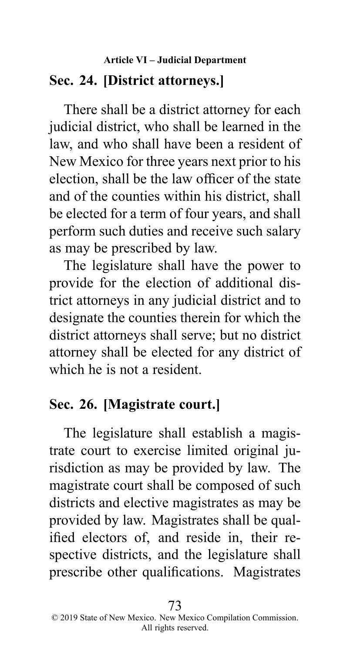### **Sec. 24. [District attorneys.]**

There shall be <sup>a</sup> district attorney for each judicial district, who shall be learned in the law, and who shall have been <sup>a</sup> resident of New Mexico for three years next prior to his election, shall be the law officer of the state and of the counties within his district, shall be elected for <sup>a</sup> term of four years, and shall perform such duties and receive such salary as may be prescribed by law.

The legislature shall have the power to provide for the election of additional district attorneys in any judicial district and to designate the counties therein for which the district attorneys shall serve; but no district attorney shall be elected for any district of which he is not <sup>a</sup> resident.

# **Sec. 26. [Magistrate court.]**

The legislature shall establish <sup>a</sup> magistrate court to exercise limited original jurisdiction as may be provided by law. The magistrate court shall be composed of such districts and elective magistrates as may be provided by law. Magistrates shall be qualified electors of, and reside in, their respective districts, and the legislature shall prescribe other qualifications. Magistrates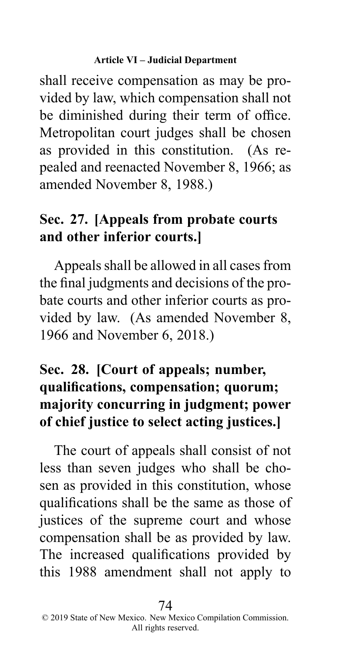shall receive compensation as may be provided by law, which compensation shall not be diminished during their term of office. Metropolitan court judges shall be chosen as provided in this constitution. (As repealed and reenacted November 8, 1966; as amended November 8, 1988.)

# **Sec. 27. [Appeals from probate courts and other inferior courts.]**

Appeals shall be allowed in all cases from the final judgments and decisions of the probate courts and other inferior courts as provided by law. (As amended November 8, 1966 and November 6, 2018.)

# **Sec. 28. [Court of appeals; number, qualifications, compensation; quorum; majority concurring in judgment; power of chief justice to select acting justices.]**

The court of appeals shall consist of not less than seven judges who shall be chosen as provided in this constitution, whose qualifications shall be the same as those of justices of the supreme court and whose compensation shall be as provided by law. The increased qualifications provided by this 1988 amendment shall not apply to

<sup>74</sup>

<sup>©</sup> 2019 State of New Mexico. New Mexico Compilation Commission. All rights reserved.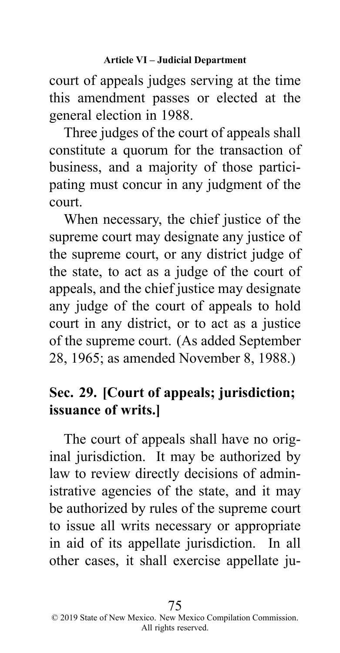court of appeals judges serving at the time this amendment passes or elected at the general election in 1988.

Three judges of the court of appeals shall constitute <sup>a</sup> quorum for the transaction of business, and <sup>a</sup> majority of those participating must concur in any judgment of the court.

When necessary, the chief justice of the supreme court may designate any justice of the supreme court, or any district judge of the state, to act as <sup>a</sup> judge of the court of appeals, and the chief justice may designate any judge of the court of appeals to hold court in any district, or to act as <sup>a</sup> justice of the supreme court. (As added September 28, 1965; as amended November 8, 1988.)

# **Sec. 29. [Court of appeals; jurisdiction; issuance of writs.]**

The court of appeals shall have no original jurisdiction. It may be authorized by law to review directly decisions of administrative agencies of the state, and it may be authorized by rules of the supreme court to issue all writs necessary or appropriate in aid of its appellate jurisdiction. In all other cases, it shall exercise appellate ju-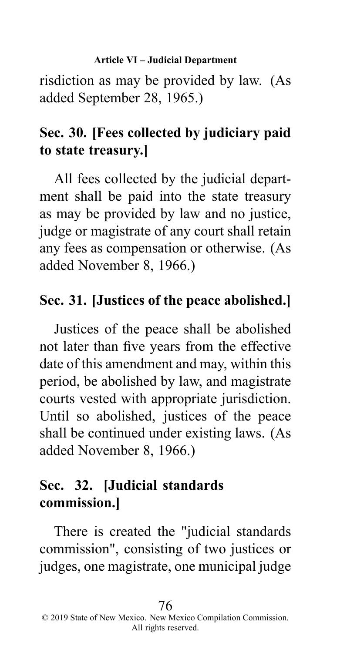#### **Article VI – Judicial Department**

risdiction as may be provided by law. (As added September 28, 1965.)

## **Sec. 30. [Fees collected by judiciary paid to state treasury.]**

All fees collected by the judicial department shall be paid into the state treasury as may be provided by law and no justice, judge or magistrate of any court shall retain any fees as compensation or otherwise. (As added November 8, 1966.)

#### **Sec. 31. [Justices of the peace abolished.]**

Justices of the peace shall be abolished not later than five years from the effective date of this amendment and may, within this period, be abolished by law, and magistrate courts vested with appropriate jurisdiction. Until so abolished, justices of the peace shall be continued under existing laws. (As added November 8, 1966.)

#### **Sec. 32. [Judicial standards commission.]**

There is created the "judicial standards commission", consisting of two justices or judges, one magistrate, one municipal judge

<sup>76</sup>

<sup>©</sup> 2019 State of New Mexico. New Mexico Compilation Commission. All rights reserved.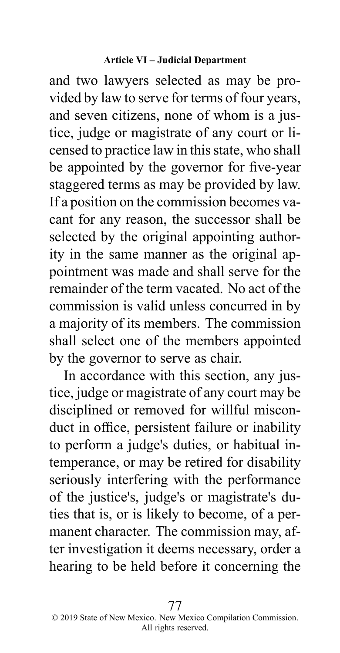#### **Article VI – Judicial Department**

and two lawyers selected as may be provided by law to serve for terms of four years, and seven citizens, none of whom is <sup>a</sup> justice, judge or magistrate of any court or licensed to practice law in thisstate, who shall be appointed by the governor for five-year staggered terms as may be provided by law. If <sup>a</sup> position on the commission becomes vacant for any reason, the successor shall be selected by the original appointing authority in the same manner as the original appointment was made and shall serve for the remainder of the term vacated. No act of the commission is valid unless concurred in by <sup>a</sup> majority of its members. The commission shall select one of the members appointed by the governor to serve as chair.

In accordance with this section, any justice, judge or magistrate of any court may be disciplined or removed for willful misconduct in office, persistent failure or inability to perform <sup>a</sup> judge's duties, or habitual intemperance, or may be retired for disability seriously interfering with the performance of the justice's, judge's or magistrate's duties that is, or is likely to become, of <sup>a</sup> permanent character. The commission may, after investigation it deems necessary, order <sup>a</sup> hearing to be held before it concerning the

77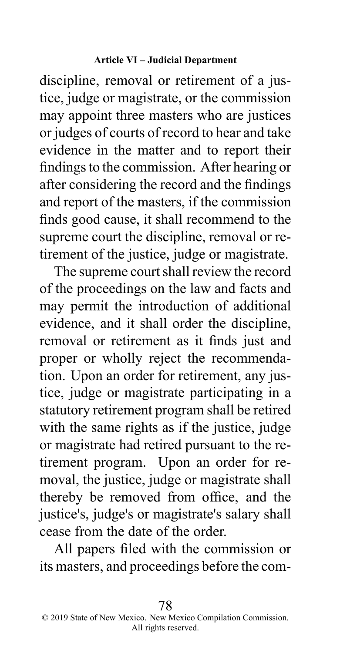discipline, removal or retirement of <sup>a</sup> justice, judge or magistrate, or the commission may appoint three masters who are justices or judges of courts of record to hear and take evidence in the matter and to repor<sup>t</sup> their findingsto the commission. After hearing or after considering the record and the findings and repor<sup>t</sup> of the masters, if the commission finds good cause, it shall recommend to the supreme court the discipline, removal or retirement of the justice, judge or magistrate.

The supreme court shall review the record of the proceedings on the law and facts and may permit the introduction of additional evidence, and it shall order the discipline, removal or retirement as it finds just and proper or wholly reject the recommendation. Upon an order for retirement, any justice, judge or magistrate participating in <sup>a</sup> statutory retirement program shall be retired with the same rights as if the justice, judge or magistrate had retired pursuan<sup>t</sup> to the retirement program. Upon an order for removal, the justice, judge or magistrate shall thereby be removed from office, and the justice's, judge's or magistrate's salary shall cease from the date of the order.

All papers filed with the commission or its masters, and proceedings before the com-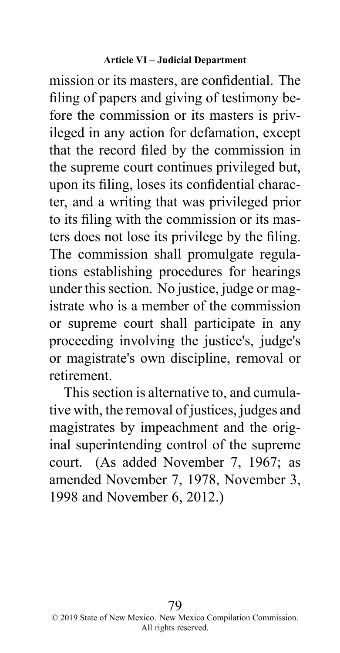#### **Article VI – Judicial Department**

mission or its masters, are confidential. The filing of papers and giving of testimony before the commission or its masters is privileged in any action for defamation, excep<sup>t</sup> that the record filed by the commission in the supreme court continues privileged but, upon its filing, loses its confidential character, and <sup>a</sup> writing that was privileged prior to its filing with the commission or its masters does not lose its privilege by the filing. The commission shall promulgate regulations establishing procedures for hearings under thissection. No justice, judge or magistrate who is <sup>a</sup> member of the commission or supreme court shall participate in any proceeding involving the justice's, judge's or magistrate's own discipline, removal or retirement.

This section is alternative to, and cumulative with, the removal of justices, judges and magistrates by impeachment and the original superintending control of the supreme court. (As added November 7, 1967; as amended November 7, 1978, November 3, 1998 and November 6, 2012.)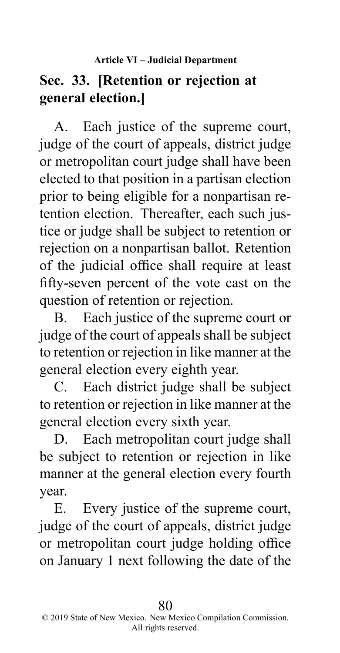# **Sec. 33. [Retention or rejection at general election.]**

A. Each justice of the supreme court, judge of the court of appeals, district judge or metropolitan court judge shall have been elected to that position in <sup>a</sup> partisan election prior to being eligible for <sup>a</sup> nonpartisan retention election. Thereafter, each such justice or judge shall be subject to retention or rejection on <sup>a</sup> nonpartisan ballot. Retention of the judicial office shall require at least fifty-seven percen<sup>t</sup> of the vote cast on the question of retention or rejection.

B. Each justice of the supreme court or judge of the court of appeals shall be subject to retention or rejection in like manner at the general election every eighth year.

C. Each district judge shall be subject to retention or rejection in like manner at the general election every sixth year.

D. Each metropolitan court judge shall be subject to retention or rejection in like manner at the general election every fourth year.

E. Every justice of the supreme court, judge of the court of appeals, district judge or metropolitan court judge holding office on January 1 next following the date of the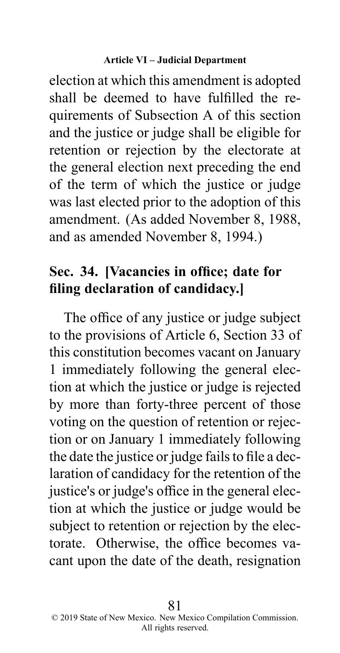election at which this amendment is adopted shall be deemed to have fulfilled the requirements of Subsection A of this section and the justice or judge shall be eligible for retention or rejection by the electorate at the general election next preceding the end of the term of which the justice or judge was last elected prior to the adoption of this amendment. (As added November 8, 1988, and as amended November 8, 1994.)

# **Sec. 34. [Vacancies in office; date for filing declaration of candidacy.]**

The office of any justice or judge subject to the provisions of Article 6, Section 33 of this constitution becomes vacant on January 1 immediately following the general election at which the justice or judge is rejected by more than forty-three percen<sup>t</sup> of those voting on the question of retention or rejection or on January 1 immediately following the date the justice or judge fails to file a declaration of candidacy for the retention of the justice's or judge's office in the general election at which the justice or judge would be subject to retention or rejection by the electorate. Otherwise, the office becomes vacant upon the date of the death, resignation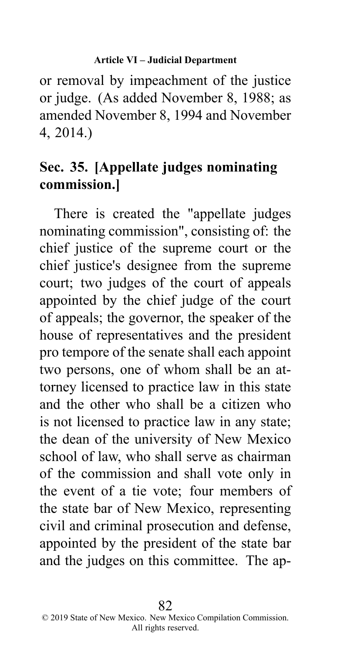#### **Article VI – Judicial Department**

or removal by impeachment of the justice or judge. (As added November 8, 1988; as amended November 8, 1994 and November 4, 2014.)

### **Sec. 35. [Appellate judges nominating commission.]**

There is created the "appellate judges nominating commission", consisting of: the chief justice of the supreme court or the chief justice's designee from the supreme court; two judges of the court of appeals appointed by the chief judge of the court of appeals; the governor, the speaker of the house of representatives and the president pro tempore of the senate shall each appoint two persons, one of whom shall be an attorney licensed to practice law in this state and the other who shall be <sup>a</sup> citizen who is not licensed to practice law in any state; the dean of the university of New Mexico school of law, who shall serve as chairman of the commission and shall vote only in the event of <sup>a</sup> tie vote; four members of the state bar of New Mexico, representing civil and criminal prosecution and defense, appointed by the president of the state bar and the judges on this committee. The ap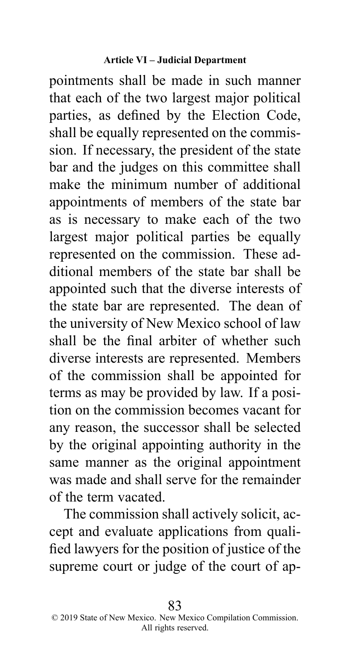pointments shall be made in such manner that each of the two largest major political parties, as defined by the Election Code, shall be equally represented on the commission. If necessary, the president of the state bar and the judges on this committee shall make the minimum number of additional appointments of members of the state bar as is necessary to make each of the two largest major political parties be equally represented on the commission. These additional members of the state bar shall be appointed such that the diverse interests of the state bar are represented. The dean of the university of New Mexico school of law shall be the final arbiter of whether such diverse interests are represented. Members of the commission shall be appointed for terms as may be provided by law. If <sup>a</sup> position on the commission becomes vacant for any reason, the successor shall be selected by the original appointing authority in the same manner as the original appointment was made and shall serve for the remainder of the term vacated.

The commission shall actively solicit, accep<sup>t</sup> and evaluate applications from qualified lawyers for the position of justice of the supreme court or judge of the court of ap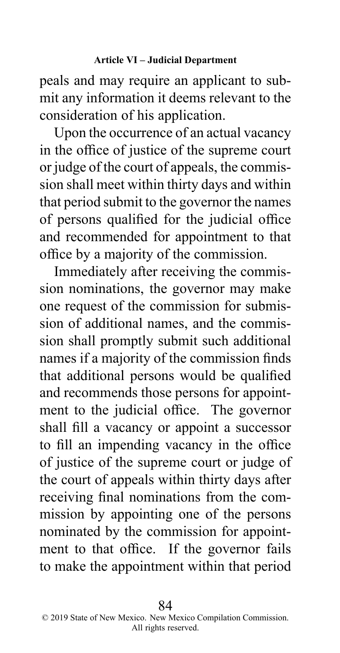peals and may require an applicant to submit any information it deems relevant to the consideration of his application.

Upon the occurrence of an actual vacancy in the office of justice of the supreme court or judge of the court of appeals, the commission shall meet within thirty days and within that period submit to the governor the names of persons qualified for the judicial office and recommended for appointment to that office by <sup>a</sup> majority of the commission.

Immediately after receiving the commission nominations, the governor may make one reques<sup>t</sup> of the commission for submission of additional names, and the commission shall promptly submit such additional names if <sup>a</sup> majority of the commission finds that additional persons would be qualified and recommends those persons for appointment to the judicial office. The governor shall fill <sup>a</sup> vacancy or appoint <sup>a</sup> successor to fill an impending vacancy in the office of justice of the supreme court or judge of the court of appeals within thirty days after receiving final nominations from the commission by appointing one of the persons nominated by the commission for appointment to that office. If the governor fails to make the appointment within that period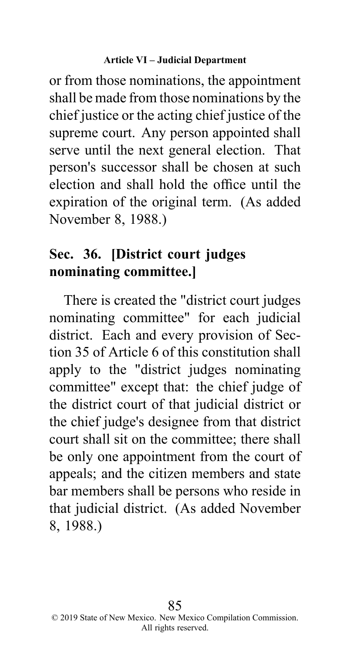or from those nominations, the appointment shall be made from those nominations by the chief justice or the acting chief justice of the supreme court. Any person appointed shall serve until the next general election. That person's successor shall be chosen at such election and shall hold the office until the expiration of the original term. (As added November 8, 1988.)

# **Sec. 36. [District court judges nominating committee.]**

There is created the "district court judges nominating committee" for each judicial district. Each and every provision of Section 35 of Article 6 of this constitution shall apply to the "district judges nominating committee" excep<sup>t</sup> that: the chief judge of the district court of that judicial district or the chief judge's designee from that district court shall sit on the committee; there shall be only one appointment from the court of appeals; and the citizen members and state bar members shall be persons who reside in that judicial district. (As added November 8, 1988.)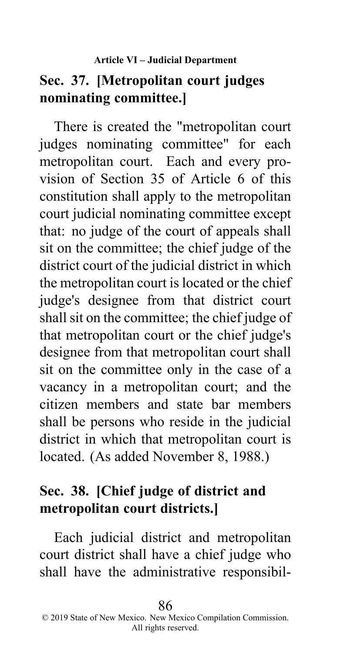### **Sec. 37. [Metropolitan court judges nominating committee.]**

There is created the "metropolitan court judges nominating committee" for each metropolitan court. Each and every provision of Section 35 of Article 6 of this constitution shall apply to the metropolitan court judicial nominating committee excep<sup>t</sup> that: no judge of the court of appeals shall sit on the committee; the chief judge of the district court of the judicial district in which the metropolitan court is located or the chief judge's designee from that district court shall sit on the committee; the chief judge of that metropolitan court or the chief judge's designee from that metropolitan court shall sit on the committee only in the case of <sup>a</sup> vacancy in <sup>a</sup> metropolitan court; and the citizen members and state bar members shall be persons who reside in the judicial district in which that metropolitan court is located. (As added November 8, 1988.)

# **Sec. 38. [Chief judge of district and metropolitan court districts.]**

Each judicial district and metropolitan court district shall have <sup>a</sup> chief judge who shall have the administrative responsibil-

<sup>86</sup>

<sup>©</sup> 2019 State of New Mexico. New Mexico Compilation Commission. All rights reserved.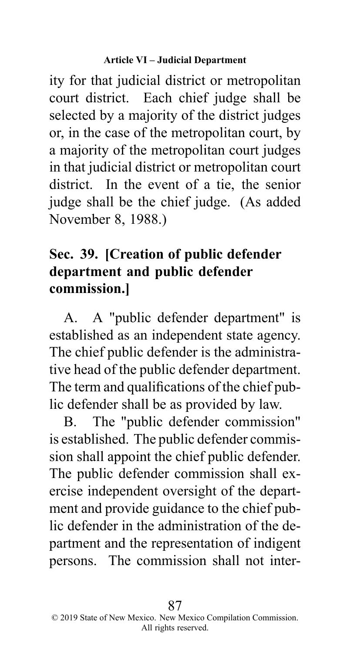ity for that judicial district or metropolitan court district. Each chief judge shall be selected by <sup>a</sup> majority of the district judges or, in the case of the metropolitan court, by <sup>a</sup> majority of the metropolitan court judges in that judicial district or metropolitan court district. In the event of <sup>a</sup> tie, the senior judge shall be the chief judge. (As added November 8, 1988.)

# **Sec. 39. [Creation of public defender department and public defender commission.]**

A. A "public defender department" is established as an independent state agency. The chief public defender is the administrative head of the public defender department. The term and qualifications of the chief public defender shall be as provided by law.

B. The "public defender commission" is established. The public defender commission shall appoint the chief public defender. The public defender commission shall exercise independent oversight of the department and provide guidance to the chief public defender in the administration of the department and the representation of indigent persons. The commission shall not inter-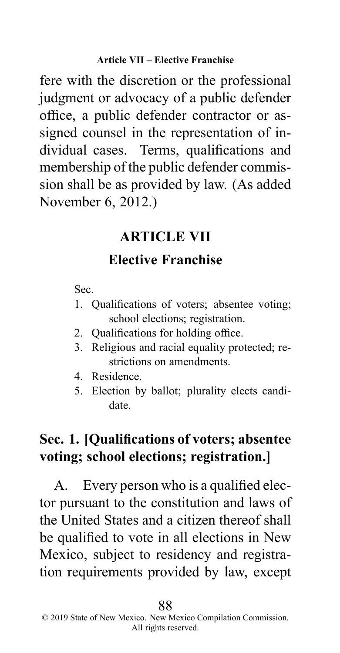fere with the discretion or the professional judgment or advocacy of a public defender office, <sup>a</sup> public defender contractor or assigned counsel in the representation of individual cases. Terms, qualifications and membership of the public defender commission shall be as provided by law. (As added November 6, 2012.)

### **ARTICLE VII**

# **Elective Franchise**

Sec.

- 1. Qualifications of voters; absentee voting; school elections; registration.
- 2. Qualifications for holding office.
- 3. Religious and racial equality protected; restrictions on amendments.
- 4. Residence.
- 5. Election by ballot; plurality elects candidate.

# **Sec. 1. [Qualifications of voters; absentee voting; school elections; registration.]**

A. Every person who is <sup>a</sup> qualified elector pursuan<sup>t</sup> to the constitution and laws of the United States and <sup>a</sup> citizen thereof shall be qualified to vote in all elections in New Mexico, subject to residency and registration requirements provided by law, excep<sup>t</sup>

<sup>©</sup> 2019 State of New Mexico. New Mexico Compilation Commission. All rights reserved.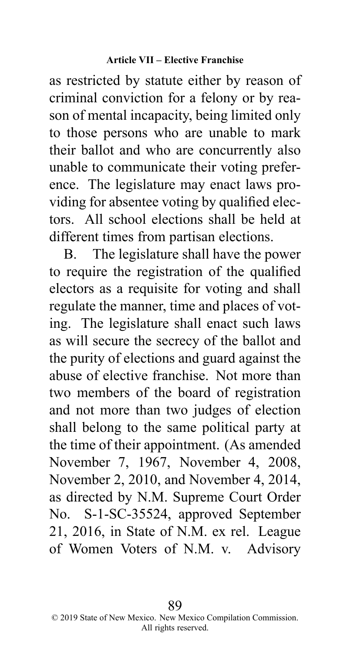as restricted by statute either by reason of criminal conviction for <sup>a</sup> felony or by reason of mental incapacity, being limited only to those persons who are unable to mark their ballot and who are concurrently also unable to communicate their voting preference. The legislature may enact laws providing for absentee voting by qualified electors. All school elections shall be held at different times from partisan elections.

B. The legislature shall have the power to require the registration of the qualified electors as <sup>a</sup> requisite for voting and shall regulate the manner, time and places of voting. The legislature shall enact such laws as will secure the secrecy of the ballot and the purity of elections and guard against the abuse of elective franchise. Not more than two members of the board of registration and not more than two judges of election shall belong to the same political party at the time of their appointment. (As amended November 7, 1967, November 4, 2008, November 2, 2010, and November 4, 2014, as directed by N.M. Supreme Court Order No. S-1-SC-35524, approved September 21, 2016, in State of N.M. ex rel. League of Women Voters of N.M. v. Advisory

89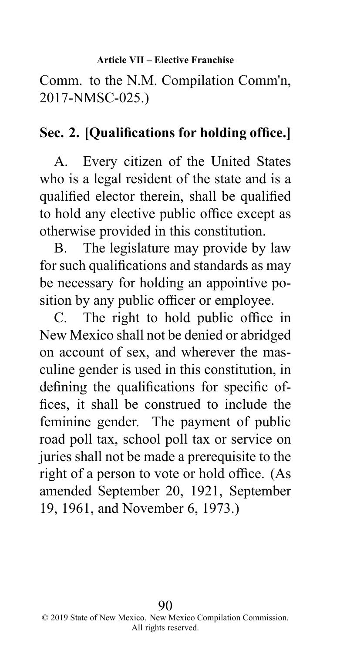#### **Article VII – Elective Franchise**

Comm. to the N.M. Compilation Comm'n, 2017-NMSC-025.)

# **Sec. 2. [Qualifications for holding office.]**

A. Every citizen of the United States who is <sup>a</sup> legal resident of the state and is <sup>a</sup> qualified elector therein, shall be qualified to hold any elective public office excep<sup>t</sup> as otherwise provided in this constitution.

B. The legislature may provide by law for such qualifications and standards as may be necessary for holding an appointive position by any public officer or employee.

C. The right to hold public office in New Mexico shall not be denied or abridged on account of sex, and wherever the masculine gender is used in this constitution, in defining the qualifications for specific offices, it shall be construed to include the feminine gender. The paymen<sup>t</sup> of public road poll tax, school poll tax or service on juries shall not be made <sup>a</sup> prerequisite to the right of <sup>a</sup> person to vote or hold office. (As amended September 20, 1921, September 19, 1961, and November 6, 1973.)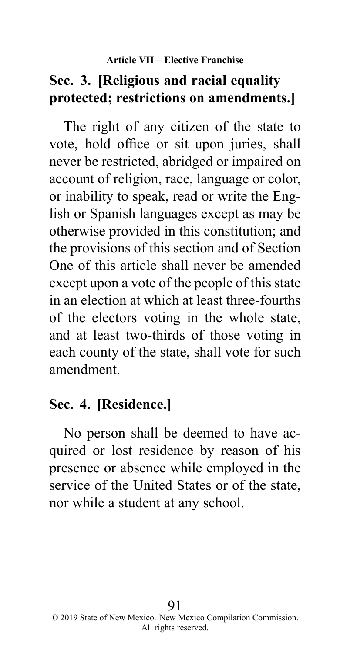### **Sec. 3. [Religious and racial equality protected; restrictions on amendments.]**

The right of any citizen of the state to vote, hold office or sit upon juries, shall never be restricted, abridged or impaired on account of religion, race, language or color, or inability to speak, read or write the English or Spanish languages excep<sup>t</sup> as may be otherwise provided in this constitution; and the provisions of this section and of Section One of this article shall never be amended excep<sup>t</sup> upon <sup>a</sup> vote of the people of this state in an election at which at least three-fourths of the electors voting in the whole state, and at least two-thirds of those voting in each county of the state, shall vote for such amendment.

#### **Sec. 4. [Residence.]**

No person shall be deemed to have acquired or lost residence by reason of his presence or absence while employed in the service of the United States or of the state, nor while <sup>a</sup> student at any school.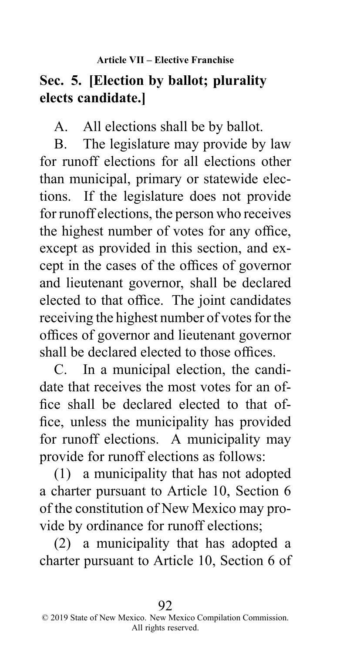# **Sec. 5. [Election by ballot; plurality elects candidate.]**

A. All elections shall be by ballot.

B. The legislature may provide by law for runoff elections for all elections other than municipal, primary or statewide elections. If the legislature does not provide for runoff elections, the person who receives the highest number of votes for any office, excep<sup>t</sup> as provided in this section, and excep<sup>t</sup> in the cases of the offices of governor and lieutenant governor, shall be declared elected to that office. The joint candidates receiving the highest number of votes for the offices of governor and lieutenant governor shall be declared elected to those offices.

C. In <sup>a</sup> municipal election, the candidate that receives the most votes for an office shall be declared elected to that office, unless the municipality has provided for runoff elections. A municipality may provide for runoff elections as follows:

(1) <sup>a</sup> municipality that has not adopted <sup>a</sup> charter pursuan<sup>t</sup> to Article 10, Section 6 of the constitution of New Mexico may provide by ordinance for runoff elections;

(2) <sup>a</sup> municipality that has adopted <sup>a</sup> charter pursuan<sup>t</sup> to Article 10, Section 6 of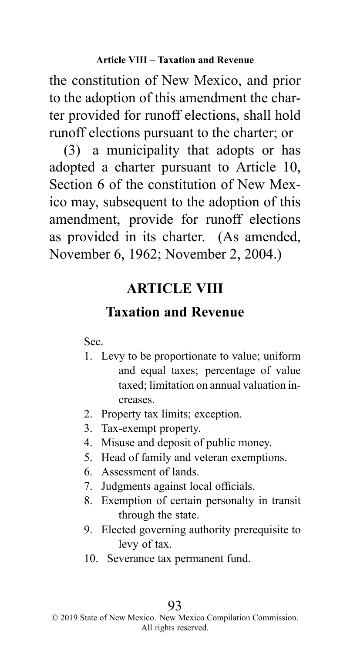the constitution of New Mexico, and prior to the adoption of this amendment the charter provided for runoff elections, shall hold runoff elections pursuan<sup>t</sup> to the charter; or

(3) <sup>a</sup> municipality that adopts or has adopted <sup>a</sup> charter pursuan<sup>t</sup> to Article 10, Section 6 of the constitution of New Mexico may, subsequent to the adoption of this amendment, provide for runoff elections as provided in its charter. (As amended, November 6, 1962; November 2, 2004.)

#### **ARTICLE VIII**

#### **Taxation and Revenue**

Sec.

- 1. Levy to be proportionate to value; uniform and equal taxes; percentage of value taxed; limitation on annual valuation increases.
- 2. Property tax limits; exception.
- 3. Tax-exempt property.
- 4. Misuse and deposit of public money.
- 5. Head of family and veteran exemptions.
- 6. Assessment of lands.
- 7. Judgments against local officials.
- 8. Exemption of certain personalty in transit through the state.
- 9. Elected governing authority prerequisite to levy of tax.
- 10. Severance tax permanen<sup>t</sup> fund.

93

© 2019 State of New Mexico. New Mexico Compilation Commission. All rights reserved.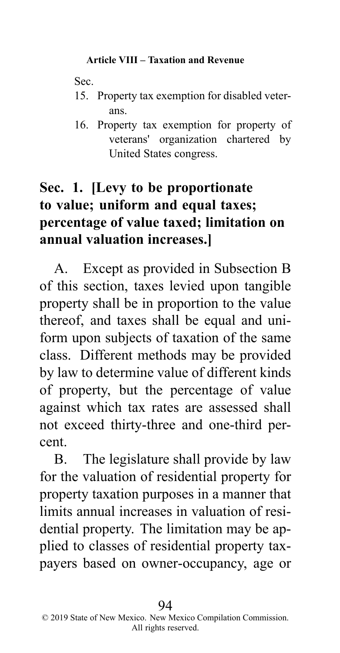#### **Article VIII – Taxation and Revenue**

#### Sec.

- 15. Property tax exemption for disabled veterans.
- 16. Property tax exemption for property of veterans' organization chartered by United States congress.

# **Sec. 1. [Levy to be proportionate to value; uniform and equal taxes; percentage of value taxed; limitation on annual valuation increases.]**

A. Except as provided in Subsection B of this section, taxes levied upon tangible property shall be in proportion to the value thereof, and taxes shall be equal and uniform upon subjects of taxation of the same class. Different methods may be provided by law to determine value of different kinds of property, but the percentage of value against which tax rates are assessed shall not exceed thirty-three and one-third percent.

B. The legislature shall provide by law for the valuation of residential property for property taxation purposes in <sup>a</sup> manner that limits annual increases in valuation of residential property. The limitation may be applied to classes of residential property taxpayers based on owner-occupancy, age or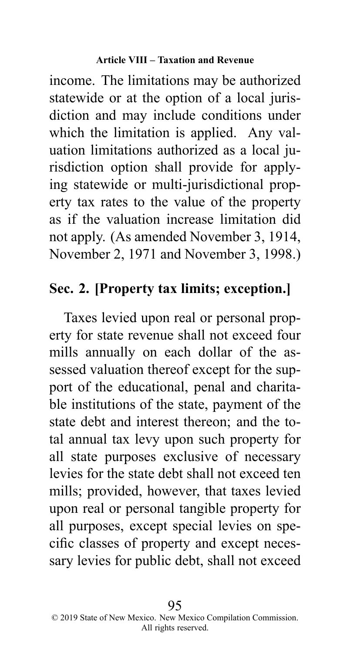income. The limitations may be authorized statewide or at the option of <sup>a</sup> local jurisdiction and may include conditions under which the limitation is applied. Any valuation limitations authorized as <sup>a</sup> local jurisdiction option shall provide for applying statewide or multi-jurisdictional property tax rates to the value of the property as if the valuation increase limitation did not apply. (As amended November 3, 1914, November 2, 1971 and November 3, 1998.)

# **Sec. 2. [Property tax limits; exception.]**

Taxes levied upon real or personal property for state revenue shall not exceed four mills annually on each dollar of the assessed valuation thereof excep<sup>t</sup> for the suppor<sup>t</sup> of the educational, penal and charitable institutions of the state, paymen<sup>t</sup> of the state debt and interest thereon; and the total annual tax levy upon such property for all state purposes exclusive of necessary levies for the state debt shall not exceed ten mills; provided, however, that taxes levied upon real or personal tangible property for all purposes, excep<sup>t</sup> special levies on specific classes of property and excep<sup>t</sup> necessary levies for public debt, shall not exceed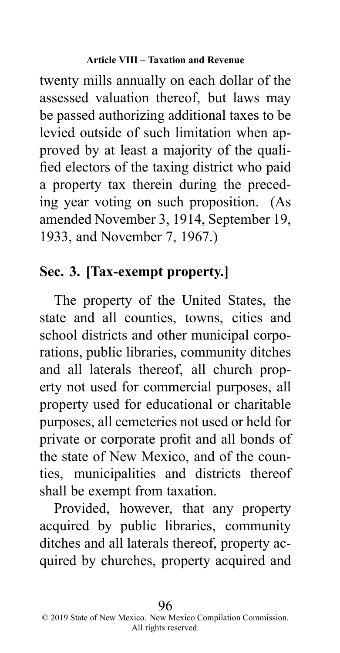twenty mills annually on each dollar of the assessed valuation thereof, but laws may be passed authorizing additional taxes to be levied outside of such limitation when approved by at least <sup>a</sup> majority of the qualified electors of the taxing district who paid <sup>a</sup> property tax therein during the preceding year voting on such proposition. (As amended November 3, 1914, September 19, 1933, and November 7, 1967.)

# **Sec. 3. [Tax-exempt property.]**

The property of the United States, the state and all counties, towns, cities and school districts and other municipal corporations, public libraries, community ditches and all laterals thereof, all church property not used for commercial purposes, all property used for educational or charitable purposes, all cemeteries not used or held for private or corporate profit and all bonds of the state of New Mexico, and of the counties, municipalities and districts thereof shall be exemp<sup>t</sup> from taxation.

Provided, however, that any property acquired by public libraries, community ditches and all laterals thereof, property acquired by churches, property acquired and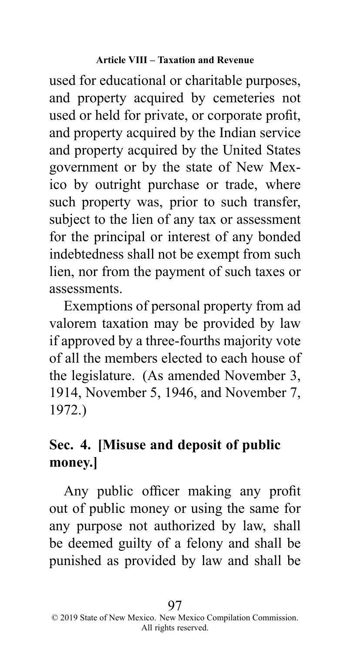used for educational or charitable purposes, and property acquired by cemeteries not used or held for private, or corporate profit, and property acquired by the Indian service and property acquired by the United States governmen<sup>t</sup> or by the state of New Mexico by outright purchase or trade, where such property was, prior to such transfer, subject to the lien of any tax or assessment for the principal or interest of any bonded indebtedness shall not be exemp<sup>t</sup> from such lien, nor from the paymen<sup>t</sup> of such taxes or assessments.

Exemptions of personal property from ad valorem taxation may be provided by law if approved by <sup>a</sup> three-fourths majority vote of all the members elected to each house of the legislature. (As amended November 3, 1914, November 5, 1946, and November 7, 1972.)

# **Sec. 4. [Misuse and deposit of public money.]**

Any public officer making any profit out of public money or using the same for any purpose not authorized by law, shall be deemed guilty of <sup>a</sup> felony and shall be punished as provided by law and shall be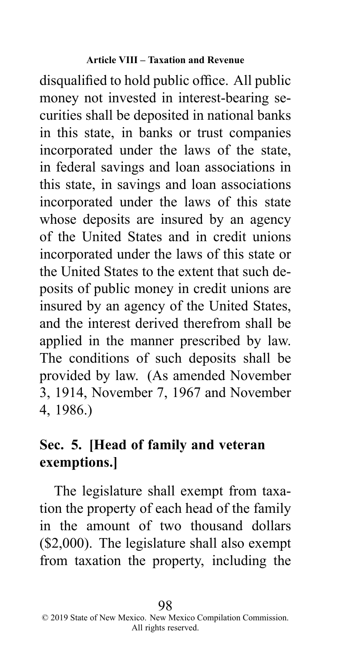disqualified to hold public office. All public money not invested in interest-bearing securities shall be deposited in national banks in this state, in banks or trust companies incorporated under the laws of the state, in federal savings and loan associations in this state, in savings and loan associations incorporated under the laws of this state whose deposits are insured by an agency of the United States and in credit unions incorporated under the laws of this state or the United States to the extent that such deposits of public money in credit unions are insured by an agency of the United States, and the interest derived therefrom shall be applied in the manner prescribed by law. The conditions of such deposits shall be provided by law. (As amended November 3, 1914, November 7, 1967 and November 4, 1986.)

# **Sec. 5. [Head of family and veteran exemptions.]**

The legislature shall exemp<sup>t</sup> from taxation the property of each head of the family in the amount of two thousand dollars (\$2,000). The legislature shall also exemp<sup>t</sup> from taxation the property, including the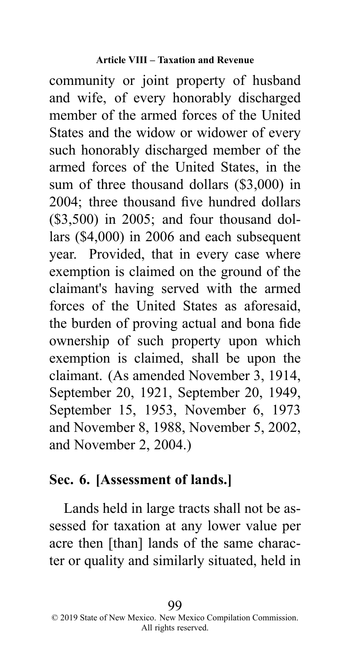community or joint property of husband and wife, of every honorably discharged member of the armed forces of the United States and the widow or widower of every such honorably discharged member of the armed forces of the United States, in the sum of three thousand dollars (\$3,000) in 2004; three thousand five hundred dollars  $($3,500)$  in 2005; and four thousand dollars (\$4,000) in 2006 and each subsequent year. Provided, that in every case where exemption is claimed on the ground of the claimant's having served with the armed forces of the United States as aforesaid, the burden of proving actual and bona fide ownership of such property upon which exemption is claimed, shall be upon the claimant. (As amended November 3, 1914, September 20, 1921, September 20, 1949, September 15, 1953, November 6, 1973 and November 8, 1988, November 5, 2002, and November 2, 2004.)

#### **Sec. 6. [Assessment of lands.]**

Lands held in large tracts shall not be assessed for taxation at any lower value per acre then [than] lands of the same character or quality and similarly situated, held in

<sup>©</sup> 2019 State of New Mexico. New Mexico Compilation Commission. All rights reserved.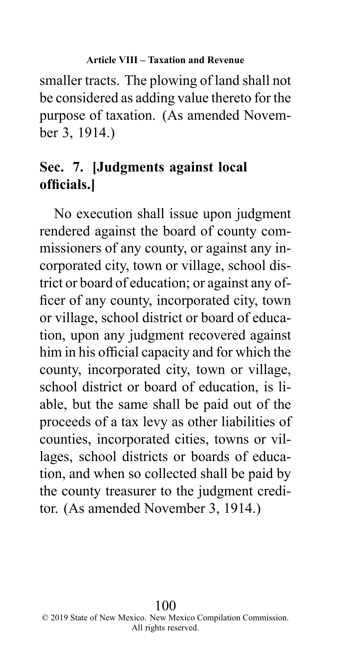#### **Article VIII – Taxation and Revenue**

smaller tracts. The plowing of land shall not be considered as adding value thereto for the purpose of taxation. (As amended November 3, 1914.)

### **Sec. 7. [Judgments against local officials.]**

No execution shall issue upon judgment rendered against the board of county commissioners of any county, or against any incorporated city, town or village, school district or board of education; or against any officer of any county, incorporated city, town or village, school district or board of education, upon any judgment recovered against him in his official capacity and for which the county, incorporated city, town or village, school district or board of education, is liable, but the same shall be paid out of the proceeds of <sup>a</sup> tax levy as other liabilities of counties, incorporated cities, towns or villages, school districts or boards of education, and when so collected shall be paid by the county treasurer to the judgment creditor. (As amended November 3, 1914.)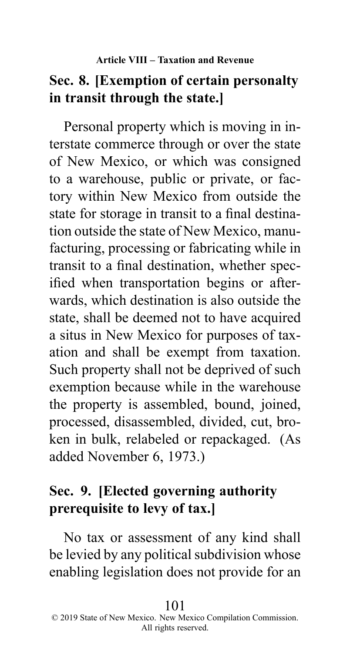### **Sec. 8. [Exemption of certain personalty in transit through the state.]**

Personal property which is moving in interstate commerce through or over the state of New Mexico, or which was consigned to <sup>a</sup> warehouse, public or private, or factory within New Mexico from outside the state for storage in transit to <sup>a</sup> final destination outside the state of New Mexico, manufacturing, processing or fabricating while in transit to <sup>a</sup> final destination, whether specified when transportation begins or afterwards, which destination is also outside the state, shall be deemed not to have acquired <sup>a</sup> situs in New Mexico for purposes of taxation and shall be exemp<sup>t</sup> from taxation. Such property shall not be deprived of such exemption because while in the warehouse the property is assembled, bound, joined, processed, disassembled, divided, cut, broken in bulk, relabeled or repackaged. (As added November 6, 1973.)

# **Sec. 9. [Elected governing authority prerequisite to levy of tax.]**

No tax or assessment of any kind shall be levied by any political subdivision whose enabling legislation does not provide for an

#### 101

<sup>©</sup> 2019 State of New Mexico. New Mexico Compilation Commission. All rights reserved.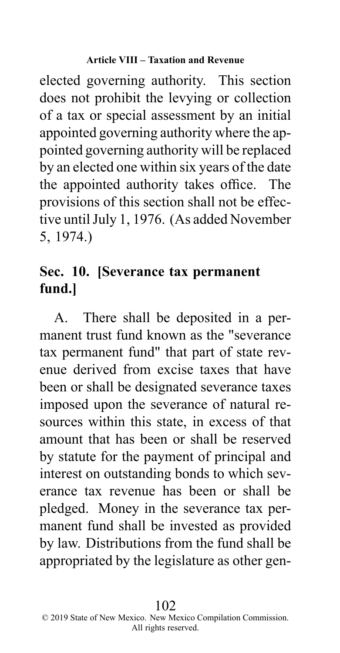elected governing authority. This section does not prohibit the levying or collection of <sup>a</sup> tax or special assessment by an initial appointed governing authority where the appointed governing authority will be replaced by an elected one within six years of the date the appointed authority takes office. The provisions of this section shall not be effective untilJuly 1, 1976. (As added November 5, 1974.)

# **Sec. 10. [Severance tax permanent fund.]**

A. There shall be deposited in <sup>a</sup> permanent trust fund known as the "severance tax permanen<sup>t</sup> fund" that par<sup>t</sup> of state revenue derived from excise taxes that have been or shall be designated severance taxes imposed upon the severance of natural resources within this state, in excess of that amount that has been or shall be reserved by statute for the paymen<sup>t</sup> of principal and interest on outstanding bonds to which severance tax revenue has been or shall be pledged. Money in the severance tax permanent fund shall be invested as provided by law. Distributions from the fund shall be appropriated by the legislature as other gen-

<sup>©</sup> 2019 State of New Mexico. New Mexico Compilation Commission. All rights reserved.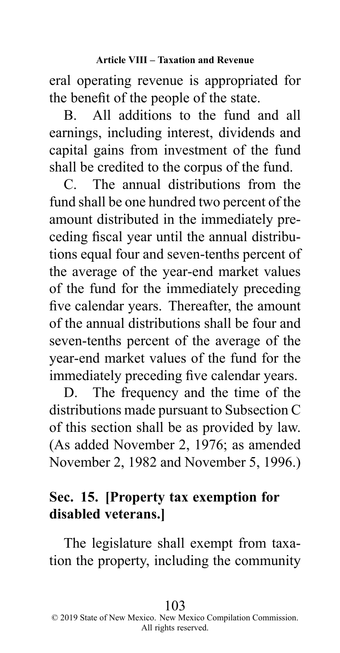eral operating revenue is appropriated for the benefit of the people of the state.

B. All additions to the fund and all earnings, including interest, dividends and capital gains from investment of the fund shall be credited to the corpus of the fund.

C. The annual distributions from the fund shall be one hundred two percen<sup>t</sup> of the amount distributed in the immediately preceding fiscal year until the annual distributions equal four and seven-tenths percen<sup>t</sup> of the average of the year-end market values of the fund for the immediately preceding five calendar years. Thereafter, the amount of the annual distributions shall be four and seven-tenths percen<sup>t</sup> of the average of the year-end market values of the fund for the immediately preceding five calendar years.

D. The frequency and the time of the distributions made pursuan<sup>t</sup> to Subsection C of this section shall be as provided by law. (As added November 2, 1976; as amended November 2, 1982 and November 5, 1996.)

# **Sec. 15. [Property tax exemption for disabled veterans.]**

The legislature shall exemp<sup>t</sup> from taxation the property, including the community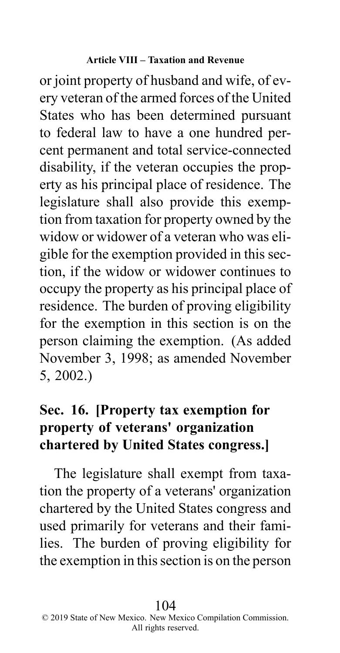#### **Article VIII – Taxation and Revenue**

or joint property of husband and wife, of every veteran of the armed forces of the United States who has been determined pursuan<sup>t</sup> to federal law to have <sup>a</sup> one hundred percent permanen<sup>t</sup> and total service-connected disability, if the veteran occupies the property as his principal place of residence. The legislature shall also provide this exemption from taxation for property owned by the widow or widower of <sup>a</sup> veteran who was eligible for the exemption provided in this section, if the widow or widower continues to occupy the property as his principal place of residence. The burden of proving eligibility for the exemption in this section is on the person claiming the exemption. (As added November 3, 1998; as amended November 5, 2002.)

# **Sec. 16. [Property tax exemption for property of veterans' organization chartered by United States congress.]**

The legislature shall exemp<sup>t</sup> from taxation the property of <sup>a</sup> veterans' organization chartered by the United States congress and used primarily for veterans and their families. The burden of proving eligibility for the exemption in this section is on the person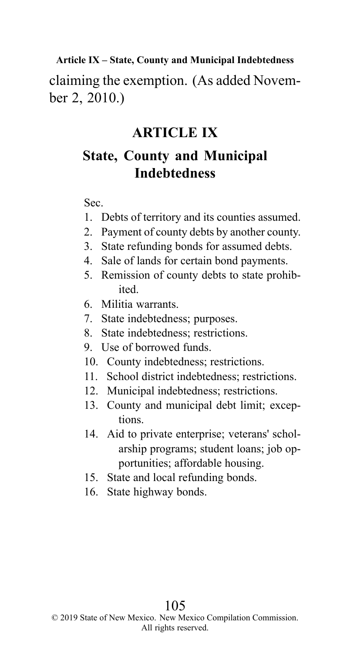claiming the exemption. (As added November 2, 2010.)

### **ARTICLE IX**

#### **State, County and Municipal Indebtedness**

Sec.

- 1. Debts of territory and its counties assumed.
- 2. Payment of county debts by another county.
- 3. State refunding bonds for assumed debts.
- 4. Sale of lands for certain bond payments.
- 5. Remission of county debts to state prohibited.
- 6. Militia warrants.
- 7. State indebtedness; purposes.
- 8. State indebtedness; restrictions.
- 9. Use of borrowed funds.
- 10. County indebtedness; restrictions.
- 11. School district indebtedness; restrictions.
- 12. Municipal indebtedness; restrictions.
- 13. County and municipal debt limit; exceptions.
- 14. Aid to private enterprise; veterans' scholarship programs; student loans; job opportunities; affordable housing.
- 15. State and local refunding bonds.
- 16. State highway bonds.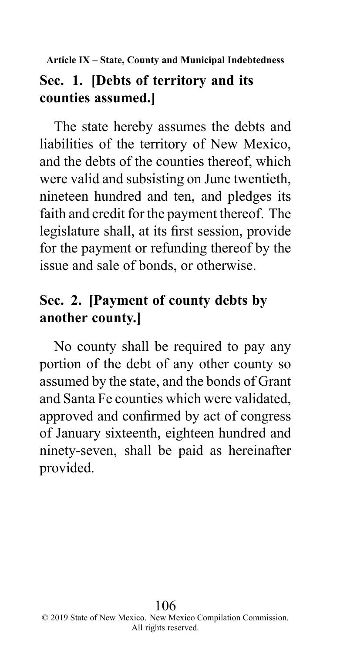## **Sec. 1. [Debts of territory and its counties assumed.]**

The state hereby assumes the debts and liabilities of the territory of New Mexico, and the debts of the counties thereof, which were valid and subsisting on June twentieth, nineteen hundred and ten, and pledges its faith and credit for the paymen<sup>t</sup> thereof. The legislature shall, at its first session, provide for the paymen<sup>t</sup> or refunding thereof by the issue and sale of bonds, or otherwise.

### **Sec. 2. [Payment of county debts by another county.]**

No county shall be required to pay any portion of the debt of any other county so assumed by the state, and the bonds of Grant and Santa Fe counties which were validated, approved and confirmed by act of congress of January sixteenth, eighteen hundred and ninety-seven, shall be paid as hereinafter provided.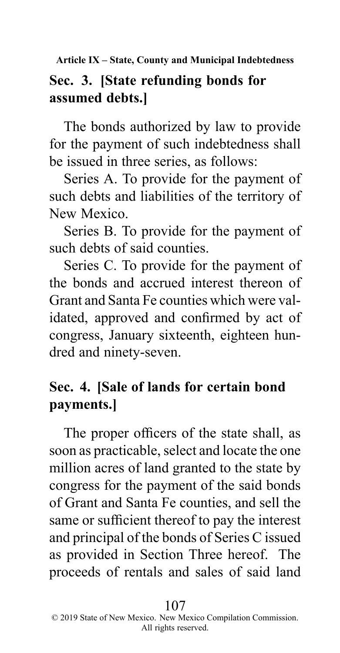### **Sec. 3. [State refunding bonds for assumed debts.]**

The bonds authorized by law to provide for the paymen<sup>t</sup> of such indebtedness shall be issued in three series, as follows:

Series A. To provide for the paymen<sup>t</sup> of such debts and liabilities of the territory of New Mexico.

Series B. To provide for the paymen<sup>t</sup> of such debts of said counties.

Series C. To provide for the paymen<sup>t</sup> of the bonds and accrued interest thereon of Grant and Santa Fe counties which were validated, approved and confirmed by act of congress, January sixteenth, eighteen hundred and ninety-seven.

## **Sec. 4. [Sale of lands for certain bond payments.]**

The proper officers of the state shall, as soon as practicable, select and locate the one million acres of land granted to the state by congress for the paymen<sup>t</sup> of the said bonds of Grant and Santa Fe counties, and sell the same or sufficient thereof to pay the interest and principal of the bonds of Series C issued as provided in Section Three hereof. The proceeds of rentals and sales of said land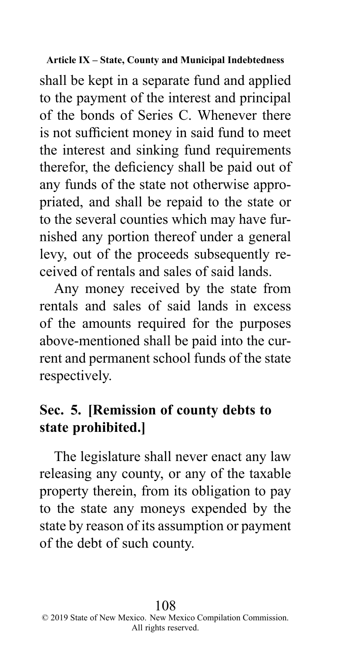shall be kept in <sup>a</sup> separate fund and applied to the paymen<sup>t</sup> of the interest and principal of the bonds of Series C. Whenever there is not sufficient money in said fund to meet the interest and sinking fund requirements therefor, the deficiency shall be paid out of any funds of the state not otherwise appropriated, and shall be repaid to the state or to the several counties which may have furnished any portion thereof under <sup>a</sup> general levy, out of the proceeds subsequently received of rentals and sales of said lands.

Any money received by the state from rentals and sales of said lands in excess of the amounts required for the purposes above-mentioned shall be paid into the current and permanen<sup>t</sup> school funds of the state respectively.

### **Sec. 5. [Remission of county debts to state prohibited.]**

The legislature shall never enact any law releasing any county, or any of the taxable property therein, from its obligation to pay to the state any moneys expended by the state by reason of its assumption or paymen<sup>t</sup> of the debt of such county.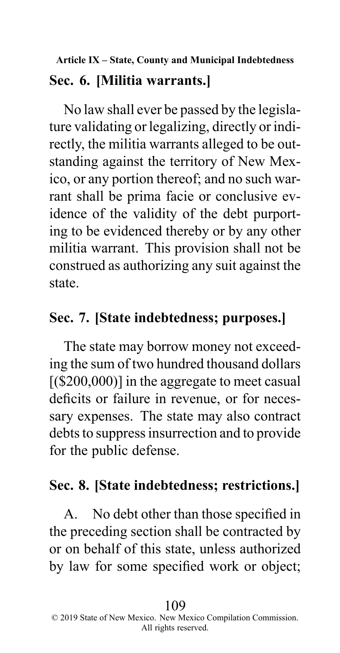**Article IX – State, County and Municipal Indebtedness Sec. 6. [Militia warrants.]**

No law shall ever be passed by the legislature validating or legalizing, directly or indirectly, the militia warrants alleged to be outstanding against the territory of New Mexico, or any portion thereof; and no such warrant shall be prima facie or conclusive evidence of the validity of the debt purporting to be evidenced thereby or by any other militia warrant. This provision shall not be construed as authorizing any suit against the state.

### **Sec. 7. [State indebtedness; purposes.]**

The state may borrow money not exceeding the sum of two hundred thousand dollars [(\$200,000)] in the aggregate to meet casual deficits or failure in revenue, or for necessary expenses. The state may also contract debts to suppress insurrection and to provide for the public defense.

### **Sec. 8. [State indebtedness; restrictions.]**

A. No debt other than those specified in the preceding section shall be contracted by or on behalf of this state, unless authorized by law for some specified work or object;

#### 109

© 2019 State of New Mexico. New Mexico Compilation Commission. All rights reserved.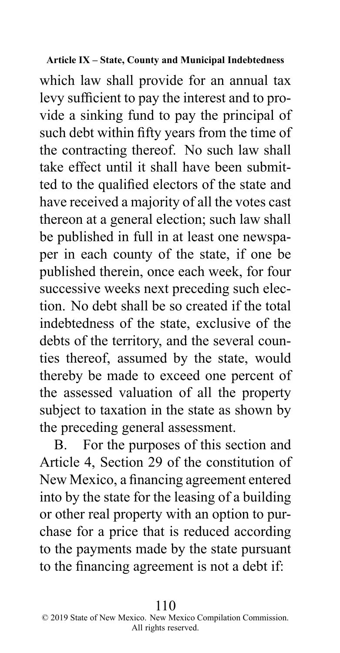which law shall provide for an annual tax levy sufficient to pay the interest and to provide <sup>a</sup> sinking fund to pay the principal of such debt within fifty years from the time of the contracting thereof. No such law shall take effect until it shall have been submitted to the qualified electors of the state and have received <sup>a</sup> majority of all the votes cast thereon at <sup>a</sup> general election; such law shall be published in full in at least one newspaper in each county of the state, if one be published therein, once each week, for four successive weeks next preceding such election. No debt shall be so created if the total indebtedness of the state, exclusive of the debts of the territory, and the several counties thereof, assumed by the state, would thereby be made to exceed one percen<sup>t</sup> of the assessed valuation of all the property subject to taxation in the state as shown by the preceding general assessment.

B. For the purposes of this section and Article 4, Section 29 of the constitution of New Mexico, <sup>a</sup> financing agreemen<sup>t</sup> entered into by the state for the leasing of <sup>a</sup> building or other real property with an option to purchase for <sup>a</sup> price that is reduced according to the payments made by the state pursuan<sup>t</sup> to the financing agreemen<sup>t</sup> is not <sup>a</sup> debt if: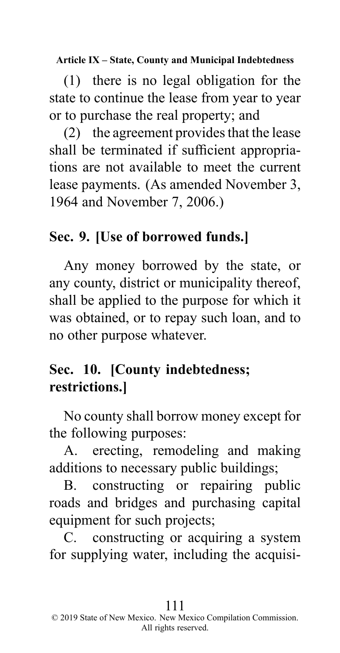(1) there is no legal obligation for the state to continue the lease from year to year or to purchase the real property; and

(2) the agreement provides that the lease shall be terminated if sufficient appropriations are not available to meet the current lease payments. (As amended November 3, 1964 and November 7, 2006.)

### **Sec. 9. [Use of borrowed funds.]**

Any money borrowed by the state, or any county, district or municipality thereof, shall be applied to the purpose for which it was obtained, or to repay such loan, and to no other purpose whatever.

## **Sec. 10. [County indebtedness; restrictions.]**

No county shall borrow money excep<sup>t</sup> for the following purposes:

A. erecting, remodeling and making additions to necessary public buildings;

B. constructing or repairing public roads and bridges and purchasing capital equipment for such projects;

C. constructing or acquiring <sup>a</sup> system for supplying water, including the acquisi-

<sup>©</sup> 2019 State of New Mexico. New Mexico Compilation Commission. All rights reserved.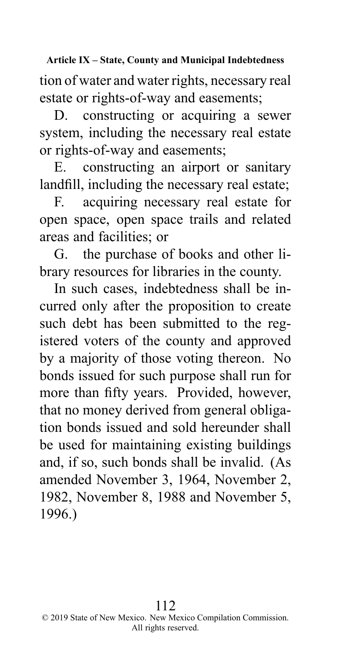**Article IX – State, County and Municipal Indebtedness** tion of water and water rights, necessary real estate or rights-of-way and easements;

D. constructing or acquiring <sup>a</sup> sewer system, including the necessary real estate or rights-of-way and easements;

E. constructing an airport or sanitary landfill, including the necessary real estate;

F. acquiring necessary real estate for open space, open space trails and related areas and facilities; or

G. the purchase of books and other library resources for libraries in the county.

In such cases, indebtedness shall be incurred only after the proposition to create such debt has been submitted to the registered voters of the county and approved by <sup>a</sup> majority of those voting thereon. No bonds issued for such purpose shall run for more than fifty years. Provided, however, that no money derived from general obligation bonds issued and sold hereunder shall be used for maintaining existing buildings and, if so, such bonds shall be invalid. (As amended November 3, 1964, November 2, 1982, November 8, 1988 and November 5, 1996.)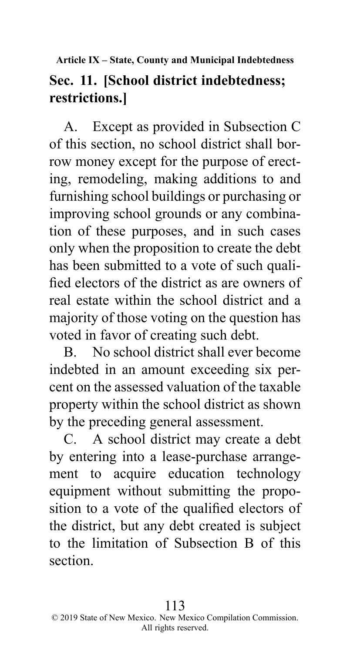# **Sec. 11. [School district indebtedness; restrictions.]**

A. Except as provided in Subsection C of this section, no school district shall borrow money excep<sup>t</sup> for the purpose of erecting, remodeling, making additions to and furnishing school buildings or purchasing or improving school grounds or any combination of these purposes, and in such cases only when the proposition to create the debt has been submitted to <sup>a</sup> vote of such qualified electors of the district as are owners of real estate within the school district and <sup>a</sup> majority of those voting on the question has voted in favor of creating such debt.

B. No school district shall ever become indebted in an amount exceeding six percent on the assessed valuation of the taxable property within the school district as shown by the preceding general assessment.

C. A school district may create <sup>a</sup> debt by entering into <sup>a</sup> lease-purchase arrangement to acquire education technology equipment without submitting the proposition to <sup>a</sup> vote of the qualified electors of the district, but any debt created is subject to the limitation of Subsection B of this section.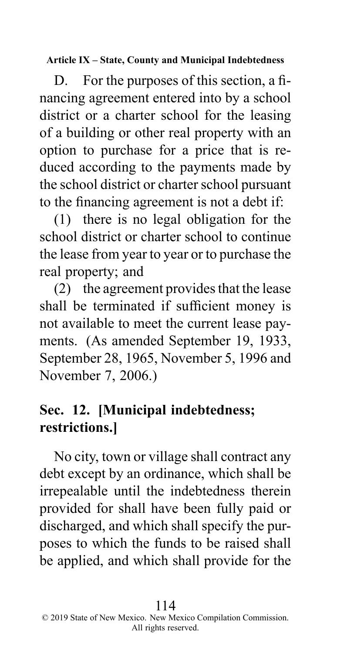D. For the purposes of this section, <sup>a</sup> financing agreemen<sup>t</sup> entered into by <sup>a</sup> school district or <sup>a</sup> charter school for the leasing of <sup>a</sup> building or other real property with an option to purchase for <sup>a</sup> price that is reduced according to the payments made by the school district or charter school pursuant to the financing agreemen<sup>t</sup> is not <sup>a</sup> debt if:

(1) there is no legal obligation for the school district or charter school to continue the lease from year to year or to purchase the real property; and

(2) the agreement provides that the lease shall be terminated if sufficient money is not available to meet the current lease payments. (As amended September 19, 1933, September 28, 1965, November 5, 1996 and November 7, 2006.)

## **Sec. 12. [Municipal indebtedness; restrictions.]**

No city, town or village shall contract any debt excep<sup>t</sup> by an ordinance, which shall be irrepealable until the indebtedness therein provided for shall have been fully paid or discharged, and which shall specify the purposes to which the funds to be raised shall be applied, and which shall provide for the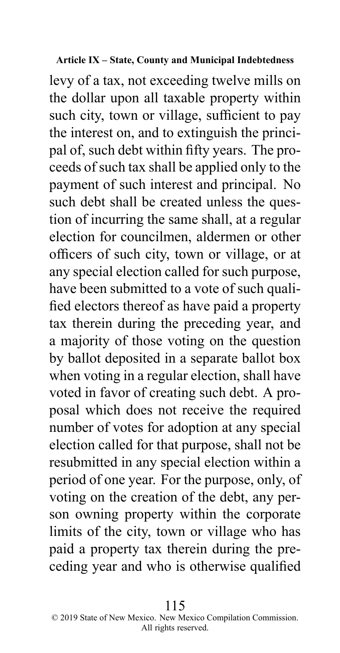levy of <sup>a</sup> tax, not exceeding twelve mills on the dollar upon all taxable property within such city, town or village, sufficient to pay the interest on, and to extinguish the principal of, such debt within fifty years. The proceeds of such tax shall be applied only to the paymen<sup>t</sup> of such interest and principal. No such debt shall be created unless the question of incurring the same shall, at <sup>a</sup> regular election for councilmen, aldermen or other officers of such city, town or village, or at any special election called for such purpose, have been submitted to a vote of such qualified electors thereof as have paid <sup>a</sup> property tax therein during the preceding year, and <sup>a</sup> majority of those voting on the question by ballot deposited in <sup>a</sup> separate ballot box when voting in <sup>a</sup> regular election, shall have voted in favor of creating such debt. A proposal which does not receive the required number of votes for adoption at any special election called for that purpose, shall not be resubmitted in any special election within <sup>a</sup> period of one year. For the purpose, only, of voting on the creation of the debt, any person owning property within the corporate limits of the city, town or village who has paid <sup>a</sup> property tax therein during the preceding year and who is otherwise qualified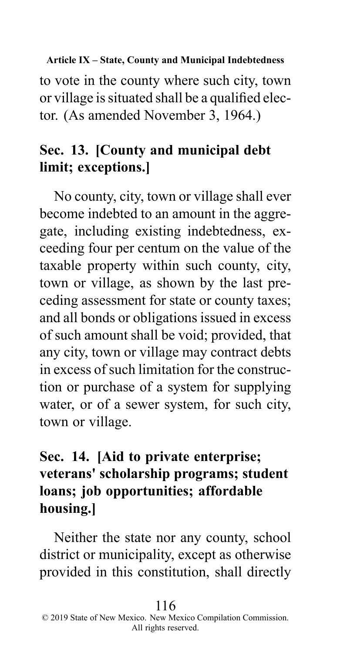to vote in the county where such city, town or village issituated shall be <sup>a</sup> qualified elector. (As amended November 3, 1964.)

### **Sec. 13. [County and municipal debt limit; exceptions.]**

No county, city, town or village shall ever become indebted to an amount in the aggregate, including existing indebtedness, exceeding four per centum on the value of the taxable property within such county, city, town or village, as shown by the last preceding assessment for state or county taxes; and all bonds or obligations issued in excess of such amount shall be void; provided, that any city, town or village may contract debts in excess of such limitation for the construction or purchase of <sup>a</sup> system for supplying water, or of <sup>a</sup> sewer system, for such city, town or village.

### **Sec. 14. [Aid to private enterprise; veterans' scholarship programs; student loans; job opportunities; affordable housing.]**

Neither the state nor any county, school district or municipality, excep<sup>t</sup> as otherwise provided in this constitution, shall directly

<sup>116</sup>

<sup>©</sup> 2019 State of New Mexico. New Mexico Compilation Commission. All rights reserved.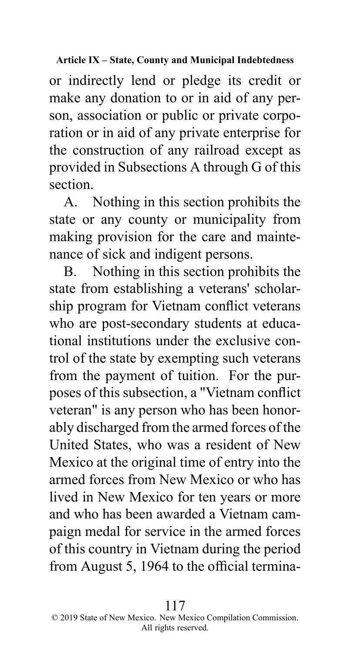or indirectly lend or pledge its credit or make any donation to or in aid of any person, association or public or private corporation or in aid of any private enterprise for the construction of any railroad excep<sup>t</sup> as provided in Subsections A through G of this section.

A. Nothing in this section prohibits the state or any county or municipality from making provision for the care and maintenance of sick and indigent persons.

B. Nothing in this section prohibits the state from establishing <sup>a</sup> veterans' scholarship program for Vietnam conflict veterans who are post-secondary students at educational institutions under the exclusive control of the state by exempting such veterans from the paymen<sup>t</sup> of tuition. For the purposes of this subsection, <sup>a</sup> "Vietnam conflict veteran" is any person who has been honorably discharged from the armed forces of the United States, who was <sup>a</sup> resident of New Mexico at the original time of entry into the armed forces from New Mexico or who has lived in New Mexico for ten years or more and who has been awarded <sup>a</sup> Vietnam campaign medal for service in the armed forces of this country in Vietnam during the period from August 5, 1964 to the official termina-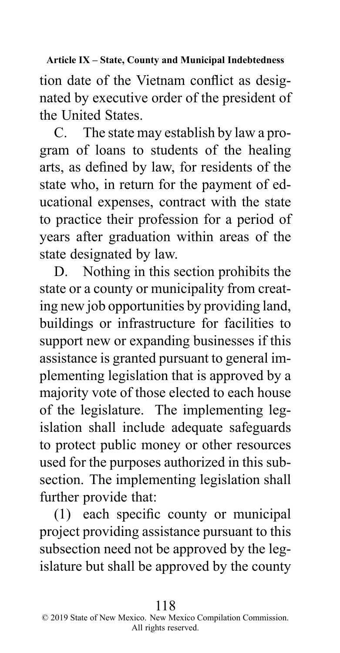tion date of the Vietnam conflict as designated by executive order of the president of the United States.

C. The state may establish by law <sup>a</sup> program of loans to students of the healing arts, as defined by law, for residents of the state who, in return for the paymen<sup>t</sup> of educational expenses, contract with the state to practice their profession for <sup>a</sup> period of years after graduation within areas of the state designated by law.

D. Nothing in this section prohibits the state or <sup>a</sup> county or municipality from creating new job opportunities by providing land, buildings or infrastructure for facilities to suppor<sup>t</sup> new or expanding businesses if this assistance is granted pursuan<sup>t</sup> to general implementing legislation that is approved by <sup>a</sup> majority vote of those elected to each house of the legislature. The implementing legislation shall include adequate safeguards to protect public money or other resources used for the purposes authorized in this subsection. The implementing legislation shall further provide that:

(1) each specific county or municipal project providing assistance pursuan<sup>t</sup> to this subsection need not be approved by the legislature but shall be approved by the county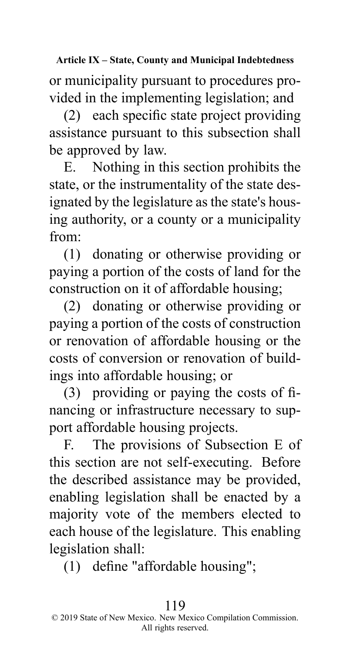**Article IX – State, County and Municipal Indebtedness** or municipality pursuan<sup>t</sup> to procedures provided in the implementing legislation; and

(2) each specific state project providing assistance pursuan<sup>t</sup> to this subsection shall be approved by law.

E. Nothing in this section prohibits the state, or the instrumentality of the state designated by the legislature as the state's housing authority, or <sup>a</sup> county or <sup>a</sup> municipality from:

(1) donating or otherwise providing or paying <sup>a</sup> portion of the costs of land for the construction on it of affordable housing;

(2) donating or otherwise providing or paying <sup>a</sup> portion of the costs of construction or renovation of affordable housing or the costs of conversion or renovation of buildings into affordable housing; or

(3) providing or paying the costs of financing or infrastructure necessary to suppor<sup>t</sup> affordable housing projects.

F. The provisions of Subsection E of this section are not self-executing. Before the described assistance may be provided, enabling legislation shall be enacted by <sup>a</sup> majority vote of the members elected to each house of the legislature. This enabling legislation shall:

(1) define "affordable housing";

#### 119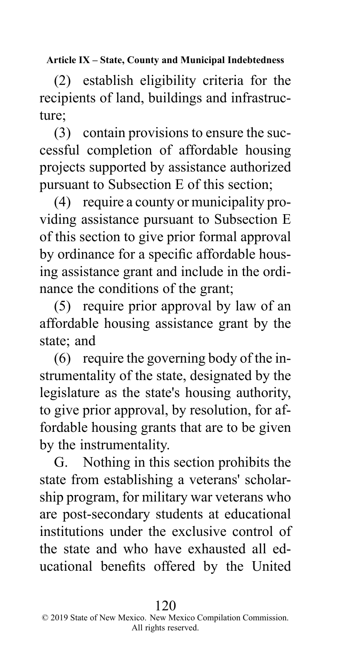(2) establish eligibility criteria for the recipients of land, buildings and infrastructure;

(3) contain provisions to ensure the successful completion of affordable housing projects supported by assistance authorized pursuan<sup>t</sup> to Subsection E of this section;

(4) require <sup>a</sup> county or municipality providing assistance pursuan<sup>t</sup> to Subsection E of this section to give prior formal approval by ordinance for <sup>a</sup> specific affordable housing assistance gran<sup>t</sup> and include in the ordinance the conditions of the grant;

(5) require prior approval by law of an affordable housing assistance gran<sup>t</sup> by the state; and

(6) require the governing body of the instrumentality of the state, designated by the legislature as the state's housing authority, to give prior approval, by resolution, for affordable housing grants that are to be given by the instrumentality.

G. Nothing in this section prohibits the state from establishing <sup>a</sup> veterans' scholarship program, for military war veterans who are post-secondary students at educational institutions under the exclusive control of the state and who have exhausted all educational benefits offered by the United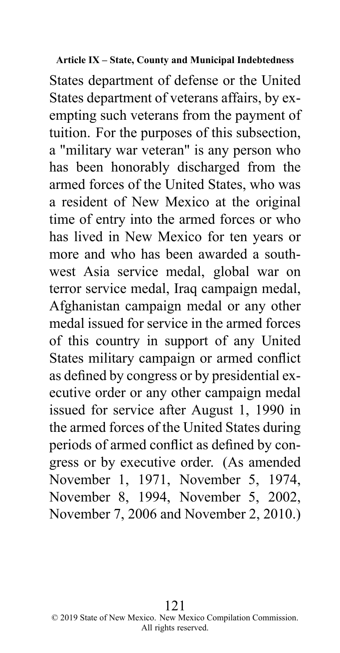States department of defense or the United States department of veterans affairs, by exempting such veterans from the paymen<sup>t</sup> of tuition. For the purposes of this subsection, <sup>a</sup> "military war veteran" is any person who has been honorably discharged from the armed forces of the United States, who was <sup>a</sup> resident of New Mexico at the original time of entry into the armed forces or who has lived in New Mexico for ten years or more and who has been awarded <sup>a</sup> southwest Asia service medal, global war on terror service medal, Iraq campaign medal, Afghanistan campaign medal or any other medal issued for service in the armed forces of this country in suppor<sup>t</sup> of any United States military campaign or armed conflict as defined by congress or by presidential executive order or any other campaign medal issued for service after August 1, 1990 in the armed forces of the United States during periods of armed conflict as defined by congress or by executive order. (As amended November 1, 1971, November 5, 1974, November 8, 1994, November 5, 2002, November 7, 2006 and November 2, 2010.)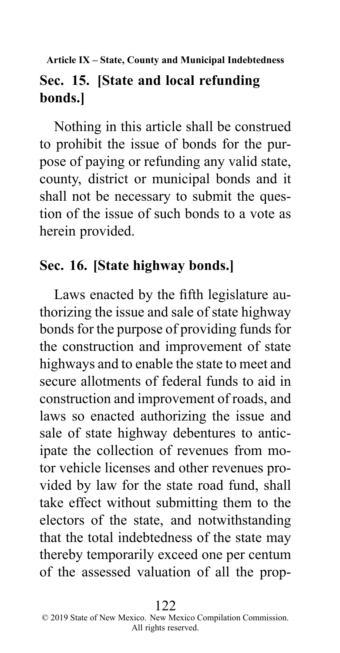# **Sec. 15. [State and local refunding bonds.]**

Nothing in this article shall be construed to prohibit the issue of bonds for the purpose of paying or refunding any valid state, county, district or municipal bonds and it shall not be necessary to submit the question of the issue of such bonds to <sup>a</sup> vote as herein provided.

#### **Sec. 16. [State highway bonds.]**

Laws enacted by the fifth legislature authorizing the issue and sale of state highway bonds for the purpose of providing funds for the construction and improvement of state highways and to enable the state to meet and secure allotments of federal funds to aid in construction and improvement of roads, and laws so enacted authorizing the issue and sale of state highway debentures to anticipate the collection of revenues from motor vehicle licenses and other revenues provided by law for the state road fund, shall take effect without submitting them to the electors of the state, and notwithstanding that the total indebtedness of the state may thereby temporarily exceed one per centum of the assessed valuation of all the prop-

<sup>122</sup> 

<sup>©</sup> 2019 State of New Mexico. New Mexico Compilation Commission. All rights reserved.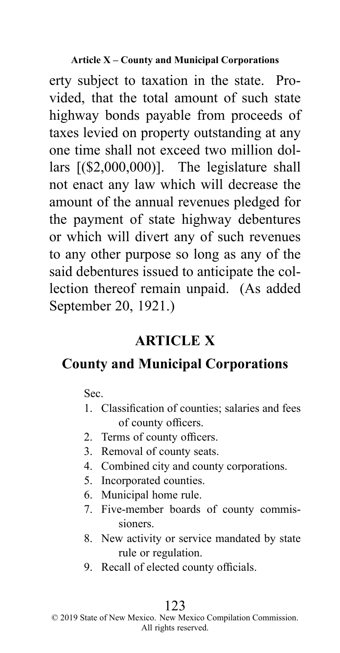erty subject to taxation in the state. Provided, that the total amount of such state highway bonds payable from proceeds of taxes levied on property outstanding at any one time shall not exceed two million dollars [(\$2,000,000)]. The legislature shall not enact any law which will decrease the amount of the annual revenues pledged for the paymen<sup>t</sup> of state highway debentures or which will divert any of such revenues to any other purpose so long as any of the said debentures issued to anticipate the collection thereof remain unpaid. (As added September 20, 1921.)

### **ARTICLE X**

### **County and Municipal Corporations**

Sec.

- 1. Classification of counties; salaries and fees of county officers.
- 2. Terms of county officers.
- 3. Removal of county seats.
- 4. Combined city and county corporations.
- 5. Incorporated counties.
- 6. Municipal home rule.
- 7. Five-member boards of county commissioners.
- 8. New activity or service mandated by state rule or regulation.
- 9. Recall of elected county officials.

123

© 2019 State of New Mexico. New Mexico Compilation Commission. All rights reserved.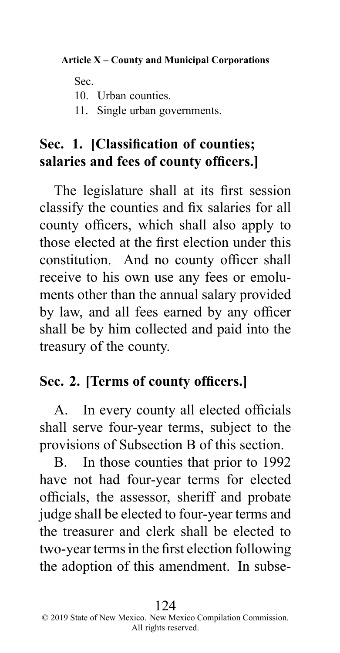Sec.

10. Urban counties.

11. Single urban governments.

### **Sec. 1. [Classification of counties; salaries and fees of county officers.]**

The legislature shall at its first session classify the counties and fix salaries for all county officers, which shall also apply to those elected at the first election under this constitution. And no county officer shall receive to his own use any fees or emoluments other than the annual salary provided by law, and all fees earned by any officer shall be by him collected and paid into the treasury of the county.

### **Sec. 2. [Terms of county officers.]**

A. In every county all elected officials shall serve four-year terms, subject to the provisions of Subsection B of this section.

B. In those counties that prior to 1992 have not had four-year terms for elected officials, the assessor, sheriff and probate judge shall be elected to four-year terms and the treasurer and clerk shall be elected to two-year termsin the first election following the adoption of this amendment. In subse-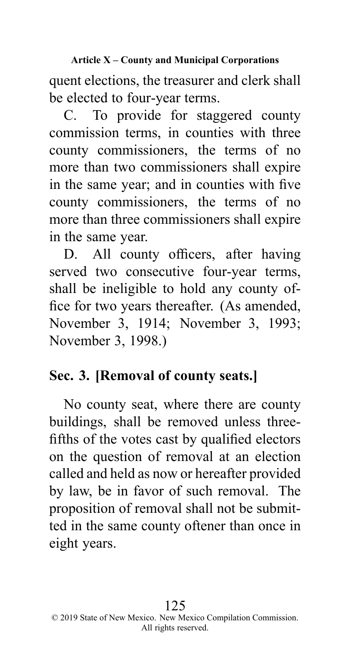quen<sup>t</sup> elections, the treasurer and clerk shall be elected to four-year terms.

C. To provide for staggered county commission terms, in counties with three county commissioners, the terms of no more than two commissioners shall expire in the same year; and in counties with five county commissioners, the terms of no more than three commissioners shall expire in the same year.

D. All county officers, after having served two consecutive four-year terms, shall be ineligible to hold any county office for two years thereafter. (As amended, November 3, 1914; November 3, 1993; November 3, 1998.)

## **Sec. 3. [Removal of county seats.]**

No county seat, where there are county buildings, shall be removed unless threefifths of the votes cast by qualified electors on the question of removal at an election called and held as now or hereafter provided by law, be in favor of such removal. The proposition of removal shall not be submitted in the same county oftener than once in eight years.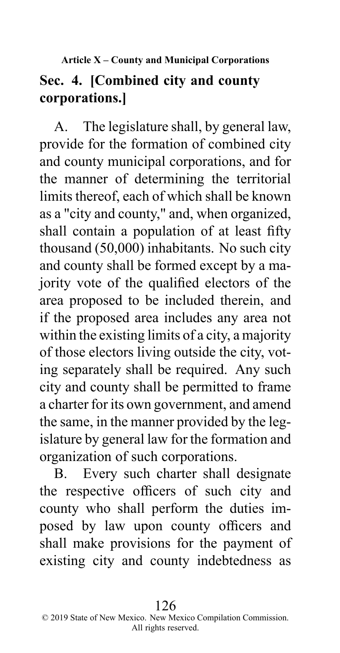## **Sec. 4. [Combined city and county corporations.]**

A. The legislature shall, by general law, provide for the formation of combined city and county municipal corporations, and for the manner of determining the territorial limits thereof, each of which shall be known as <sup>a</sup> "city and county," and, when organized, shall contain <sup>a</sup> population of at least fifty thousand (50,000) inhabitants. No such city and county shall be formed excep<sup>t</sup> by <sup>a</sup> majority vote of the qualified electors of the area proposed to be included therein, and if the proposed area includes any area not within the existing limits of <sup>a</sup> city, <sup>a</sup> majority of those electors living outside the city, voting separately shall be required. Any such city and county shall be permitted to frame <sup>a</sup> charter for its own government, and amend the same, in the manner provided by the legislature by general law for the formation and organization of such corporations.

B. Every such charter shall designate the respective officers of such city and county who shall perform the duties imposed by law upon county officers and shall make provisions for the paymen<sup>t</sup> of existing city and county indebtedness as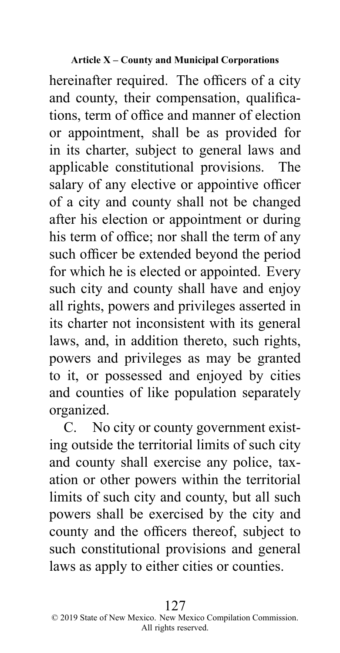hereinafter required. The officers of <sup>a</sup> city and county, their compensation, qualifications, term of office and manner of election or appointment, shall be as provided for in its charter, subject to general laws and applicable constitutional provisions. The salary of any elective or appointive officer of <sup>a</sup> city and county shall not be changed after his election or appointment or during his term of office; nor shall the term of any such officer be extended beyond the period for which he is elected or appointed. Every such city and county shall have and enjoy all rights, powers and privileges asserted in its charter not inconsistent with its general laws, and, in addition thereto, such rights, powers and privileges as may be granted to it, or possessed and enjoyed by cities and counties of like population separately organized.

C. No city or county governmen<sup>t</sup> existing outside the territorial limits of such city and county shall exercise any police, taxation or other powers within the territorial limits of such city and county, but all such powers shall be exercised by the city and county and the officers thereof, subject to such constitutional provisions and general laws as apply to either cities or counties.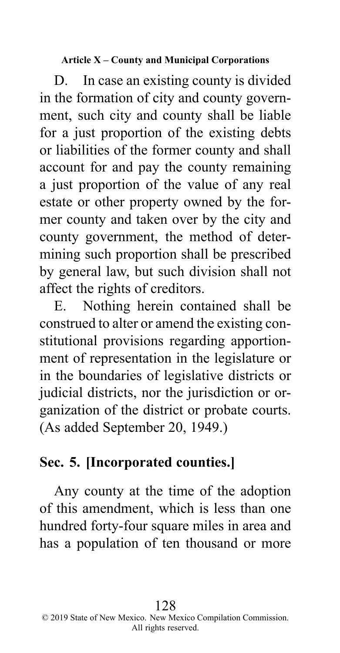D. In case an existing county is divided in the formation of city and county government, such city and county shall be liable for <sup>a</sup> just proportion of the existing debts or liabilities of the former county and shall account for and pay the county remaining <sup>a</sup> just proportion of the value of any real estate or other property owned by the former county and taken over by the city and county government, the method of determining such proportion shall be prescribed by general law, but such division shall not affect the rights of creditors.

E. Nothing herein contained shall be construed to alter or amend the existing constitutional provisions regarding apportionment of representation in the legislature or in the boundaries of legislative districts or judicial districts, nor the jurisdiction or organization of the district or probate courts. (As added September 20, 1949.)

### **Sec. 5. [Incorporated counties.]**

Any county at the time of the adoption of this amendment, which is less than one hundred forty-four square miles in area and has <sup>a</sup> population of ten thousand or more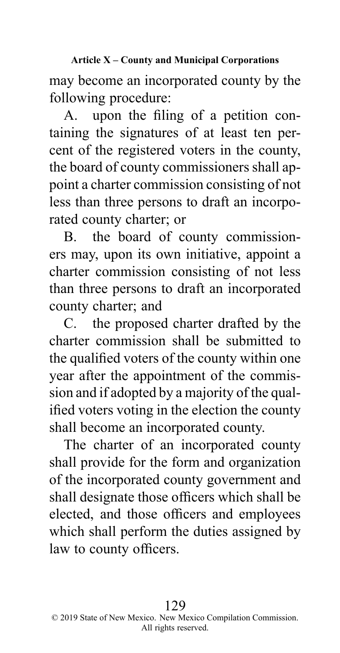may become an incorporated county by the following procedure:

A. upon the filing of <sup>a</sup> petition containing the signatures of at least ten percent of the registered voters in the county, the board of county commissioners shall appoint <sup>a</sup> charter commission consisting of not less than three persons to draft an incorporated county charter; or

B. the board of county commissioners may, upon its own initiative, appoint <sup>a</sup> charter commission consisting of not less than three persons to draft an incorporated county charter; and

C. the proposed charter drafted by the charter commission shall be submitted to the qualified voters of the county within one year after the appointment of the commission and if adopted by <sup>a</sup> majority of the qualified voters voting in the election the county shall become an incorporated county.

The charter of an incorporated county shall provide for the form and organization of the incorporated county governmen<sup>t</sup> and shall designate those officers which shall be elected, and those officers and employees which shall perform the duties assigned by law to county officers.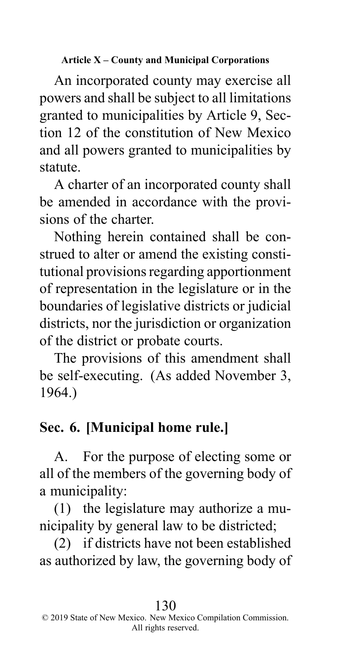An incorporated county may exercise all powers and shall be subject to all limitations granted to municipalities by Article 9, Section 12 of the constitution of New Mexico and all powers granted to municipalities by statute.

A charter of an incorporated county shall be amended in accordance with the provisions of the charter.

Nothing herein contained shall be construed to alter or amend the existing constitutional provisions regarding apportionment of representation in the legislature or in the boundaries of legislative districts or judicial districts, nor the jurisdiction or organization of the district or probate courts.

The provisions of this amendment shall be self-executing. (As added November 3, 1964.)

### **Sec. 6. [Municipal home rule.]**

A. For the purpose of electing some or all of the members of the governing body of <sup>a</sup> municipality:

(1) the legislature may authorize <sup>a</sup> municipality by general law to be districted;

(2) if districts have not been established as authorized by law, the governing body of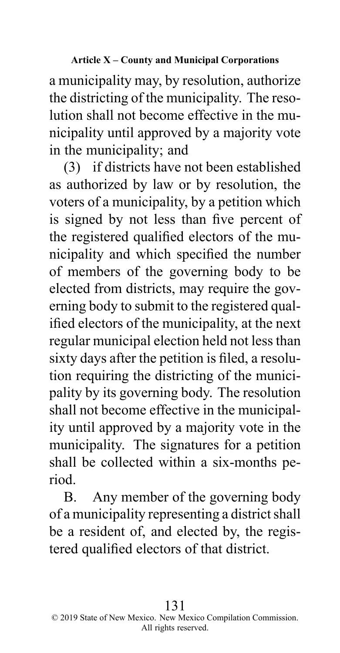<sup>a</sup> municipality may, by resolution, authorize the districting of the municipality. The resolution shall not become effective in the municipality until approved by <sup>a</sup> majority vote in the municipality; and

(3) if districts have not been established as authorized by law or by resolution, the voters of <sup>a</sup> municipality, by <sup>a</sup> petition which is signed by not less than five percen<sup>t</sup> of the registered qualified electors of the municipality and which specified the number of members of the governing body to be elected from districts, may require the governing body to submit to the registered qualified electors of the municipality, at the next regular municipal election held not less than sixty days after the petition is filed, <sup>a</sup> resolution requiring the districting of the municipality by its governing body. The resolution shall not become effective in the municipality until approved by <sup>a</sup> majority vote in the municipality. The signatures for <sup>a</sup> petition shall be collected within <sup>a</sup> six-months period.

B. Any member of the governing body of a municipality representing a district shall be <sup>a</sup> resident of, and elected by, the registered qualified electors of that district.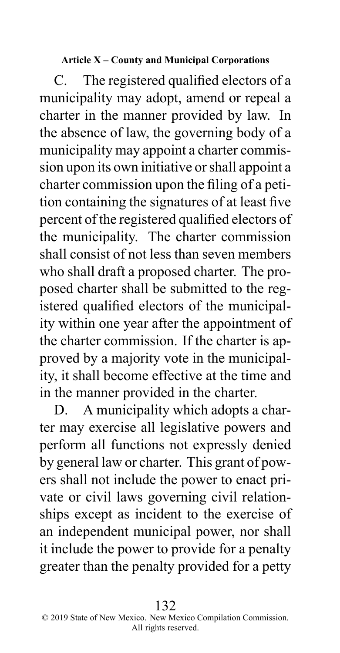C. The registered qualified electors of <sup>a</sup> municipality may adopt, amend or repeal <sup>a</sup> charter in the manner provided by law. In the absence of law, the governing body of <sup>a</sup> municipality may appoint <sup>a</sup> charter commission upon its own initiative orshall appoint <sup>a</sup> charter commission upon the filing of <sup>a</sup> petition containing the signatures of at least five percen<sup>t</sup> of the registered qualified electors of the municipality. The charter commission shall consist of not less than seven members who shall draft a proposed charter. The proposed charter shall be submitted to the registered qualified electors of the municipality within one year after the appointment of the charter commission. If the charter is approved by <sup>a</sup> majority vote in the municipality, it shall become effective at the time and in the manner provided in the charter.

D. A municipality which adopts <sup>a</sup> charter may exercise all legislative powers and perform all functions not expressly denied by general law or charter. This gran<sup>t</sup> of powers shall not include the power to enact private or civil laws governing civil relationships excep<sup>t</sup> as incident to the exercise of an independent municipal power, nor shall it include the power to provide for <sup>a</sup> penalty greater than the penalty provided for <sup>a</sup> petty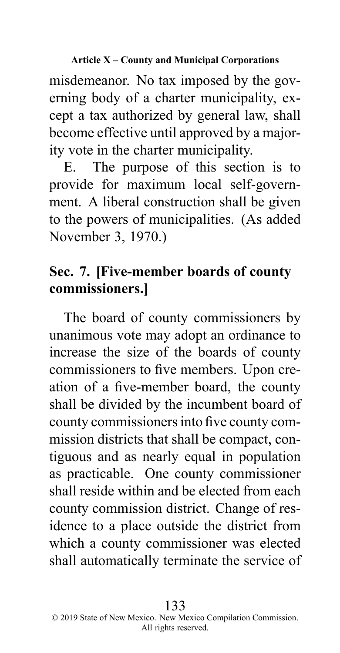misdemeanor. No tax imposed by the governing body of <sup>a</sup> charter municipality, excep<sup>t</sup> <sup>a</sup> tax authorized by general law, shall become effective until approved by <sup>a</sup> majority vote in the charter municipality.

E. The purpose of this section is to provide for maximum local self-government. A liberal construction shall be given to the powers of municipalities. (As added November 3, 1970.)

### **Sec. 7. [Five-member boards of county commissioners.]**

The board of county commissioners by unanimous vote may adopt an ordinance to increase the size of the boards of county commissioners to five members. Upon creation of <sup>a</sup> five-member board, the county shall be divided by the incumbent board of county commissionersinto five county commission districts that shall be compact, contiguous and as nearly equal in population as practicable. One county commissioner shall reside within and be elected from each county commission district. Change of residence to <sup>a</sup> place outside the district from which <sup>a</sup> county commissioner was elected shall automatically terminate the service of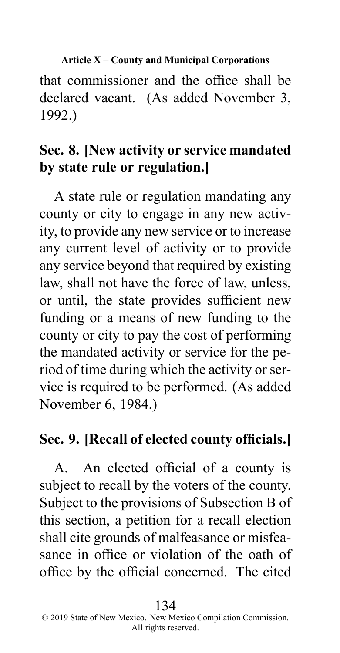that commissioner and the office shall be declared vacant. (As added November 3, 1992.)

### **Sec. 8. [New activity or service mandated by state rule or regulation.]**

A state rule or regulation mandating any county or city to engage in any new activity, to provide any new service or to increase any current level of activity or to provide any service beyond that required by existing law, shall not have the force of law, unless, or until, the state provides sufficient new funding or <sup>a</sup> means of new funding to the county or city to pay the cost of performing the mandated activity or service for the period of time during which the activity or service is required to be performed. (As added November 6, 1984.)

## **Sec. 9. [Recall of elected county officials.]**

A. An elected official of <sup>a</sup> county is subject to recall by the voters of the county. Subject to the provisions of Subsection B of this section, <sup>a</sup> petition for <sup>a</sup> recall election shall cite grounds of malfeasance or misfeasance in office or violation of the oath of office by the official concerned. The cited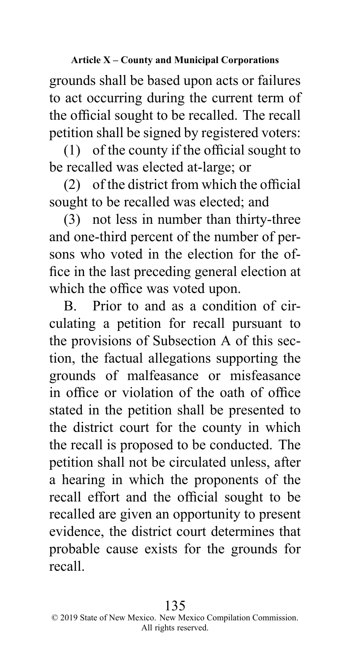grounds shall be based upon acts or failures to act occurring during the current term of the official sought to be recalled. The recall petition shall be signed by registered voters:

(1) of the county if the official sought to be recalled was elected at-large; or

(2) of the district from which the official sought to be recalled was elected; and

(3) not less in number than thirty-three and one-third percen<sup>t</sup> of the number of persons who voted in the election for the office in the last preceding general election at which the office was voted upon.

B. Prior to and as <sup>a</sup> condition of circulating <sup>a</sup> petition for recall pursuan<sup>t</sup> to the provisions of Subsection A of this section, the factual allegations supporting the grounds of malfeasance or misfeasance in office or violation of the oath of office stated in the petition shall be presented to the district court for the county in which the recall is proposed to be conducted. The petition shall not be circulated unless, after <sup>a</sup> hearing in which the proponents of the recall effort and the official sought to be recalled are given an opportunity to presen<sup>t</sup> evidence, the district court determines that probable cause exists for the grounds for recall.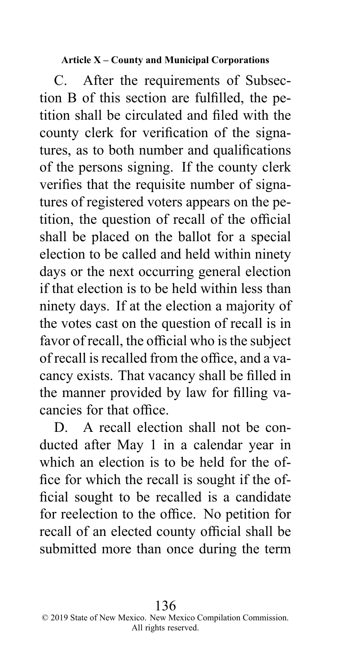C. After the requirements of Subsection B of this section are fulfilled, the petition shall be circulated and filed with the county clerk for verification of the signatures, as to both number and qualifications of the persons signing. If the county clerk verifies that the requisite number of signatures of registered voters appears on the petition, the question of recall of the official shall be placed on the ballot for <sup>a</sup> special election to be called and held within ninety days or the next occurring general election if that election is to be held within less than ninety days. If at the election <sup>a</sup> majority of the votes cast on the question of recall is in favor of recall, the official who is the subject of recall is recalled from the office, and a vacancy exists. That vacancy shall be filled in the manner provided by law for filling vacancies for that office.

D. A recall election shall not be conducted after May 1 in <sup>a</sup> calendar year in which an election is to be held for the office for which the recall is sought if the official sought to be recalled is <sup>a</sup> candidate for reelection to the office. No petition for recall of an elected county official shall be submitted more than once during the term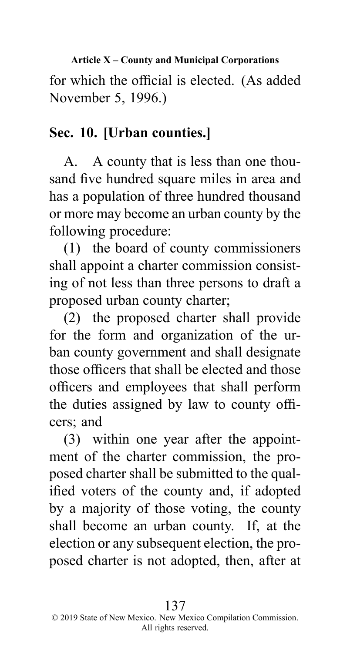for which the official is elected. (As added November 5, 1996.)

## **Sec. 10. [Urban counties.]**

A. A county that is less than one thousand five hundred square miles in area and has <sup>a</sup> population of three hundred thousand or more may become an urban county by the following procedure:

(1) the board of county commissioners shall appoint <sup>a</sup> charter commission consisting of not less than three persons to draft <sup>a</sup> proposed urban county charter;

(2) the proposed charter shall provide for the form and organization of the urban county governmen<sup>t</sup> and shall designate those officers that shall be elected and those officers and employees that shall perform the duties assigned by law to county officers; and

(3) within one year after the appointment of the charter commission, the proposed charter shall be submitted to the qualified voters of the county and, if adopted by <sup>a</sup> majority of those voting, the county shall become an urban county. If, at the election or any subsequent election, the proposed charter is not adopted, then, after at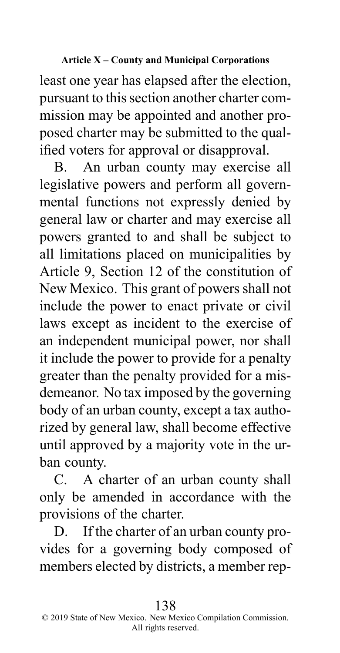least one year has elapsed after the election, pursuant to this section another charter commission may be appointed and another proposed charter may be submitted to the qualified voters for approval or disapproval.

B. An urban county may exercise all legislative powers and perform all governmental functions not expressly denied by general law or charter and may exercise all powers granted to and shall be subject to all limitations placed on municipalities by Article 9, Section 12 of the constitution of New Mexico. This gran<sup>t</sup> of powers shall not include the power to enact private or civil laws excep<sup>t</sup> as incident to the exercise of an independent municipal power, nor shall it include the power to provide for <sup>a</sup> penalty greater than the penalty provided for <sup>a</sup> misdemeanor. No tax imposed by the governing body of an urban county, excep<sup>t</sup> <sup>a</sup> tax authorized by general law, shall become effective until approved by <sup>a</sup> majority vote in the urban county.

C. A charter of an urban county shall only be amended in accordance with the provisions of the charter.

D. If the charter of an urban county provides for <sup>a</sup> governing body composed of members elected by districts, <sup>a</sup> member rep-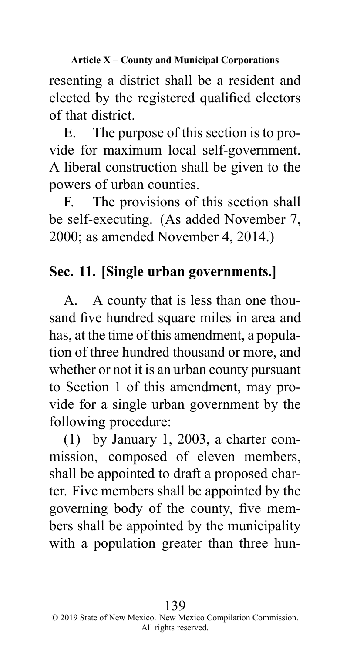resenting <sup>a</sup> district shall be <sup>a</sup> resident and elected by the registered qualified electors of that district.

E. The purpose of this section is to provide for maximum local self-government. A liberal construction shall be given to the powers of urban counties.

F. The provisions of this section shall be self-executing. (As added November 7, 2000; as amended November 4, 2014.)

### **Sec. 11. [Single urban governments.]**

A. A county that is less than one thousand five hundred square miles in area and has, at the time of this amendment, <sup>a</sup> population of three hundred thousand or more, and whether or not it is an urban county pursuan<sup>t</sup> to Section 1 of this amendment, may provide for <sup>a</sup> single urban governmen<sup>t</sup> by the following procedure:

(1) by January 1, 2003, <sup>a</sup> charter commission, composed of eleven members, shall be appointed to draft <sup>a</sup> proposed charter. Five members shall be appointed by the governing body of the county, five members shall be appointed by the municipality with <sup>a</sup> population greater than three hun-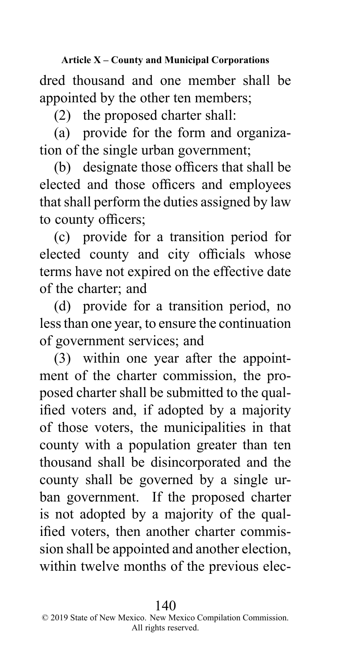dred thousand and one member shall be appointed by the other ten members;

(2) the proposed charter shall:

(a) provide for the form and organization of the single urban government;

(b) designate those officers that shall be elected and those officers and employees that shall perform the duties assigned by law to county officers;

(c) provide for <sup>a</sup> transition period for elected county and city officials whose terms have not expired on the effective date of the charter; and

(d) provide for <sup>a</sup> transition period, no lessthan one year, to ensure the continuation of governmen<sup>t</sup> services; and

(3) within one year after the appointment of the charter commission, the proposed charter shall be submitted to the qualified voters and, if adopted by <sup>a</sup> majority of those voters, the municipalities in that county with <sup>a</sup> population greater than ten thousand shall be disincorporated and the county shall be governed by <sup>a</sup> single urban government. If the proposed charter is not adopted by <sup>a</sup> majority of the qualified voters, then another charter commission shall be appointed and another election, within twelve months of the previous elec-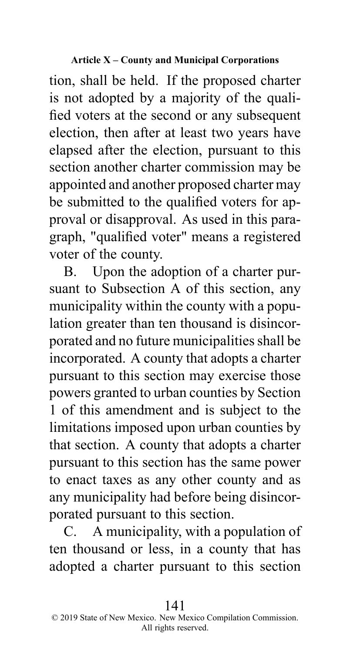**Article X – County and Municipal Corporations**

tion, shall be held. If the proposed charter is not adopted by <sup>a</sup> majority of the qualified voters at the second or any subsequent election, then after at least two years have elapsed after the election, pursuan<sup>t</sup> to this section another charter commission may be appointed and another proposed charter may be submitted to the qualified voters for approval or disapproval. As used in this paragraph, "qualified voter" means <sup>a</sup> registered voter of the county.

B. Upon the adoption of <sup>a</sup> charter pursuant to Subsection A of this section, any municipality within the county with <sup>a</sup> population greater than ten thousand is disincorporated and no future municipalities shall be incorporated. A county that adopts <sup>a</sup> charter pursuan<sup>t</sup> to this section may exercise those powers granted to urban counties by Section 1 of this amendment and is subject to the limitations imposed upon urban counties by that section. A county that adopts <sup>a</sup> charter pursuan<sup>t</sup> to this section has the same power to enact taxes as any other county and as any municipality had before being disincorporated pursuan<sup>t</sup> to this section.

C. A municipality, with <sup>a</sup> population of ten thousand or less, in <sup>a</sup> county that has adopted <sup>a</sup> charter pursuan<sup>t</sup> to this section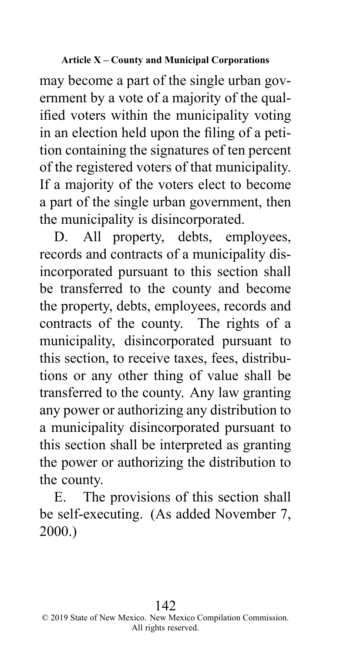**Article X – County and Municipal Corporations**

may become <sup>a</sup> par<sup>t</sup> of the single urban government by <sup>a</sup> vote of <sup>a</sup> majority of the qualified voters within the municipality voting in an election held upon the filing of <sup>a</sup> petition containing the signatures of ten percen<sup>t</sup> of the registered voters of that municipality. If <sup>a</sup> majority of the voters elect to become <sup>a</sup> par<sup>t</sup> of the single urban government, then the municipality is disincorporated.

D. All property, debts, employees, records and contracts of <sup>a</sup> municipality disincorporated pursuan<sup>t</sup> to this section shall be transferred to the county and become the property, debts, employees, records and contracts of the county. The rights of <sup>a</sup> municipality, disincorporated pursuan<sup>t</sup> to this section, to receive taxes, fees, distributions or any other thing of value shall be transferred to the county. Any law granting any power or authorizing any distribution to <sup>a</sup> municipality disincorporated pursuan<sup>t</sup> to this section shall be interpreted as granting the power or authorizing the distribution to the county.

E. The provisions of this section shall be self-executing. (As added November 7, 2000.)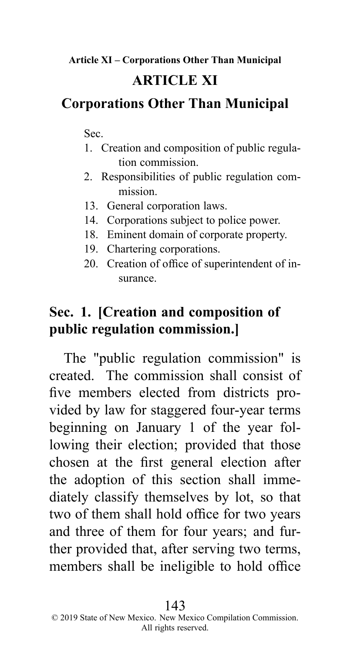**Article XI – Corporations Other Than Municipal**

## **ARTICLE XI**

## **Corporations Other Than Municipal**

#### Sec.

- 1. Creation and composition of public regulation commission.
- 2. Responsibilities of public regulation commission.
- 13. General corporation laws.
- 14. Corporations subject to police power.
- 18. Eminent domain of corporate property.
- 19. Chartering corporations.
- 20. Creation of office of superintendent of insurance.

## **Sec. 1. [Creation and composition of public regulation commission.]**

The "public regulation commission" is created. The commission shall consist of five members elected from districts provided by law for staggered four-year terms beginning on January 1 of the year following their election; provided that those chosen at the first general election after the adoption of this section shall immediately classify themselves by lot, so that two of them shall hold office for two years and three of them for four years; and further provided that, after serving two terms, members shall be ineligible to hold office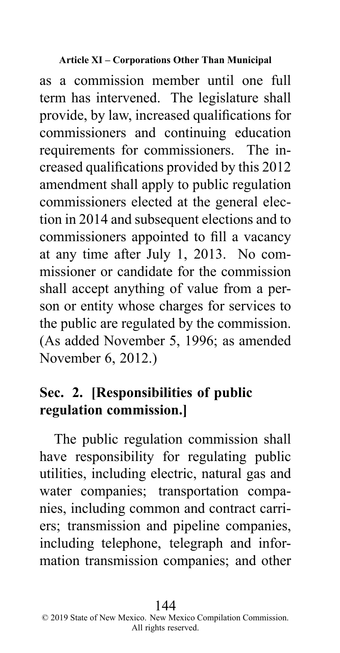#### **Article XI – Corporations Other Than Municipal**

as <sup>a</sup> commission member until one full term has intervened. The legislature shall provide, by law, increased qualifications for commissioners and continuing education requirements for commissioners. The increased qualifications provided by this 2012 amendment shall apply to public regulation commissioners elected at the general election in 2014 and subsequent elections and to commissioners appointed to fill <sup>a</sup> vacancy at any time after July 1, 2013. No commissioner or candidate for the commission shall accep<sup>t</sup> anything of value from <sup>a</sup> person or entity whose charges for services to the public are regulated by the commission. (As added November 5, 1996; as amended November 6, 2012.)

## **Sec. 2. [Responsibilities of public regulation commission.]**

The public regulation commission shall have responsibility for regulating public utilities, including electric, natural gas and water companies; transportation companies, including common and contract carriers; transmission and pipeline companies, including telephone, telegraph and information transmission companies; and other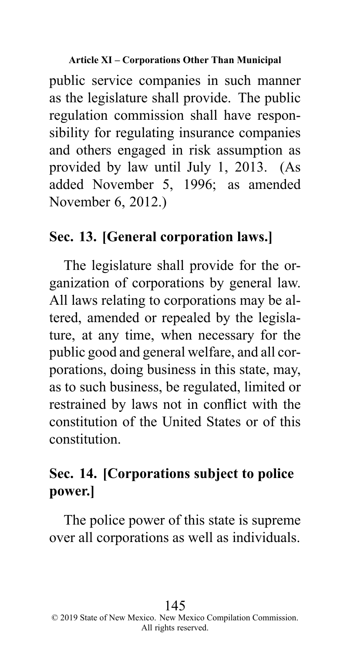public service companies in such manner as the legislature shall provide. The public regulation commission shall have responsibility for regulating insurance companies and others engaged in risk assumption as provided by law until July 1, 2013. (As added November 5, 1996; as amended November 6, 2012.)

## **Sec. 13. [General corporation laws.]**

The legislature shall provide for the organization of corporations by general law. All laws relating to corporations may be altered, amended or repealed by the legislature, at any time, when necessary for the public good and general welfare, and all corporations, doing business in this state, may, as to such business, be regulated, limited or restrained by laws not in conflict with the constitution of the United States or of this constitution.

## **Sec. 14. [Corporations subject to police power.]**

The police power of this state is supreme over all corporations as well as individuals.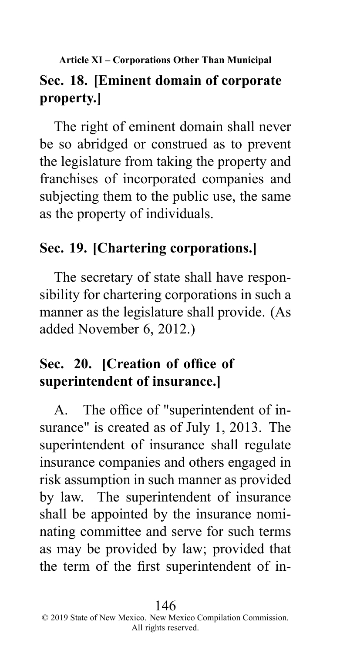**Article XI – Corporations Other Than Municipal**

# **Sec. 18. [Eminent domain of corporate property.]**

The right of eminent domain shall never be so abridged or construed as to preven<sup>t</sup> the legislature from taking the property and franchises of incorporated companies and subjecting them to the public use, the same as the property of individuals.

#### **Sec. 19. [Chartering corporations.]**

The secretary of state shall have responsibility for chartering corporations in such <sup>a</sup> manner as the legislature shall provide. (As added November 6, 2012.)

## **Sec. 20. [Creation of office of superintendent of insurance.]**

A. The office of "superintendent of insurance" is created as of July 1, 2013. The superintendent of insurance shall regulate insurance companies and others engaged in risk assumption in such manner as provided by law. The superintendent of insurance shall be appointed by the insurance nominating committee and serve for such terms as may be provided by law; provided that the term of the first superintendent of in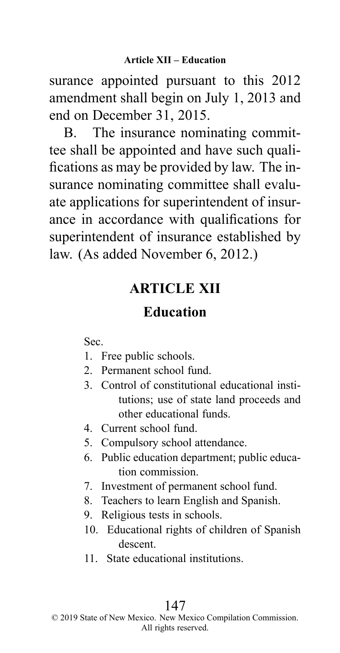surance appointed pursuant to this 2012 amendment shall begin on July 1, 2013 and end on December 31, 2015.

B. The insurance nominating committee shall be appointed and have such qualifications as may be provided by law. The insurance nominating committee shall evaluate applications for superintendent of insurance in accordance with qualifications for superintendent of insurance established by law. (As added November 6, 2012.)

#### **ARTICLE XII**

### **Education**

Sec.

- 1. Free public schools.
- 2. Permanent school fund.
- 3. Control of constitutional educational institutions; use of state land proceeds and other educational funds.
- 4. Current school fund.
- 5. Compulsory school attendance.
- 6. Public education department; public education commission.
- 7. Investment of permanen<sup>t</sup> school fund.
- 8. Teachers to learn English and Spanish.
- 9. Religious tests in schools.
- 10. Educational rights of children of Spanish descent.
- 11. State educational institutions.

#### 147

© 2019 State of New Mexico. New Mexico Compilation Commission. All rights reserved.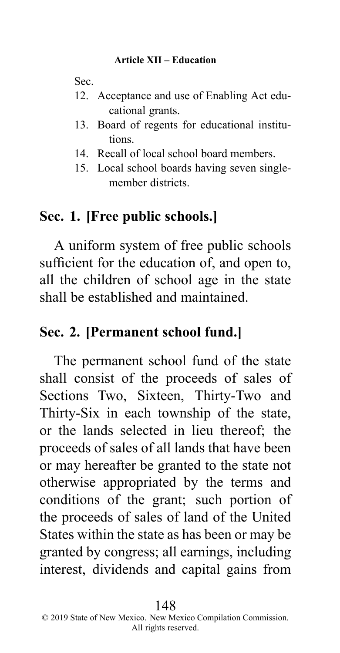#### **Article XII – Education**

Sec.

- 12. Acceptance and use of Enabling Act educational grants.
- 13. Board of regents for educational institutions.
- 14. Recall of local school board members.
- 15. Local school boards having seven singlemember districts.

#### **Sec. 1. [Free public schools.]**

A uniform system of free public schools sufficient for the education of, and open to, all the children of school age in the state shall be established and maintained.

#### **Sec. 2. [Permanent school fund.]**

The permanen<sup>t</sup> school fund of the state shall consist of the proceeds of sales of Sections Two, Sixteen, Thirty-Two and Thirty-Six in each township of the state, or the lands selected in lieu thereof; the proceeds of sales of all lands that have been or may hereafter be granted to the state not otherwise appropriated by the terms and conditions of the grant; such portion of the proceeds of sales of land of the United States within the state as has been or may be granted by congress; all earnings, including interest, dividends and capital gains from

<sup>©</sup> 2019 State of New Mexico. New Mexico Compilation Commission. All rights reserved.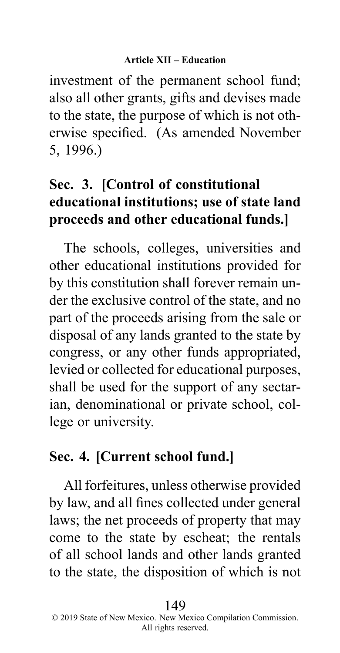investment of the permanen<sup>t</sup> school fund; also all other grants, gifts and devises made to the state, the purpose of which is not otherwise specified. (As amended November 5, 1996.)

## **Sec. 3. [Control of constitutional educational institutions; use of state land proceeds and other educational funds.]**

The schools, colleges, universities and other educational institutions provided for by this constitution shall forever remain under the exclusive control of the state, and no par<sup>t</sup> of the proceeds arising from the sale or disposal of any lands granted to the state by congress, or any other funds appropriated, levied or collected for educational purposes, shall be used for the suppor<sup>t</sup> of any sectarian, denominational or private school, college or university.

#### **Sec. 4. [Current school fund.]**

All forfeitures, unless otherwise provided by law, and all fines collected under general laws; the net proceeds of property that may come to the state by escheat; the rentals of all school lands and other lands granted to the state, the disposition of which is not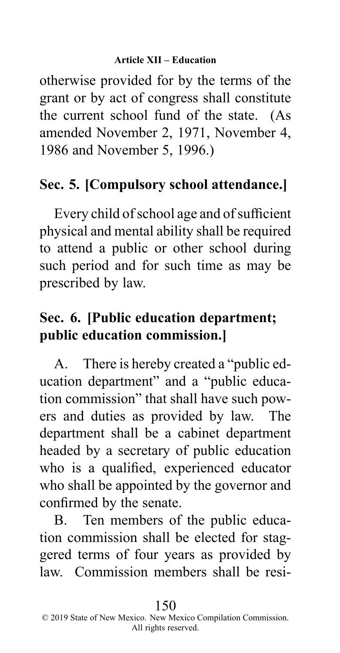otherwise provided for by the terms of the gran<sup>t</sup> or by act of congress shall constitute the current school fund of the state. (As amended November 2, 1971, November 4, 1986 and November 5, 1996.)

## **Sec. 5. [Compulsory school attendance.]**

Every child of school age and of sufficient physical and mental ability shall be required to attend <sup>a</sup> public or other school during such period and for such time as may be prescribed by law.

## **Sec. 6. [Public education department; public education commission.]**

A. There is hereby created <sup>a</sup> "public education department" and <sup>a</sup> "public education commission" that shall have such powers and duties as provided by law. The department shall be <sup>a</sup> cabinet department headed by <sup>a</sup> secretary of public education who is <sup>a</sup> qualified, experienced educator who shall be appointed by the governor and confirmed by the senate.

B. Ten members of the public education commission shall be elected for staggered terms of four years as provided by law. Commission members shall be resi-

<sup>150</sup>

<sup>©</sup> 2019 State of New Mexico. New Mexico Compilation Commission. All rights reserved.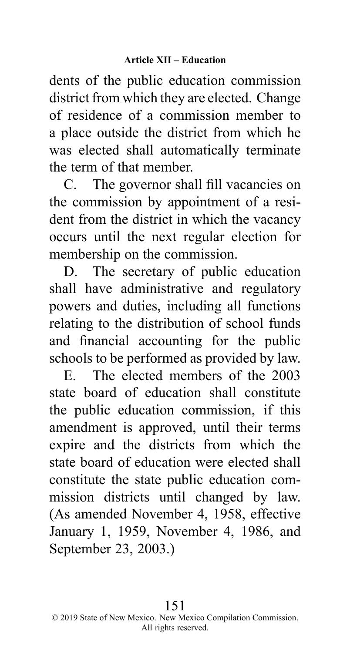dents of the public education commission district from which they are elected. Change of residence of <sup>a</sup> commission member to <sup>a</sup> place outside the district from which he was elected shall automatically terminate the term of that member.

C. The governor shall fill vacancies on the commission by appointment of <sup>a</sup> resident from the district in which the vacancy occurs until the next regular election for membership on the commission.

D. The secretary of public education shall have administrative and regulatory powers and duties, including all functions relating to the distribution of school funds and financial accounting for the public schools to be performed as provided by law.

E. The elected members of the 2003 state board of education shall constitute the public education commission, if this amendment is approved, until their terms expire and the districts from which the state board of education were elected shall constitute the state public education commission districts until changed by law. (As amended November 4, 1958, effective January 1, 1959, November 4, 1986, and September 23, 2003.)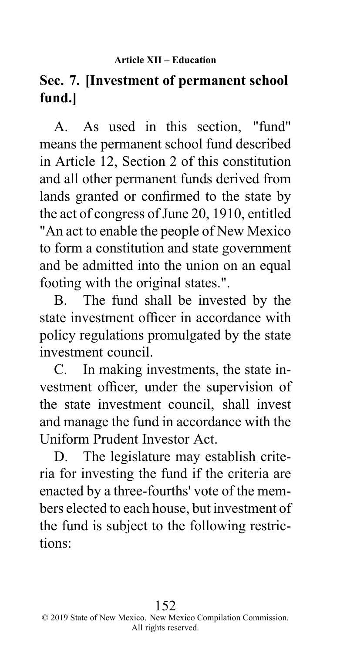## **Sec. 7. [Investment of permanent school fund.]**

A. As used in this section, "fund" means the permanen<sup>t</sup> school fund described in Article 12, Section 2 of this constitution and all other permanen<sup>t</sup> funds derived from lands granted or confirmed to the state by the act of congress of June 20, 1910, entitled "An act to enable the people of New Mexico to form <sup>a</sup> constitution and state governmen<sup>t</sup> and be admitted into the union on an equal footing with the original states.".

B. The fund shall be invested by the state investment officer in accordance with policy regulations promulgated by the state investment council.

C. In making investments, the state investment officer, under the supervision of the state investment council, shall invest and manage the fund in accordance with the Uniform Prudent Investor Act.

D. The legislature may establish criteria for investing the fund if the criteria are enacted by <sup>a</sup> three-fourths' vote of the members elected to each house, but investment of the fund is subject to the following restrictions: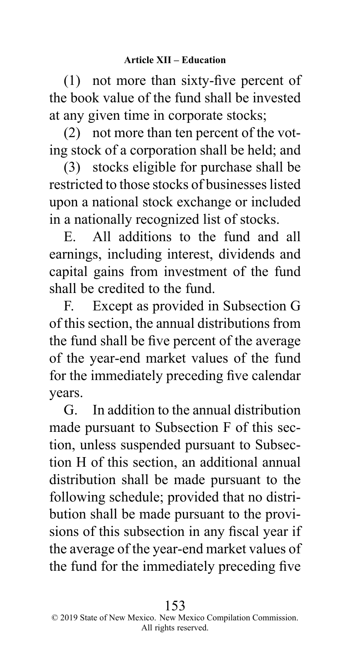(1) not more than sixty-five percen<sup>t</sup> of the book value of the fund shall be invested at any given time in corporate stocks;

(2) not more than ten percen<sup>t</sup> of the voting stock of <sup>a</sup> corporation shall be held; and

(3) stocks eligible for purchase shall be restricted to those stocks of businesseslisted upon <sup>a</sup> national stock exchange or included in <sup>a</sup> nationally recognized list of stocks.

E. All additions to the fund and all earnings, including interest, dividends and capital gains from investment of the fund shall be credited to the fund.

F. Except as provided in Subsection G of this section, the annual distributions from the fund shall be five percen<sup>t</sup> of the average of the year-end market values of the fund for the immediately preceding five calendar years.

G. In addition to the annual distribution made pursuan<sup>t</sup> to Subsection F of this section, unless suspended pursuan<sup>t</sup> to Subsection H of this section, an additional annual distribution shall be made pursuan<sup>t</sup> to the following schedule; provided that no distribution shall be made pursuan<sup>t</sup> to the provisions of this subsection in any fiscal year if the average of the year-end market values of the fund for the immediately preceding five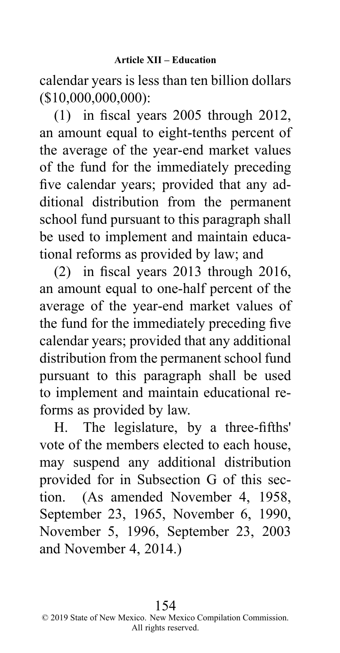calendar years is less than ten billion dollars (\$10,000,000,000):

(1) in fiscal years 2005 through 2012, an amount equal to eight-tenths percen<sup>t</sup> of the average of the year-end market values of the fund for the immediately preceding five calendar years; provided that any additional distribution from the permanen<sup>t</sup> school fund pursuan<sup>t</sup> to this paragraph shall be used to implement and maintain educational reforms as provided by law; and

(2) in fiscal years 2013 through 2016, an amount equal to one-half percen<sup>t</sup> of the average of the year-end market values of the fund for the immediately preceding five calendar years; provided that any additional distribution from the permanent school fund pursuan<sup>t</sup> to this paragraph shall be used to implement and maintain educational reforms as provided by law.

H. The legislature, by <sup>a</sup> three-fifths' vote of the members elected to each house, may suspend any additional distribution provided for in Subsection G of this section. (As amended November 4, 1958, September 23, 1965, November 6, 1990, November 5, 1996, September 23, 2003 and November 4, 2014.)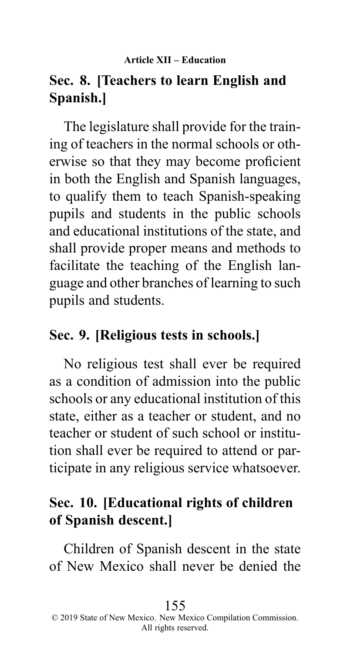## **Sec. 8. [Teachers to learn English and Spanish.]**

The legislature shall provide for the training of teachers in the normal schools or otherwise so that they may become proficient in both the English and Spanish languages, to qualify them to teach Spanish-speaking pupils and students in the public schools and educational institutions of the state, and shall provide proper means and methods to facilitate the teaching of the English language and other branches of learning to such pupils and students.

#### **Sec. 9. [Religious tests in schools.]**

No religious test shall ever be required as <sup>a</sup> condition of admission into the public schools or any educational institution of this state, either as <sup>a</sup> teacher or student, and no teacher or student of such school or institution shall ever be required to attend or participate in any religious service whatsoever.

## **Sec. 10. [Educational rights of children of Spanish descent.]**

Children of Spanish descent in the state of New Mexico shall never be denied the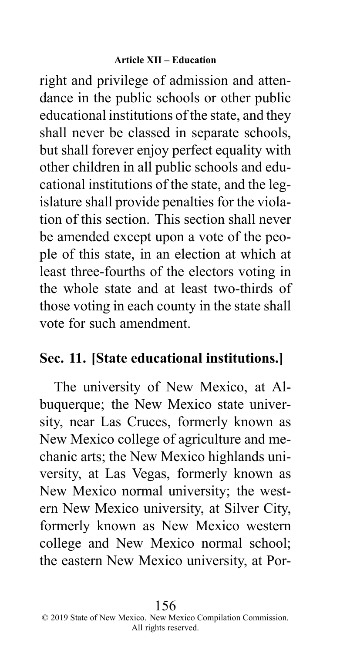right and privilege of admission and attendance in the public schools or other public educational institutions of the state, and they shall never be classed in separate schools, but shall forever enjoy perfect equality with other children in all public schools and educational institutions of the state, and the legislature shall provide penalties for the violation of this section. This section shall never be amended excep<sup>t</sup> upon <sup>a</sup> vote of the people of this state, in an election at which at least three-fourths of the electors voting in the whole state and at least two-thirds of those voting in each county in the state shall vote for such amendment.

#### **Sec. 11. [State educational institutions.]**

The university of New Mexico, at Albuquerque; the New Mexico state university, near Las Cruces, formerly known as New Mexico college of agriculture and mechanic arts; the New Mexico highlands university, at Las Vegas, formerly known as New Mexico normal university; the western New Mexico university, at Silver City, formerly known as New Mexico western college and New Mexico normal school; the eastern New Mexico university, at Por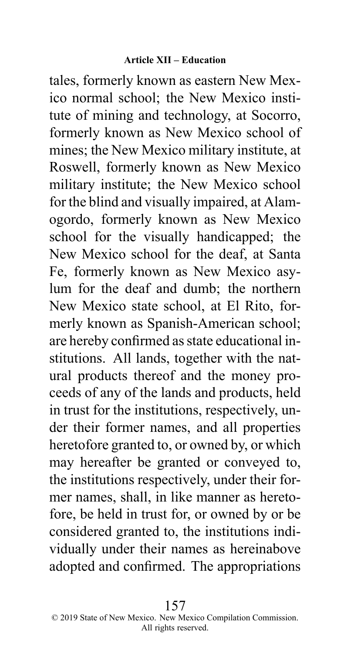tales, formerly known as eastern New Mexico normal school; the New Mexico institute of mining and technology, at Socorro, formerly known as New Mexico school of mines; the New Mexico military institute, at Roswell, formerly known as New Mexico military institute; the New Mexico school for the blind and visually impaired, at Alamogordo, formerly known as New Mexico school for the visually handicapped; the New Mexico school for the deaf, at Santa Fe, formerly known as New Mexico asylum for the deaf and dumb; the northern New Mexico state school, at El Rito, formerly known as Spanish-American school; are hereby confirmed asstate educational institutions. All lands, together with the natural products thereof and the money proceeds of any of the lands and products, held in trust for the institutions, respectively, under their former names, and all properties heretofore granted to, or owned by, or which may hereafter be granted or conveyed to, the institutions respectively, under their former names, shall, in like manner as heretofore, be held in trust for, or owned by or be considered granted to, the institutions individually under their names as hereinabove adopted and confirmed. The appropriations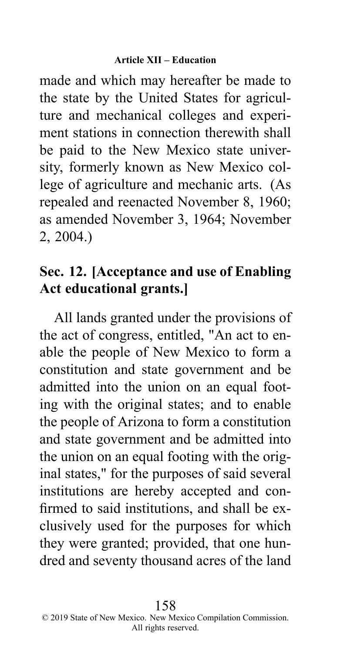made and which may hereafter be made to the state by the United States for agriculture and mechanical colleges and experiment stations in connection therewith shall be paid to the New Mexico state university, formerly known as New Mexico college of agriculture and mechanic arts. (As repealed and reenacted November 8, 1960; as amended November 3, 1964; November 2, 2004.)

## **Sec. 12. [Acceptance and use of Enabling Act educational grants.]**

All lands granted under the provisions of the act of congress, entitled, "An act to enable the people of New Mexico to form <sup>a</sup> constitution and state governmen<sup>t</sup> and be admitted into the union on an equal footing with the original states; and to enable the people of Arizona to form <sup>a</sup> constitution and state governmen<sup>t</sup> and be admitted into the union on an equal footing with the original states," for the purposes of said several institutions are hereby accepted and confirmed to said institutions, and shall be exclusively used for the purposes for which they were granted; provided, that one hundred and seventy thousand acres of the land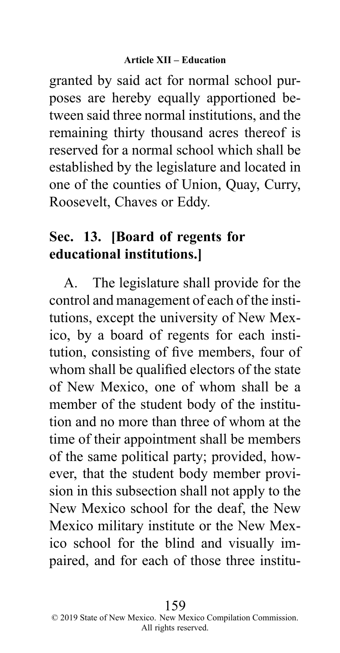granted by said act for normal school purposes are hereby equally apportioned between said three normal institutions, and the remaining thirty thousand acres thereof is reserved for <sup>a</sup> normal school which shall be established by the legislature and located in one of the counties of Union, Quay, Curry, Roosevelt, Chaves or Eddy.

## **Sec. 13. [Board of regents for educational institutions.]**

A. The legislature shall provide for the control and managemen<sup>t</sup> of each of the institutions, excep<sup>t</sup> the university of New Mexico, by <sup>a</sup> board of regents for each institution, consisting of five members, four of whom shall be qualified electors of the state of New Mexico, one of whom shall be <sup>a</sup> member of the student body of the institution and no more than three of whom at the time of their appointment shall be members of the same political party; provided, however, that the student body member provision in this subsection shall not apply to the New Mexico school for the deaf, the New Mexico military institute or the New Mexico school for the blind and visually impaired, and for each of those three institu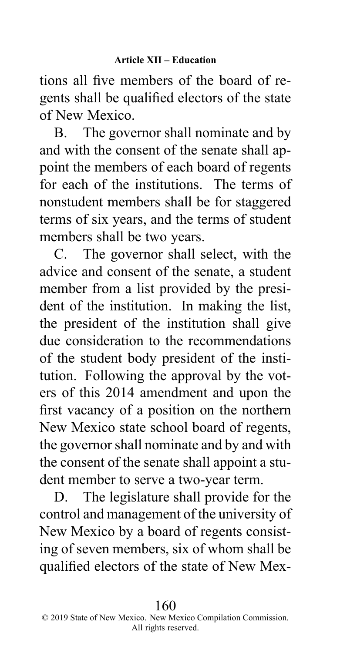tions all five members of the board of regents shall be qualified electors of the state of New Mexico.

B. The governor shall nominate and by and with the consent of the senate shall appoint the members of each board of regents for each of the institutions. The terms of nonstudent members shall be for staggered terms of six years, and the terms of student members shall be two years.

C. The governor shall select, with the advice and consent of the senate, <sup>a</sup> student member from <sup>a</sup> list provided by the president of the institution. In making the list, the president of the institution shall give due consideration to the recommendations of the student body president of the institution. Following the approval by the voters of this 2014 amendment and upon the first vacancy of <sup>a</sup> position on the northern New Mexico state school board of regents, the governor shall nominate and by and with the consent of the senate shall appoint <sup>a</sup> student member to serve <sup>a</sup> two-year term.

D. The legislature shall provide for the control and managemen<sup>t</sup> of the university of New Mexico by <sup>a</sup> board of regents consisting of seven members, six of whom shall be qualified electors of the state of New Mex-

<sup>©</sup> 2019 State of New Mexico. New Mexico Compilation Commission. All rights reserved.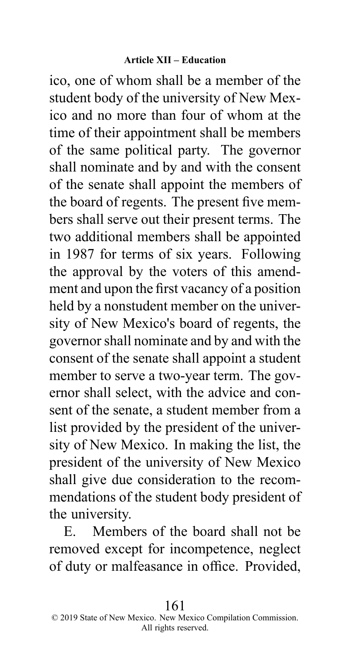ico, one of whom shall be <sup>a</sup> member of the student body of the university of New Mexico and no more than four of whom at the time of their appointment shall be members of the same political party. The governor shall nominate and by and with the consent of the senate shall appoint the members of the board of regents. The presen<sup>t</sup> five members shall serve out their presen<sup>t</sup> terms. The two additional members shall be appointed in 1987 for terms of six years. Following the approval by the voters of this amendment and upon the first vacancy of <sup>a</sup> position held by <sup>a</sup> nonstudent member on the university of New Mexico's board of regents, the governorshall nominate and by and with the consent of the senate shall appoint <sup>a</sup> student member to serve <sup>a</sup> two-year term. The governor shall select, with the advice and consent of the senate, <sup>a</sup> student member from <sup>a</sup> list provided by the president of the university of New Mexico. In making the list, the president of the university of New Mexico shall give due consideration to the recommendations of the student body president of the university.

E. Members of the board shall not be removed excep<sup>t</sup> for incompetence, neglect of duty or malfeasance in office. Provided,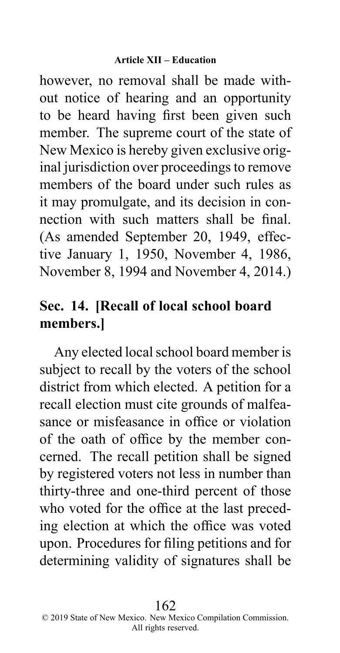however, no removal shall be made without notice of hearing and an opportunity to be heard having first been given such member. The supreme court of the state of New Mexico is hereby given exclusive original jurisdiction over proceedings to remove members of the board under such rules as it may promulgate, and its decision in connection with such matters shall be final. (As amended September 20, 1949, effective January 1, 1950, November 4, 1986, November 8, 1994 and November 4, 2014.)

## **Sec. 14. [Recall of local school board members.]**

Any elected local school board member is subject to recall by the voters of the school district from which elected. A petition for <sup>a</sup> recall election must cite grounds of malfeasance or misfeasance in office or violation of the oath of office by the member concerned. The recall petition shall be signed by registered voters not less in number than thirty-three and one-third percen<sup>t</sup> of those who voted for the office at the last preceding election at which the office was voted upon. Procedures for filing petitions and for determining validity of signatures shall be

<sup>©</sup> 2019 State of New Mexico. New Mexico Compilation Commission. All rights reserved.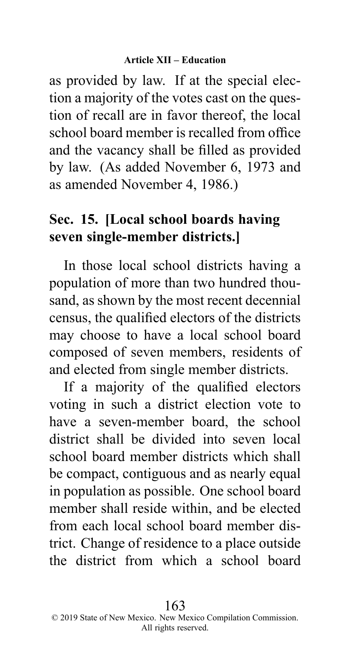as provided by law. If at the special election <sup>a</sup> majority of the votes cast on the question of recall are in favor thereof, the local school board member is recalled from office and the vacancy shall be filled as provided by law. (As added November 6, 1973 and as amended November 4, 1986.)

## **Sec. 15. [Local school boards having seven single-member districts.]**

In those local school districts having <sup>a</sup> population of more than two hundred thousand, as shown by the most recent decennial census, the qualified electors of the districts may choose to have <sup>a</sup> local school board composed of seven members, residents of and elected from single member districts.

If <sup>a</sup> majority of the qualified electors voting in such <sup>a</sup> district election vote to have <sup>a</sup> seven-member board, the school district shall be divided into seven local school board member districts which shall be compact, contiguous and as nearly equal in population as possible. One school board member shall reside within, and be elected from each local school board member district. Change of residence to <sup>a</sup> place outside the district from which <sup>a</sup> school board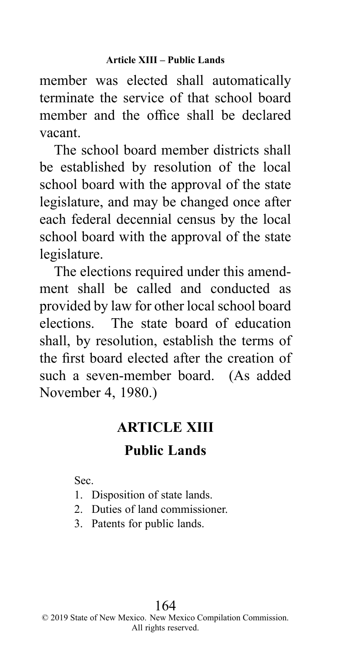member was elected shall automatically terminate the service of that school board member and the office shall be declared vacant.

The school board member districts shall be established by resolution of the local school board with the approval of the state legislature, and may be changed once after each federal decennial census by the local school board with the approval of the state legislature.

The elections required under this amendment shall be called and conducted as provided by law for other local school board elections. The state board of education shall, by resolution, establish the terms of the first board elected after the creation of such <sup>a</sup> seven-member board. (As added November 4, 1980.)

## **ARTICLE XIII**

#### **Public Lands**

Sec.

- 1. Disposition of state lands.
- 2. Duties of land commissioner.
- 3. Patents for public lands.

#### 164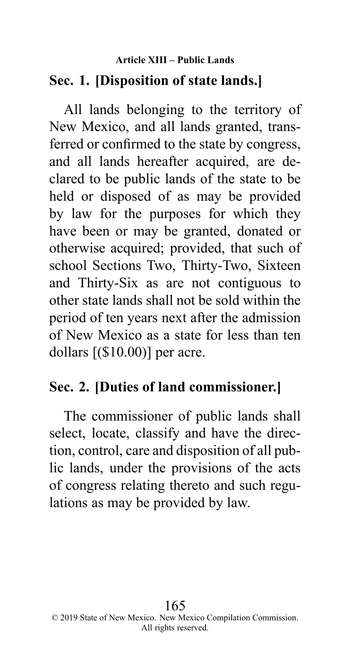## **Article XIII – Public Lands Sec. 1. [Disposition of state lands.]**

All lands belonging to the territory of New Mexico, and all lands granted, transferred or confirmed to the state by congress, and all lands hereafter acquired, are declared to be public lands of the state to be held or disposed of as may be provided by law for the purposes for which they have been or may be granted, donated or otherwise acquired; provided, that such of school Sections Two, Thirty-Two, Sixteen and Thirty-Six as are not contiguous to other state lands shall not be sold within the period of ten years next after the admission of New Mexico as <sup>a</sup> state for less than ten dollars [(\$10.00)] per acre.

#### **Sec. 2. [Duties of land commissioner.]**

The commissioner of public lands shall select, locate, classify and have the direction, control, care and disposition of all public lands, under the provisions of the acts of congress relating thereto and such regulations as may be provided by law.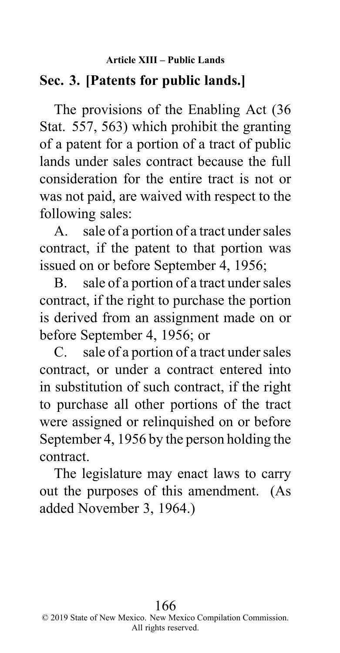### **Sec. 3. [Patents for public lands.]**

The provisions of the Enabling Act (36 Stat. 557, 563) which prohibit the granting of <sup>a</sup> patent for <sup>a</sup> portion of <sup>a</sup> tract of public lands under sales contract because the full consideration for the entire tract is not or was not paid, are waived with respec<sup>t</sup> to the following sales:

A. sale of a portion of a tract under sales contract, if the patent to that portion was issued on or before September 4, 1956;

B. sale of a portion of a tract under sales contract, if the right to purchase the portion is derived from an assignment made on or before September 4, 1956; or

C. sale of a portion of a tract under sales contract, or under <sup>a</sup> contract entered into in substitution of such contract, if the right to purchase all other portions of the tract were assigned or relinquished on or before September 4, 1956 by the person holding the contract.

The legislature may enact laws to carry out the purposes of this amendment. (As added November 3, 1964.)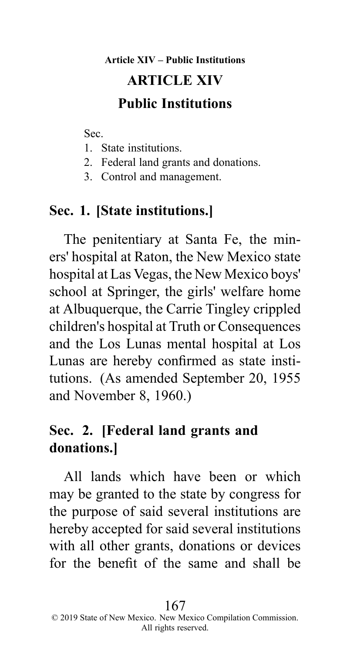# **Article XIV – Public Institutions ARTICLE XIV Public Institutions**

Sec.

- 1. State institutions.
- 2. Federal land grants and donations.
- 3. Control and management.

#### **Sec. 1. [State institutions.]**

The penitentiary at Santa Fe, the miners' hospital at Raton, the New Mexico state hospital at Las Vegas, the New Mexico boys' school at Springer, the girls' welfare home at Albuquerque, the Carrie Tingley crippled children's hospital at Truth or Consequences and the Los Lunas mental hospital at Los Lunas are hereby confirmed as state institutions. (As amended September 20, 1955 and November 8, 1960.)

## **Sec. 2. [Federal land grants and donations.]**

All lands which have been or which may be granted to the state by congress for the purpose of said several institutions are hereby accepted for said several institutions with all other grants, donations or devices for the benefit of the same and shall be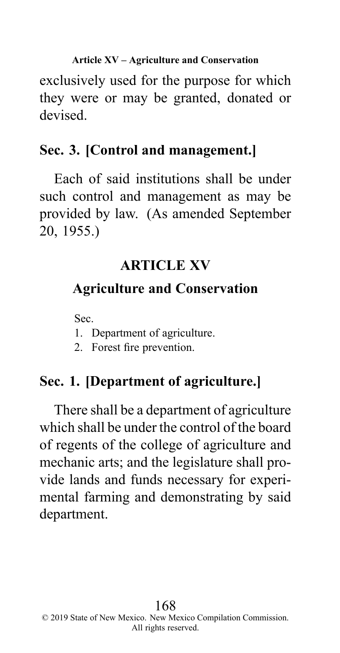**Article XV – Agriculture and Conservation**

exclusively used for the purpose for which they were or may be granted, donated or devised.

#### **Sec. 3. [Control and management.]**

Each of said institutions shall be under such control and managemen<sup>t</sup> as may be provided by law. (As amended September 20, 1955.)

## **ARTICLE XV**

#### **Agriculture and Conservation**

Sec.

- 1. Department of agriculture.
- 2. Forest fire prevention.

#### **Sec. 1. [Department of agriculture.]**

There shall be <sup>a</sup> department of agriculture which shall be under the control of the board of regents of the college of agriculture and mechanic arts; and the legislature shall provide lands and funds necessary for experimental farming and demonstrating by said department.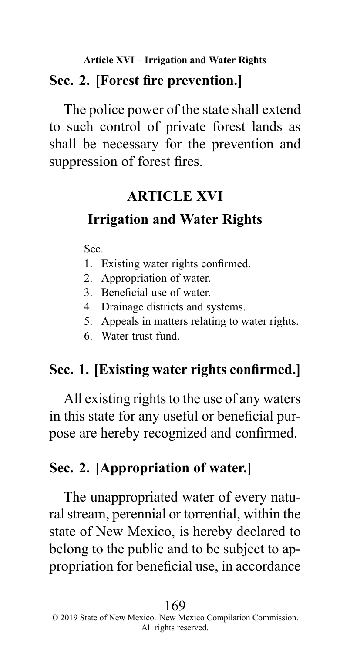#### **Sec. 2. [Forest fire prevention.]**

The police power of the state shall extend to such control of private forest lands as shall be necessary for the prevention and suppression of forest fires.

## **ARTICLE XVI**

## **Irrigation and Water Rights**

Sec.

- 1. Existing water rights confirmed.
- 2. Appropriation of water.
- 3. Beneficial use of water.
- 4. Drainage districts and systems.
- 5. Appeals in matters relating to water rights.
- 6. Water trust fund.

## **Sec. 1. [Existing water rights confirmed.]**

All existing rights to the use of any waters in this state for any useful or beneficial purpose are hereby recognized and confirmed.

## **Sec. 2. [Appropriation of water.]**

The unappropriated water of every natural stream, perennial or torrential, within the state of New Mexico, is hereby declared to belong to the public and to be subject to appropriation for beneficial use, in accordance

<sup>©</sup> 2019 State of New Mexico. New Mexico Compilation Commission. All rights reserved.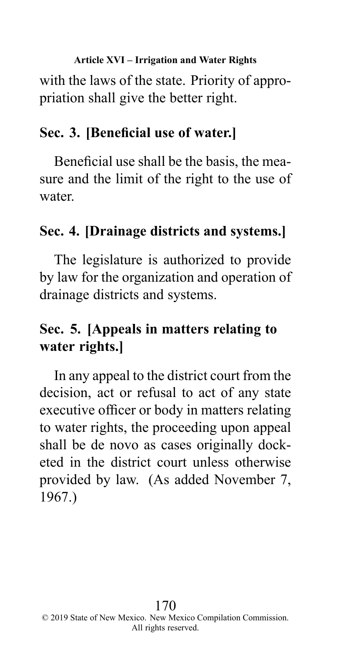**Article XVI – Irrigation and Water Rights** with the laws of the state. Priority of appropriation shall give the better right.

## **Sec. 3. [Beneficial use of water.]**

Beneficial use shall be the basis, the measure and the limit of the right to the use of water.

## **Sec. 4. [Drainage districts and systems.]**

The legislature is authorized to provide by law for the organization and operation of drainage districts and systems.

## **Sec. 5. [Appeals in matters relating to water rights.]**

In any appeal to the district court from the decision, act or refusal to act of any state executive officer or body in matters relating to water rights, the proceeding upon appeal shall be de novo as cases originally docketed in the district court unless otherwise provided by law. (As added November 7, 1967.)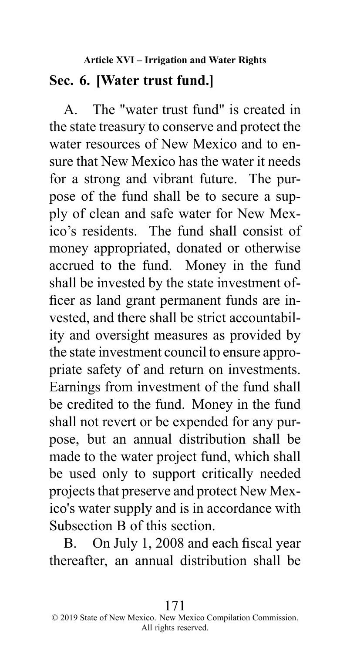#### **Sec. 6. [Water trust fund.]**

A. The "water trust fund" is created in the state treasury to conserve and protect the water resources of New Mexico and to ensure that New Mexico has the water it needs for <sup>a</sup> strong and vibrant future. The purpose of the fund shall be to secure <sup>a</sup> supply of clean and safe water for New Mexico's residents. The fund shall consist of money appropriated, donated or otherwise accrued to the fund. Money in the fund shall be invested by the state investment officer as land gran<sup>t</sup> permanen<sup>t</sup> funds are invested, and there shall be strict accountability and oversight measures as provided by the state investment council to ensure appropriate safety of and return on investments. Earnings from investment of the fund shall be credited to the fund. Money in the fund shall not revert or be expended for any purpose, but an annual distribution shall be made to the water project fund, which shall be used only to suppor<sup>t</sup> critically needed projects that preserve and protect New Mexico's water supply and is in accordance with Subsection B of this section.

B. On July 1, 2008 and each fiscal year thereafter, an annual distribution shall be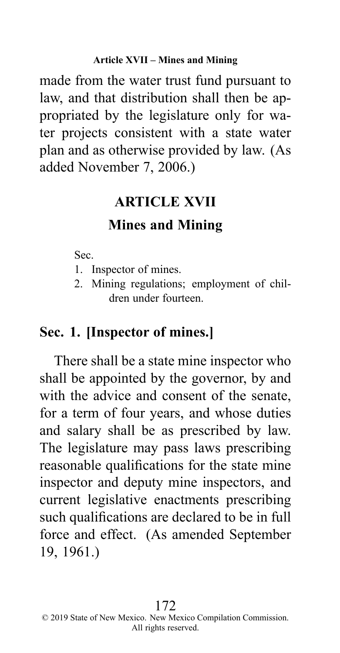made from the water trust fund pursuan<sup>t</sup> to law, and that distribution shall then be appropriated by the legislature only for water projects consistent with <sup>a</sup> state water plan and as otherwise provided by law. (As added November 7, 2006.)

## **ARTICLE XVII**

#### **Mines and Mining**

Sec.

- 1. Inspector of mines.
- 2. Mining regulations; employment of children under fourteen.

## **Sec. 1. [Inspector of mines.]**

There shall be <sup>a</sup> state mine inspector who shall be appointed by the governor, by and with the advice and consent of the senate. for <sup>a</sup> term of four years, and whose duties and salary shall be as prescribed by law. The legislature may pass laws prescribing reasonable qualifications for the state mine inspector and deputy mine inspectors, and current legislative enactments prescribing such qualifications are declared to be in full force and effect. (As amended September 19, 1961.)

172 © 2019 State of New Mexico. New Mexico Compilation Commission. All rights reserved.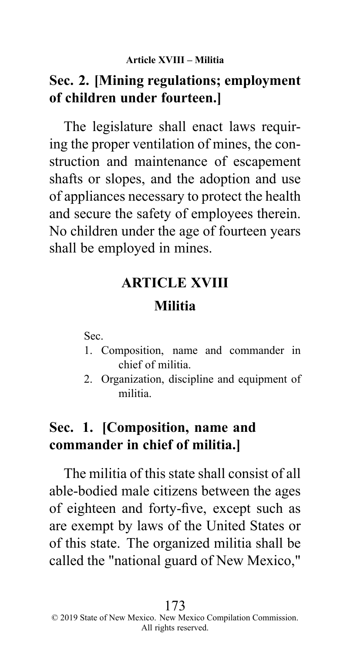### **Sec. 2. [Mining regulations; employment of children under fourteen.]**

The legislature shall enact laws requiring the proper ventilation of mines, the construction and maintenance of escapemen<sup>t</sup> shafts or slopes, and the adoption and use of appliances necessary to protect the health and secure the safety of employees therein. No children under the age of fourteen years shall be employed in mines.

# **ARTICLE XVIII Militia**

Sec.

- 1. Composition, name and commander in chief of militia.
- 2. Organization, discipline and equipment of militia.

## **Sec. 1. [Composition, name and commander in chief of militia.]**

The militia of this state shall consist of all able-bodied male citizens between the ages of eighteen and forty-five, excep<sup>t</sup> such as are exemp<sup>t</sup> by laws of the United States or of this state. The organized militia shall be called the "national guard of New Mexico,"

<sup>©</sup> 2019 State of New Mexico. New Mexico Compilation Commission. All rights reserved.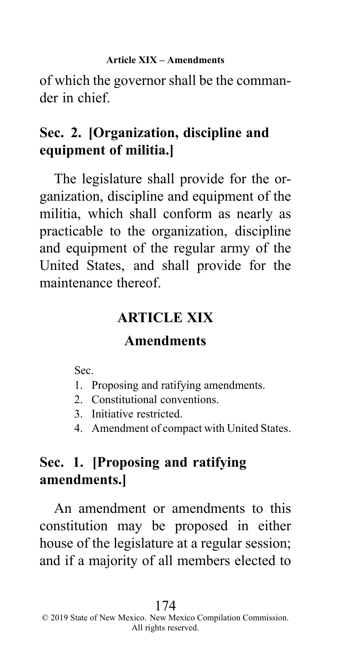#### **Article XIX – Amendments**

of which the governor shall be the commander in chief.

### **Sec. 2. [Organization, discipline and equipment of militia.]**

The legislature shall provide for the organization, discipline and equipment of the militia, which shall conform as nearly as practicable to the organization, discipline and equipment of the regular army of the United States, and shall provide for the maintenance thereof.

## **ARTICLE XIX**

#### **Amendments**

Sec.

- 1. Proposing and ratifying amendments.
- 2. Constitutional conventions.
- 3. Initiative restricted.
- 4. Amendment of compac<sup>t</sup> with United States.

## **Sec. 1. [Proposing and ratifying amendments.]**

An amendment or amendments to this constitution may be proposed in either house of the legislature at <sup>a</sup> regular session; and if <sup>a</sup> majority of all members elected to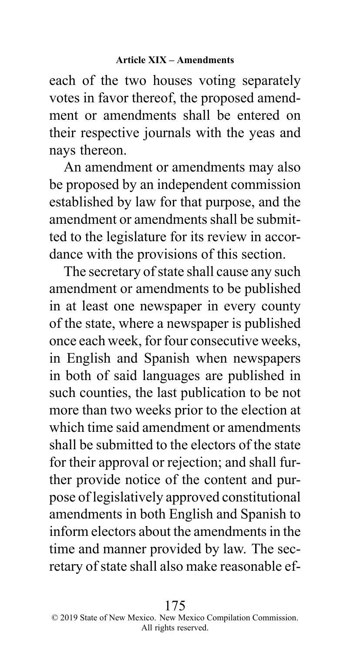each of the two houses voting separately votes in favor thereof, the proposed amendment or amendments shall be entered on their respective journals with the yeas and nays thereon.

An amendment or amendments may also be proposed by an independent commission established by law for that purpose, and the amendment or amendments shall be submitted to the legislature for its review in accordance with the provisions of this section.

The secretary of state shall cause any such amendment or amendments to be published in at least one newspaper in every county of the state, where <sup>a</sup> newspaper is published once each week, for four consecutive weeks, in English and Spanish when newspapers in both of said languages are published in such counties, the last publication to be not more than two weeks prior to the election at which time said amendment or amendments shall be submitted to the electors of the state for their approval or rejection; and shall further provide notice of the content and purpose of legislatively approved constitutional amendments in both English and Spanish to inform electors about the amendments in the time and manner provided by law. The secretary of state shall also make reasonable ef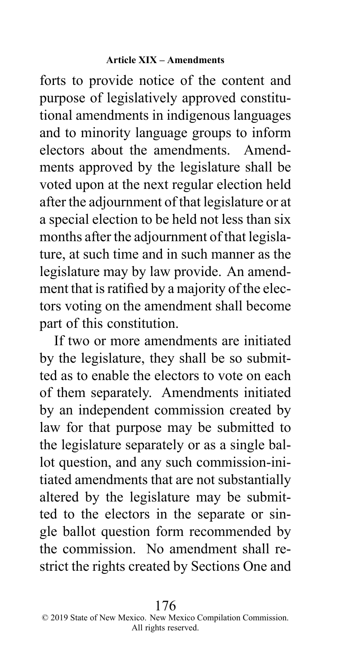forts to provide notice of the content and purpose of legislatively approved constitutional amendments in indigenous languages and to minority language groups to inform electors about the amendments. Amendments approved by the legislature shall be voted upon at the next regular election held after the adjournment of that legislature or at <sup>a</sup> special election to be held not less than six months after the adjournment of that legislature, at such time and in such manner as the legislature may by law provide. An amendment that is ratified by a majority of the electors voting on the amendment shall become par<sup>t</sup> of this constitution.

If two or more amendments are initiated by the legislature, they shall be so submitted as to enable the electors to vote on each of them separately. Amendments initiated by an independent commission created by law for that purpose may be submitted to the legislature separately or as <sup>a</sup> single ballot question, and any such commission-initiated amendments that are not substantially altered by the legislature may be submitted to the electors in the separate or single ballot question form recommended by the commission. No amendment shall restrict the rights created by Sections One and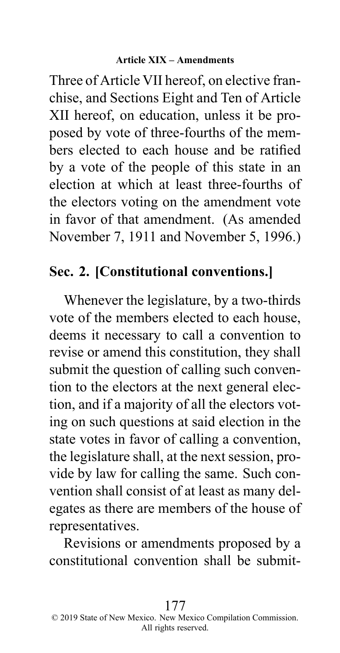Three of Article VII hereof, on elective franchise, and Sections Eight and Ten of Article XII hereof, on education, unless it be proposed by vote of three-fourths of the members elected to each house and be ratified by <sup>a</sup> vote of the people of this state in an election at which at least three-fourths of the electors voting on the amendment vote in favor of that amendment. (As amended November 7, 1911 and November 5, 1996.)

## **Sec. 2. [Constitutional conventions.]**

Whenever the legislature, by <sup>a</sup> two-thirds vote of the members elected to each house, deems it necessary to call <sup>a</sup> convention to revise or amend this constitution, they shall submit the question of calling such convention to the electors at the next general election, and if <sup>a</sup> majority of all the electors voting on such questions at said election in the state votes in favor of calling <sup>a</sup> convention, the legislature shall, at the next session, provide by law for calling the same. Such convention shall consist of at least as many delegates as there are members of the house of representatives.

Revisions or amendments proposed by <sup>a</sup> constitutional convention shall be submit-

<sup>©</sup> 2019 State of New Mexico. New Mexico Compilation Commission. All rights reserved.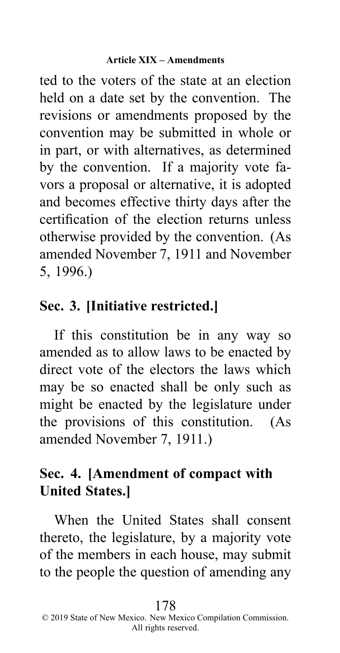ted to the voters of the state at an election held on <sup>a</sup> date set by the convention. The revisions or amendments proposed by the convention may be submitted in whole or in part, or with alternatives, as determined by the convention. If <sup>a</sup> majority vote favors <sup>a</sup> proposal or alternative, it is adopted and becomes effective thirty days after the certification of the election returns unless otherwise provided by the convention. (As amended November 7, 1911 and November 5, 1996.)

### **Sec. 3. [Initiative restricted.]**

If this constitution be in any way so amended as to allow laws to be enacted by direct vote of the electors the laws which may be so enacted shall be only such as might be enacted by the legislature under the provisions of this constitution. (As amended November 7, 1911.)

## **Sec. 4. [Amendment of compact with United States.]**

When the United States shall consent thereto, the legislature, by <sup>a</sup> majority vote of the members in each house, may submit to the people the question of amending any

<sup>178</sup>

<sup>©</sup> 2019 State of New Mexico. New Mexico Compilation Commission. All rights reserved.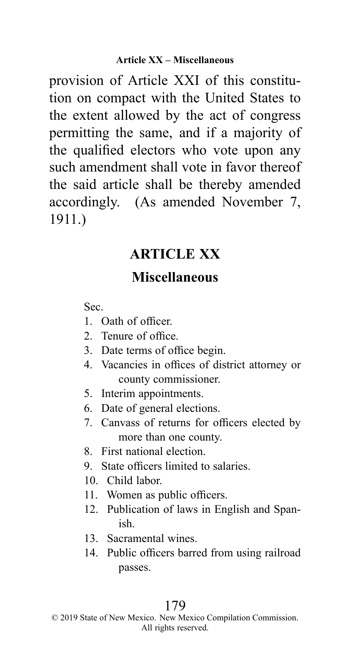provision of Article XXI of this constitution on compac<sup>t</sup> with the United States to the extent allowed by the act of congress permitting the same, and if <sup>a</sup> majority of the qualified electors who vote upon any such amendment shall vote in favor thereof the said article shall be thereby amended accordingly. (As amended November 7, 1911.)

### **ARTICLE XX**

#### **Miscellaneous**

Sec.

- 1. Oath of officer.
- 2. Tenure of office.
- 3. Date terms of office begin.
- 4. Vacancies in offices of district attorney or county commissioner.
- 5. Interim appointments.
- 6. Date of general elections.
- 7. Canvass of returns for officers elected by more than one county.
- 8. First national election.
- 9. State officers limited to salaries.
- 10. Child labor.
- 11. Women as public officers.
- 12. Publication of laws in English and Spanish.
- 13. Sacramental wines.
- 14. Public officers barred from using railroad passes.

179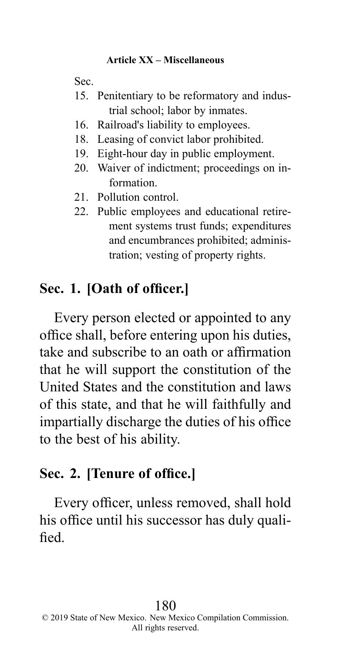#### **Article XX – Miscellaneous**

Sec.

- 15. Penitentiary to be reformatory and industrial school; labor by inmates.
- 16. Railroad's liability to employees.
- 18. Leasing of convict labor prohibited.
- 19. Eight-hour day in public employment.
- 20. Waiver of indictment; proceedings on information.
- 21. Pollution control.
- 22. Public employees and educational retirement systems trust funds; expenditures and encumbrances prohibited; administration; vesting of property rights.

## **Sec. 1. [Oath of officer.]**

Every person elected or appointed to any office shall, before entering upon his duties, take and subscribe to an oath or affirmation that he will suppor<sup>t</sup> the constitution of the United States and the constitution and laws of this state, and that he will faithfully and impartially discharge the duties of his office to the best of his ability.

## **Sec. 2. [Tenure of office.]**

Every officer, unless removed, shall hold his office until his successor has duly qualified.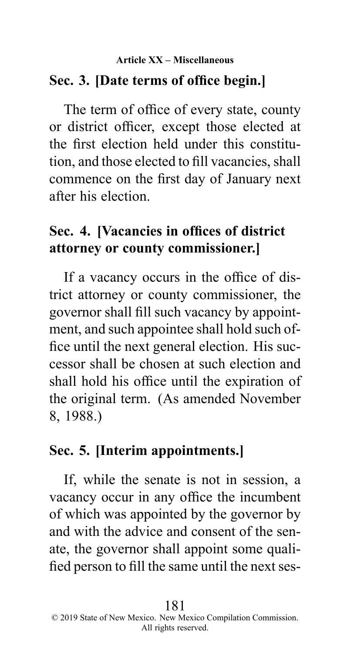### **Sec. 3. [Date terms of office begin.]**

The term of office of every state, county or district officer, excep<sup>t</sup> those elected at the first election held under this constitution, and those elected to fill vacancies, shall commence on the first day of January next after his election.

## **Sec. 4. [Vacancies in offices of district attorney or county commissioner.]**

If <sup>a</sup> vacancy occurs in the office of district attorney or county commissioner, the governor shall fill such vacancy by appointment, and such appointee shall hold such office until the next general election. His successor shall be chosen at such election and shall hold his office until the expiration of the original term. (As amended November 8, 1988.)

## **Sec. 5. [Interim appointments.]**

If, while the senate is not in session, <sup>a</sup> vacancy occur in any office the incumbent of which was appointed by the governor by and with the advice and consent of the senate, the governor shall appoint some qualified person to fill the same until the next ses-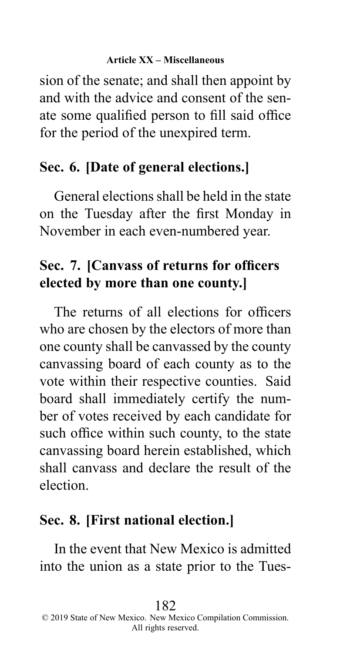#### **Article XX – Miscellaneous**

sion of the senate; and shall then appoint by and with the advice and consent of the senate some qualified person to fill said office for the period of the unexpired term.

### **Sec. 6. [Date of general elections.]**

General elections shall be held in the state on the Tuesday after the first Monday in November in each even-numbered year.

## **Sec. 7. [Canvass of returns for officers elected by more than one county.]**

The returns of all elections for officers who are chosen by the electors of more than one county shall be canvassed by the county canvassing board of each county as to the vote within their respective counties. Said board shall immediately certify the number of votes received by each candidate for such office within such county, to the state canvassing board herein established, which shall canvass and declare the result of the election.

### **Sec. 8. [First national election.]**

In the event that New Mexico is admitted into the union as <sup>a</sup> state prior to the Tues-

182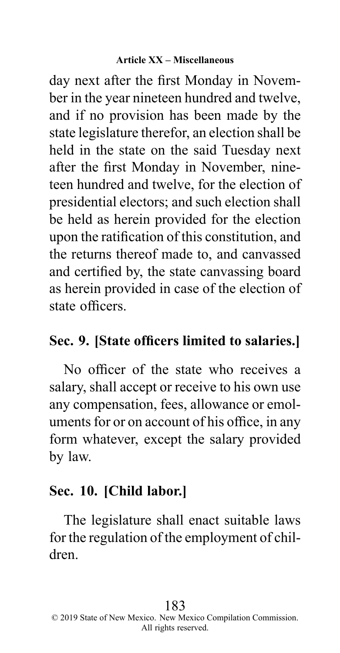day next after the first Monday in November in the year nineteen hundred and twelve, and if no provision has been made by the state legislature therefor, an election shall be held in the state on the said Tuesday next after the first Monday in November, nineteen hundred and twelve, for the election of presidential electors; and such election shall be held as herein provided for the election upon the ratification of this constitution, and the returns thereof made to, and canvassed and certified by, the state canvassing board as herein provided in case of the election of state officers.

## **Sec. 9. [State officers limited to salaries.]**

No officer of the state who receives <sup>a</sup> salary, shall accep<sup>t</sup> or receive to his own use any compensation, fees, allowance or emoluments for or on account of his office, in any form whatever, excep<sup>t</sup> the salary provided by law.

## **Sec. 10. [Child labor.]**

The legislature shall enact suitable laws for the regulation of the employment of children.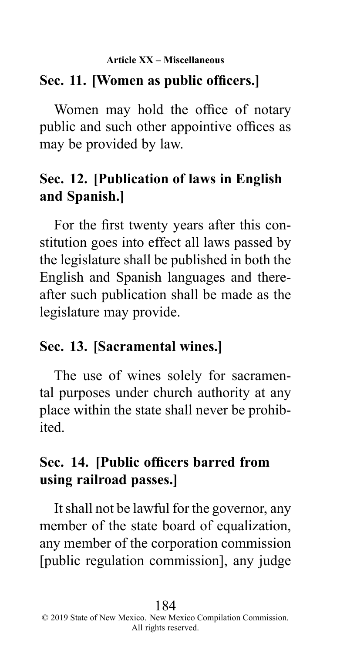#### **Article XX – Miscellaneous**

#### **Sec. 11. [Women as public officers.]**

Women may hold the office of notary public and such other appointive offices as may be provided by law.

## **Sec. 12. [Publication of laws in English and Spanish.]**

For the first twenty years after this constitution goes into effect all laws passed by the legislature shall be published in both the English and Spanish languages and thereafter such publication shall be made as the legislature may provide.

### **Sec. 13. [Sacramental wines.]**

The use of wines solely for sacramental purposes under church authority at any place within the state shall never be prohibited.

## **Sec. 14. [Public officers barred from using railroad passes.]**

It shall not be lawful for the governor, any member of the state board of equalization. any member of the corporation commission [public regulation commission], any judge

<sup>©</sup> 2019 State of New Mexico. New Mexico Compilation Commission. All rights reserved.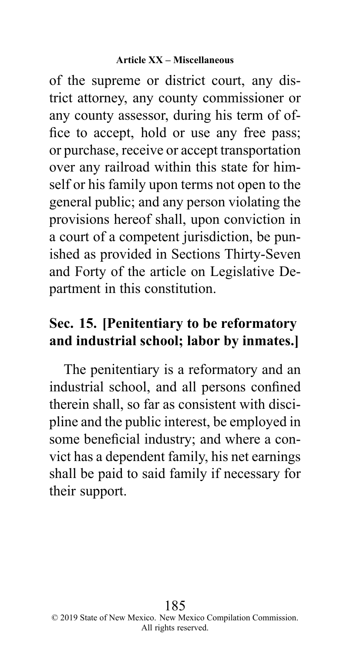of the supreme or district court, any district attorney, any county commissioner or any county assessor, during his term of office to accept, hold or use any free pass; or purchase, receive or accep<sup>t</sup> transportation over any railroad within this state for himself or his family upon terms not open to the general public; and any person violating the provisions hereof shall, upon conviction in <sup>a</sup> court of <sup>a</sup> competent jurisdiction, be punished as provided in Sections Thirty-Seven and Forty of the article on Legislative Department in this constitution.

## **Sec. 15. [Penitentiary to be reformatory and industrial school; labor by inmates.]**

The penitentiary is <sup>a</sup> reformatory and an industrial school, and all persons confined therein shall, so far as consistent with discipline and the public interest, be employed in some beneficial industry; and where <sup>a</sup> convict has <sup>a</sup> dependent family, his net earnings shall be paid to said family if necessary for their support.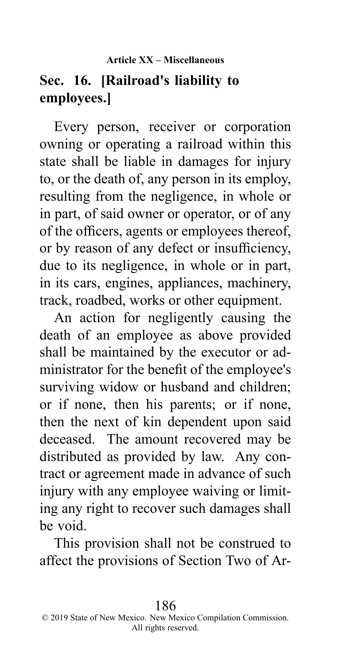## **Sec. 16. [Railroad's liability to employees.]**

Every person, receiver or corporation owning or operating <sup>a</sup> railroad within this state shall be liable in damages for injury to, or the death of, any person in its employ, resulting from the negligence, in whole or in part, of said owner or operator, or of any of the officers, agents or employees thereof, or by reason of any defect or insufficiency, due to its negligence, in whole or in part, in its cars, engines, appliances, machinery, track, roadbed, works or other equipment.

An action for negligently causing the death of an employee as above provided shall be maintained by the executor or administrator for the benefit of the employee's surviving widow or husband and children; or if none, then his parents; or if none, then the next of kin dependent upon said deceased. The amount recovered may be distributed as provided by law. Any contract or agreemen<sup>t</sup> made in advance of such injury with any employee waiving or limiting any right to recover such damages shall be void.

This provision shall not be construed to affect the provisions of Section Two of Ar-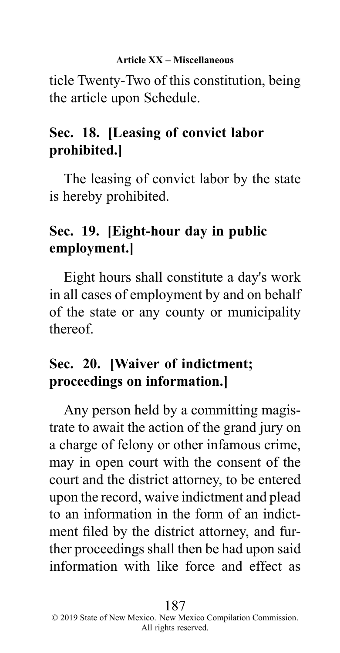#### **Article XX – Miscellaneous**

ticle Twenty-Two of this constitution, being the article upon Schedule.

## **Sec. 18. [Leasing of convict labor prohibited.]**

The leasing of convict labor by the state is hereby prohibited.

## **Sec. 19. [Eight-hour day in public employment.]**

Eight hours shall constitute <sup>a</sup> day's work in all cases of employment by and on behalf of the state or any county or municipality thereof.

## **Sec. 20. [Waiver of indictment; proceedings on information.]**

Any person held by <sup>a</sup> committing magistrate to await the action of the grand jury on <sup>a</sup> charge of felony or other infamous crime, may in open court with the consent of the court and the district attorney, to be entered upon the record, waive indictment and plead to an information in the form of an indictment filed by the district attorney, and further proceedings shall then be had upon said information with like force and effect as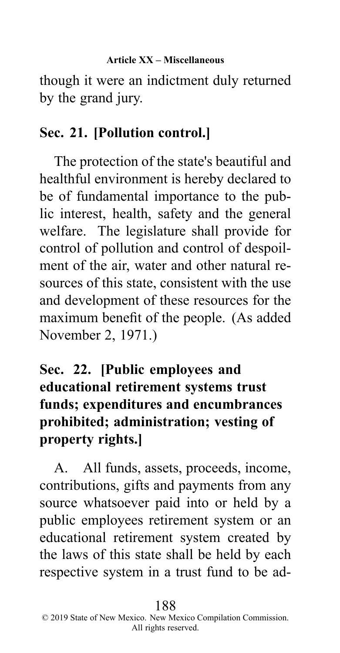#### **Article XX – Miscellaneous**

though it were an indictment duly returned by the grand jury.

### **Sec. 21. [Pollution control.]**

The protection of the state's beautiful and healthful environment is hereby declared to be of fundamental importance to the public interest, health, safety and the general welfare. The legislature shall provide for control of pollution and control of despoilment of the air, water and other natural resources of this state, consistent with the use and development of these resources for the maximum benefit of the people. (As added November 2, 1971.)

## **Sec. 22. [Public employees and educational retirement systems trust funds; expenditures and encumbrances prohibited; administration; vesting of property rights.]**

A. All funds, assets, proceeds, income, contributions, gifts and payments from any source whatsoever paid into or held by <sup>a</sup> public employees retirement system or an educational retirement system created by the laws of this state shall be held by each respective system in <sup>a</sup> trust fund to be ad-

<sup>188</sup>

<sup>©</sup> 2019 State of New Mexico. New Mexico Compilation Commission. All rights reserved.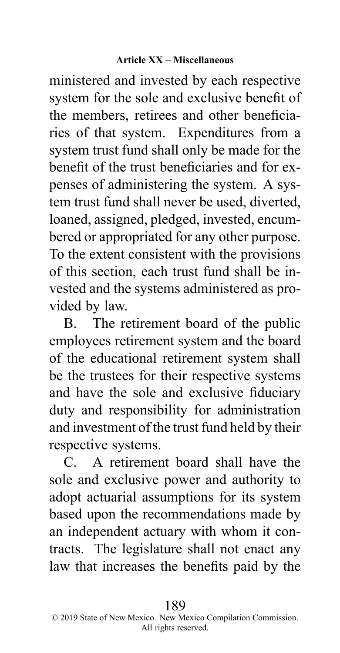ministered and invested by each respective system for the sole and exclusive benefit of the members, retirees and other beneficiaries of that system. Expenditures from <sup>a</sup> system trust fund shall only be made for the benefit of the trust beneficiaries and for expenses of administering the system. A system trust fund shall never be used, diverted, loaned, assigned, pledged, invested, encumbered or appropriated for any other purpose. To the extent consistent with the provisions of this section, each trust fund shall be invested and the systems administered as provided by law.

B. The retirement board of the public employees retirement system and the board of the educational retirement system shall be the trustees for their respective systems and have the sole and exclusive fiduciary duty and responsibility for administration and investment of the trust fund held by their respective systems.

C. A retirement board shall have the sole and exclusive power and authority to adopt actuarial assumptions for its system based upon the recommendations made by an independent actuary with whom it contracts. The legislature shall not enact any law that increases the benefits paid by the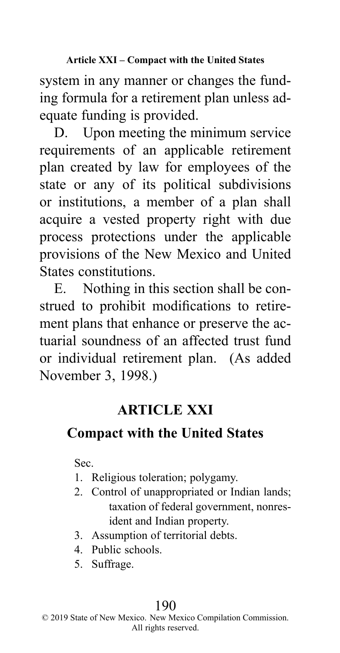system in any manner or changes the funding formula for <sup>a</sup> retirement plan unless adequate funding is provided.

D. Upon meeting the minimum service requirements of an applicable retirement plan created by law for employees of the state or any of its political subdivisions or institutions, <sup>a</sup> member of <sup>a</sup> plan shall acquire <sup>a</sup> vested property right with due process protections under the applicable provisions of the New Mexico and United States constitutions.

E. Nothing in this section shall be construed to prohibit modifications to retirement plans that enhance or preserve the actuarial soundness of an affected trust fund or individual retirement plan. (As added November 3, 1998.)

## **ARTICLE XXI**

## **Compact with the United States**

Sec.

- 1. Religious toleration; polygamy.
- 2. Control of unappropriated or Indian lands; taxation of federal government, nonresident and Indian property.
- 3. Assumption of territorial debts.
- 4. Public schools.
- 5. Suffrage.

#### 190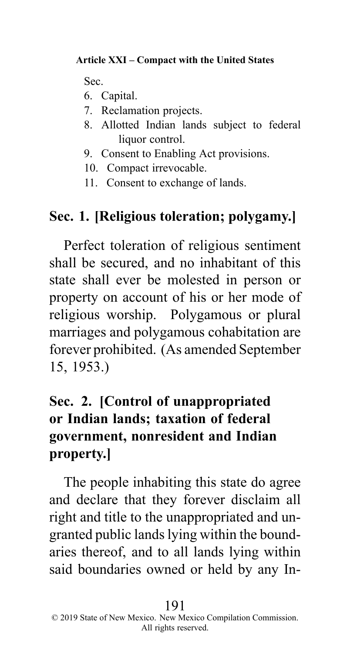Sec.

- 6. Capital.
- 7. Reclamation projects.
- 8. Allotted Indian lands subject to federal liquor control.
- 9. Consent to Enabling Act provisions.
- 10. Compact irrevocable.
- 11. Consent to exchange of lands.

## **Sec. 1. [Religious toleration; polygamy.]**

Perfect toleration of religious sentiment shall be secured, and no inhabitant of this state shall ever be molested in person or property on account of his or her mode of religious worship. Polygamous or plural marriages and polygamous cohabitation are forever prohibited. (As amended September 15, 1953.)

## **Sec. 2. [Control of unappropriated or Indian lands; taxation of federal government, nonresident and Indian property.]**

The people inhabiting this state do agree and declare that they forever disclaim all right and title to the unappropriated and ungranted public lands lying within the boundaries thereof, and to all lands lying within said boundaries owned or held by any In-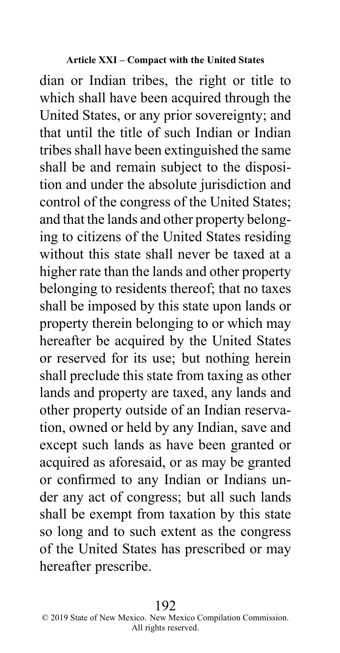dian or Indian tribes, the right or title to which shall have been acquired through the United States, or any prior sovereignty; and that until the title of such Indian or Indian tribes shall have been extinguished the same shall be and remain subject to the disposition and under the absolute jurisdiction and control of the congress of the United States; and that the lands and other property belonging to citizens of the United States residing without this state shall never be taxed at <sup>a</sup> higher rate than the lands and other property belonging to residents thereof; that no taxes shall be imposed by this state upon lands or property therein belonging to or which may hereafter be acquired by the United States or reserved for its use; but nothing herein shall preclude this state from taxing as other lands and property are taxed, any lands and other property outside of an Indian reservation, owned or held by any Indian, save and excep<sup>t</sup> such lands as have been granted or acquired as aforesaid, or as may be granted or confirmed to any Indian or Indians under any act of congress; but all such lands shall be exemp<sup>t</sup> from taxation by this state so long and to such extent as the congress of the United States has prescribed or may hereafter prescribe.

<sup>©</sup> 2019 State of New Mexico. New Mexico Compilation Commission. All rights reserved.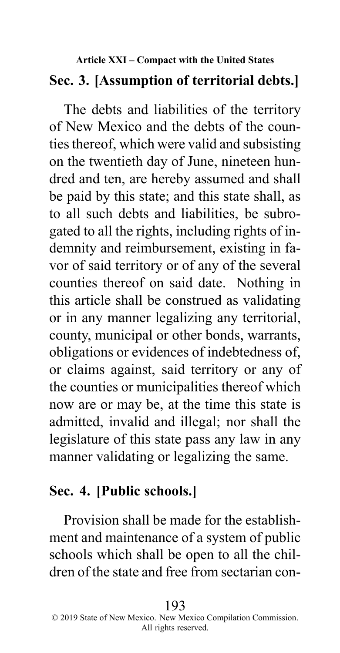The debts and liabilities of the territory of New Mexico and the debts of the counties thereof, which were valid and subsisting on the twentieth day of June, nineteen hundred and ten, are hereby assumed and shall be paid by this state; and this state shall, as to all such debts and liabilities, be subrogated to all the rights, including rights of indemnity and reimbursement, existing in favor of said territory or of any of the several counties thereof on said date. Nothing in this article shall be construed as validating or in any manner legalizing any territorial, county, municipal or other bonds, warrants, obligations or evidences of indebtedness of, or claims against, said territory or any of the counties or municipalities thereof which now are or may be, at the time this state is admitted, invalid and illegal; nor shall the legislature of this state pass any law in any manner validating or legalizing the same.

## **Sec. 4. [Public schools.]**

Provision shall be made for the establishment and maintenance of <sup>a</sup> system of public schools which shall be open to all the children of the state and free from sectarian con-

193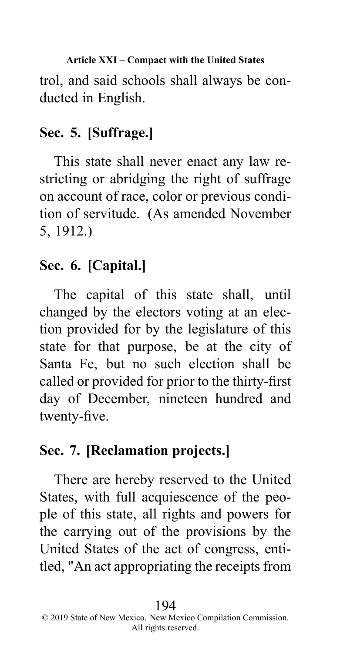trol, and said schools shall always be conducted in English.

## **Sec. 5. [Suffrage.]**

This state shall never enact any law restricting or abridging the right of suffrage on account of race, color or previous condition of servitude. (As amended November 5, 1912.)

## **Sec. 6. [Capital.]**

The capital of this state shall, until changed by the electors voting at an election provided for by the legislature of this state for that purpose, be at the city of Santa Fe, but no such election shall be called or provided for prior to the thirty-first day of December, nineteen hundred and twenty-five.

## **Sec. 7. [Reclamation projects.]**

There are hereby reserved to the United States, with full acquiescence of the people of this state, all rights and powers for the carrying out of the provisions by the United States of the act of congress, entitled, "An act appropriating the receipts from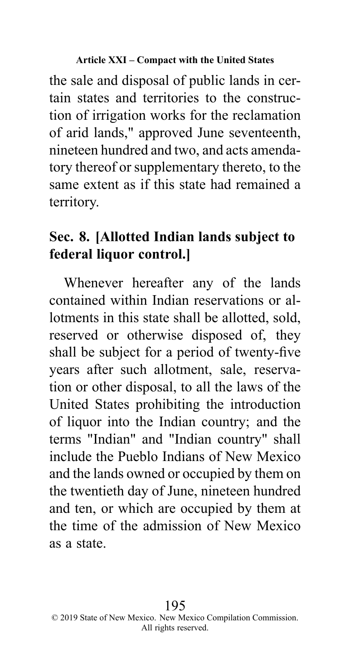the sale and disposal of public lands in certain states and territories to the construction of irrigation works for the reclamation of arid lands," approved June seventeenth, nineteen hundred and two, and acts amendatory thereof or supplementary thereto, to the same extent as if this state had remained <sup>a</sup> territory.

## **Sec. 8. [Allotted Indian lands subject to federal liquor control.]**

Whenever hereafter any of the lands contained within Indian reservations or allotments in this state shall be allotted, sold, reserved or otherwise disposed of, they shall be subject for <sup>a</sup> period of twenty-five years after such allotment, sale, reservation or other disposal, to all the laws of the United States prohibiting the introduction of liquor into the Indian country; and the terms "Indian" and "Indian country" shall include the Pueblo Indians of New Mexico and the lands owned or occupied by them on the twentieth day of June, nineteen hundred and ten, or which are occupied by them at the time of the admission of New Mexico as a state.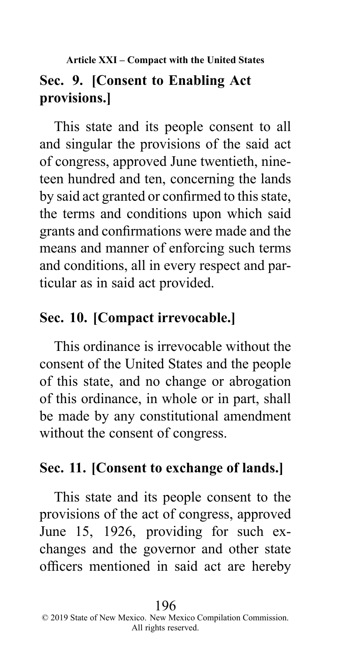## **Sec. 9. [Consent to Enabling Act provisions.]**

This state and its people consent to all and singular the provisions of the said act of congress, approved June twentieth, nineteen hundred and ten, concerning the lands by said act granted or confirmed to this state. the terms and conditions upon which said grants and confirmations were made and the means and manner of enforcing such terms and conditions, all in every respec<sup>t</sup> and particular as in said act provided.

### **Sec. 10. [Compact irrevocable.]**

This ordinance is irrevocable without the consent of the United States and the people of this state, and no change or abrogation of this ordinance, in whole or in part, shall be made by any constitutional amendment without the consent of congress.

### **Sec. 11. [Consent to exchange of lands.]**

This state and its people consent to the provisions of the act of congress, approved June 15, 1926, providing for such exchanges and the governor and other state officers mentioned in said act are hereby

<sup>©</sup> 2019 State of New Mexico. New Mexico Compilation Commission. All rights reserved.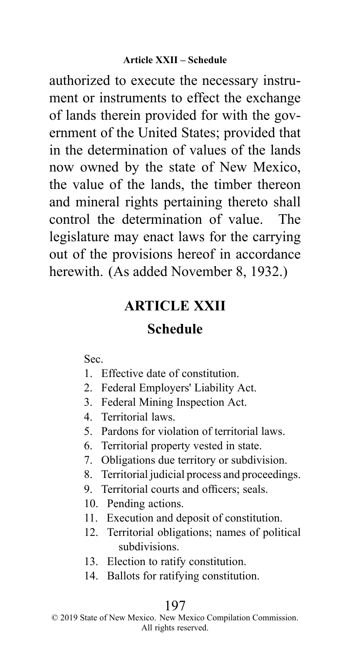authorized to execute the necessary instrument or instruments to effect the exchange of lands therein provided for with the government of the United States; provided that in the determination of values of the lands now owned by the state of New Mexico, the value of the lands, the timber thereon and mineral rights pertaining thereto shall control the determination of value. The legislature may enact laws for the carrying out of the provisions hereof in accordance herewith. (As added November 8, 1932.)

#### **ARTICLE XXII**

#### **Schedule**

#### Sec.

- 1. Effective date of constitution.
- 2. Federal Employers' Liability Act.
- 3. Federal Mining Inspection Act.
- 4. Territorial laws.
- 5. Pardons for violation of territorial laws.
- 6. Territorial property vested in state.
- 7. Obligations due territory or subdivision.
- 8. Territorial judicial process and proceedings.
- 9. Territorial courts and officers; seals.
- 10. Pending actions.
- 11. Execution and deposit of constitution.
- 12. Territorial obligations; names of political subdivisions.
- 13. Election to ratify constitution.
- 14. Ballots for ratifying constitution.

#### 197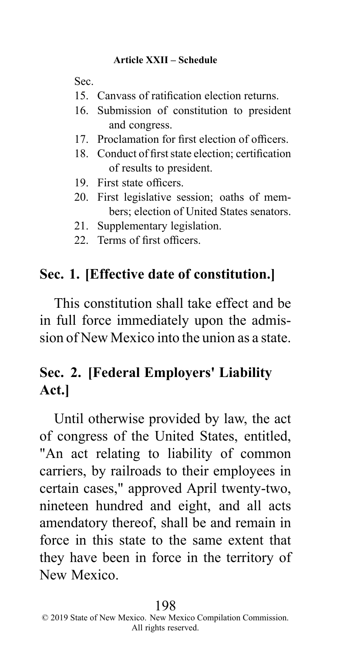#### **Article XXII – Schedule**

Sec.

- 15. Canvass of ratification election returns.
- 16. Submission of constitution to president and congress.
- 17. Proclamation for first election of officers.
- 18. Conduct of first state election: certification of results to president.
- 19. First state officers.
- 20. First legislative session; oaths of members; election of United States senators.
- 21. Supplementary legislation.
- 22. Terms of first officers.

## **Sec. 1. [Effective date of constitution.]**

This constitution shall take effect and be in full force immediately upon the admission of New Mexico into the union as <sup>a</sup> state.

## **Sec. 2. [Federal Employers' Liability Act.]**

Until otherwise provided by law, the act of congress of the United States, entitled, "An act relating to liability of common carriers, by railroads to their employees in certain cases," approved April twenty-two, nineteen hundred and eight, and all acts amendatory thereof, shall be and remain in force in this state to the same extent that they have been in force in the territory of New Mexico.

<sup>©</sup> 2019 State of New Mexico. New Mexico Compilation Commission. All rights reserved.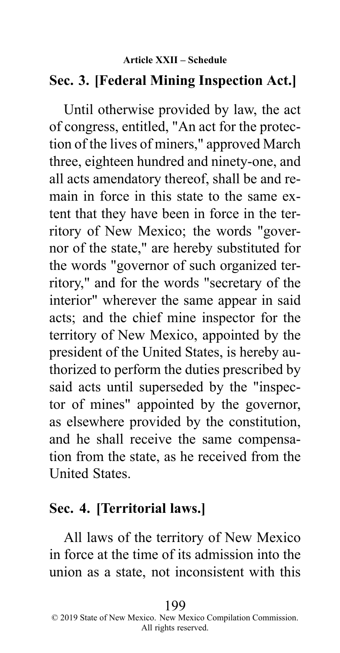#### **Sec. 3. [Federal Mining Inspection Act.]**

Until otherwise provided by law, the act of congress, entitled, "An act for the protection of the lives of miners," approved March three, eighteen hundred and ninety-one, and all acts amendatory thereof, shall be and remain in force in this state to the same extent that they have been in force in the territory of New Mexico; the words "governor of the state," are hereby substituted for the words "governor of such organized territory," and for the words "secretary of the interior" wherever the same appear in said acts; and the chief mine inspector for the territory of New Mexico, appointed by the president of the United States, is hereby authorized to perform the duties prescribed by said acts until superseded by the "inspector of mines" appointed by the governor, as elsewhere provided by the constitution, and he shall receive the same compensation from the state, as he received from the United States.

### **Sec. 4. [Territorial laws.]**

All laws of the territory of New Mexico in force at the time of its admission into the union as <sup>a</sup> state, not inconsistent with this

<sup>©</sup> 2019 State of New Mexico. New Mexico Compilation Commission. All rights reserved.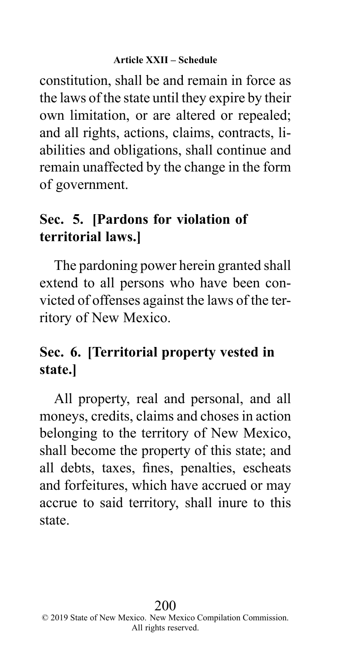constitution, shall be and remain in force as the laws of the state until they expire by their own limitation, or are altered or repealed; and all rights, actions, claims, contracts, liabilities and obligations, shall continue and remain unaffected by the change in the form of government.

## **Sec. 5. [Pardons for violation of territorial laws.]**

The pardoning power herein granted shall extend to all persons who have been convicted of offenses against the laws of the territory of New Mexico.

## **Sec. 6. [Territorial property vested in state.]**

All property, real and personal, and all moneys, credits, claims and choses in action belonging to the territory of New Mexico, shall become the property of this state; and all debts, taxes, fines, penalties, escheats and forfeitures, which have accrued or may accrue to said territory, shall inure to this state.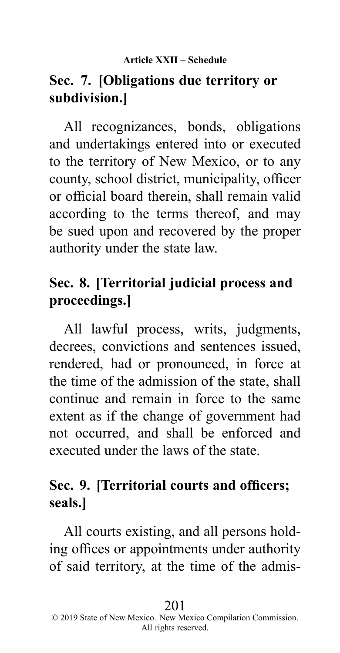## **Sec. 7. [Obligations due territory or subdivision.]**

All recognizances, bonds, obligations and undertakings entered into or executed to the territory of New Mexico, or to any county, school district, municipality, officer or official board therein, shall remain valid according to the terms thereof, and may be sued upon and recovered by the proper authority under the state law.

## **Sec. 8. [Territorial judicial process and proceedings.]**

All lawful process, writs, judgments, decrees, convictions and sentences issued, rendered, had or pronounced, in force at the time of the admission of the state, shall continue and remain in force to the same extent as if the change of governmen<sup>t</sup> had not occurred, and shall be enforced and executed under the laws of the state.

## **Sec. 9. [Territorial courts and officers; seals.]**

All courts existing, and all persons holding offices or appointments under authority of said territory, at the time of the admis-

#### 201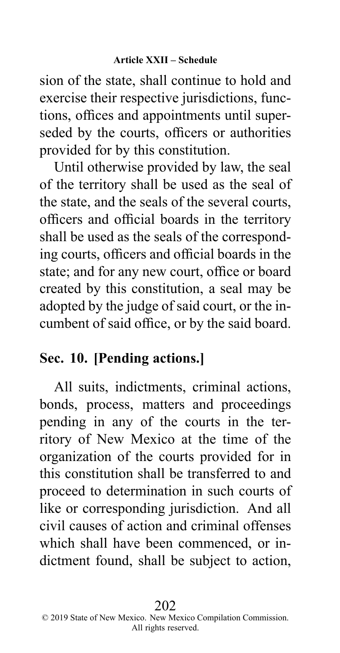sion of the state, shall continue to hold and exercise their respective jurisdictions, functions, offices and appointments until superseded by the courts, officers or authorities provided for by this constitution.

Until otherwise provided by law, the seal of the territory shall be used as the seal of the state, and the seals of the several courts, officers and official boards in the territory shall be used as the seals of the corresponding courts, officers and official boards in the state; and for any new court, office or board created by this constitution, <sup>a</sup> seal may be adopted by the judge of said court, or the incumbent of said office, or by the said board.

### **Sec. 10. [Pending actions.]**

All suits, indictments, criminal actions, bonds, process, matters and proceedings pending in any of the courts in the territory of New Mexico at the time of the organization of the courts provided for in this constitution shall be transferred to and proceed to determination in such courts of like or corresponding jurisdiction. And all civil causes of action and criminal offenses which shall have been commenced, or indictment found, shall be subject to action,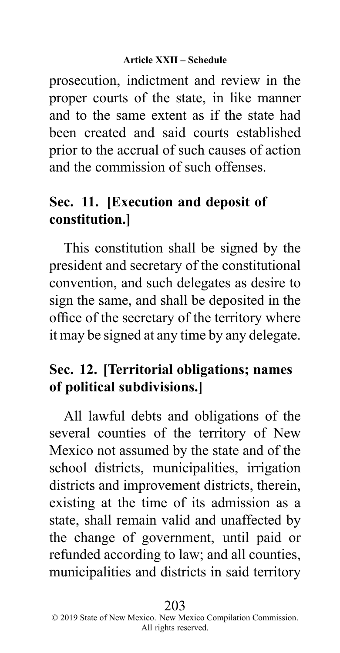prosecution, indictment and review in the proper courts of the state, in like manner and to the same extent as if the state had been created and said courts established prior to the accrual of such causes of action and the commission of such offenses.

## **Sec. 11. [Execution and deposit of constitution.]**

This constitution shall be signed by the president and secretary of the constitutional convention, and such delegates as desire to sign the same, and shall be deposited in the office of the secretary of the territory where it may be signed at any time by any delegate.

## **Sec. 12. [Territorial obligations; names of political subdivisions.]**

All lawful debts and obligations of the several counties of the territory of New Mexico not assumed by the state and of the school districts, municipalities, irrigation districts and improvement districts, therein, existing at the time of its admission as <sup>a</sup> state, shall remain valid and unaffected by the change of government, until paid or refunded according to law; and all counties, municipalities and districts in said territory

<sup>203</sup>

<sup>©</sup> 2019 State of New Mexico. New Mexico Compilation Commission. All rights reserved.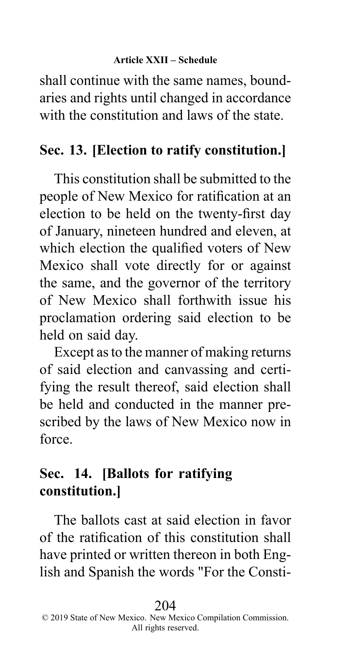#### **Article XXII – Schedule**

shall continue with the same names, boundaries and rights until changed in accordance with the constitution and laws of the state.

### **Sec. 13. [Election to ratify constitution.]**

This constitution shall be submitted to the people of New Mexico for ratification at an election to be held on the twenty-first day of January, nineteen hundred and eleven, at which election the qualified voters of New Mexico shall vote directly for or against the same, and the governor of the territory of New Mexico shall forthwith issue his proclamation ordering said election to be held on said day.

Except as to the manner of making returns of said election and canvassing and certifying the result thereof, said election shall be held and conducted in the manner prescribed by the laws of New Mexico now in force.

## **Sec. 14. [Ballots for ratifying constitution.]**

The ballots cast at said election in favor of the ratification of this constitution shall have printed or written thereon in both English and Spanish the words "For the Consti-

#### 204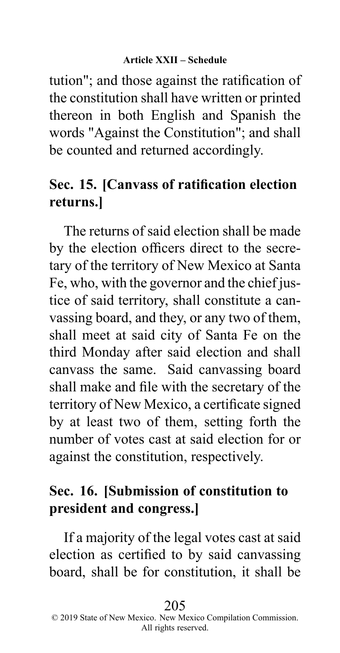tution"; and those against the ratification of the constitution shall have written or printed thereon in both English and Spanish the words "Against the Constitution"; and shall be counted and returned accordingly.

## **Sec. 15. [Canvass of ratification election returns.]**

The returns of said election shall be made by the election officers direct to the secretary of the territory of New Mexico at Santa Fe, who, with the governor and the chief justice of said territory, shall constitute <sup>a</sup> canvassing board, and they, or any two of them, shall meet at said city of Santa Fe on the third Monday after said election and shall canvass the same. Said canvassing board shall make and file with the secretary of the territory of New Mexico, <sup>a</sup> certificate signed by at least two of them, setting forth the number of votes cast at said election for or against the constitution, respectively.

## **Sec. 16. [Submission of constitution to president and congress.]**

If <sup>a</sup> majority of the legal votes cast at said election as certified to by said canvassing board, shall be for constitution, it shall be

205

© 2019 State of New Mexico. New Mexico Compilation Commission. All rights reserved.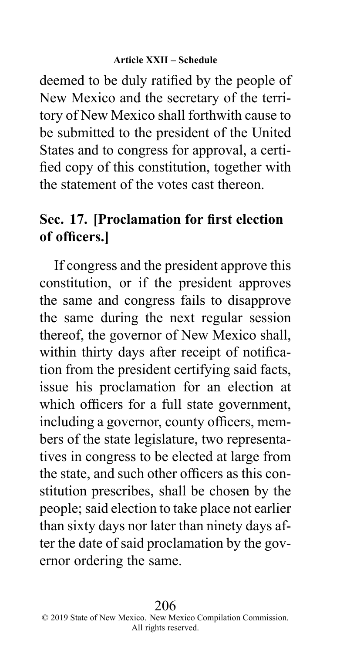deemed to be duly ratified by the people of New Mexico and the secretary of the territory of New Mexico shall forthwith cause to be submitted to the president of the United States and to congress for approval, <sup>a</sup> certified copy of this constitution, together with the statement of the votes cast thereon.

## **Sec. 17. [Proclamation for first election of officers.]**

If congress and the president approve this constitution, or if the president approves the same and congress fails to disapprove the same during the next regular session thereof, the governor of New Mexico shall, within thirty days after receipt of notification from the president certifying said facts, issue his proclamation for an election at which officers for <sup>a</sup> full state government, including <sup>a</sup> governor, county officers, members of the state legislature, two representatives in congress to be elected at large from the state, and such other officers as this constitution prescribes, shall be chosen by the people; said election to take place not earlier than sixty days nor later than ninety days after the date of said proclamation by the governor ordering the same.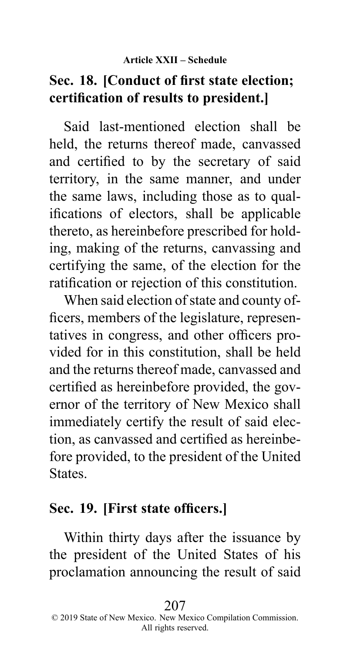## **Sec. 18. [Conduct of first state election; certification of results to president.]**

Said last-mentioned election shall be held, the returns thereof made, canvassed and certified to by the secretary of said territory, in the same manner, and under the same laws, including those as to qualifications of electors, shall be applicable thereto, as hereinbefore prescribed for holding, making of the returns, canvassing and certifying the same, of the election for the ratification or rejection of this constitution.

When said election of state and county officers, members of the legislature, representatives in congress, and other officers provided for in this constitution, shall be held and the returns thereof made, canvassed and certified as hereinbefore provided, the governor of the territory of New Mexico shall immediately certify the result of said election, as canvassed and certified as hereinbefore provided, to the president of the United **States**.

### **Sec. 19. [First state officers.]**

Within thirty days after the issuance by the president of the United States of his proclamation announcing the result of said

<sup>©</sup> 2019 State of New Mexico. New Mexico Compilation Commission. All rights reserved.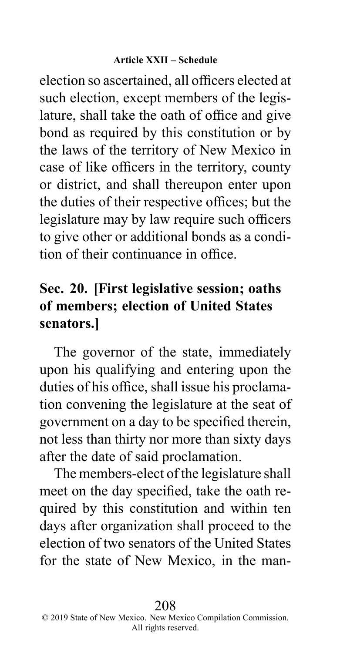election so ascertained, all officers elected at such election, except members of the legislature, shall take the oath of office and give bond as required by this constitution or by the laws of the territory of New Mexico in case of like officers in the territory, county or district, and shall thereupon enter upon the duties of their respective offices; but the legislature may by law require such officers to give other or additional bonds as <sup>a</sup> condition of their continuance in office.

## **Sec. 20. [First legislative session; oaths of members; election of United States senators.]**

The governor of the state, immediately upon his qualifying and entering upon the duties of his office, shall issue his proclamation convening the legislature at the seat of governmen<sup>t</sup> on <sup>a</sup> day to be specified therein, not less than thirty nor more than sixty days after the date of said proclamation.

The members-elect of the legislature shall meet on the day specified, take the oath required by this constitution and within ten days after organization shall proceed to the election of two senators of the United States for the state of New Mexico, in the man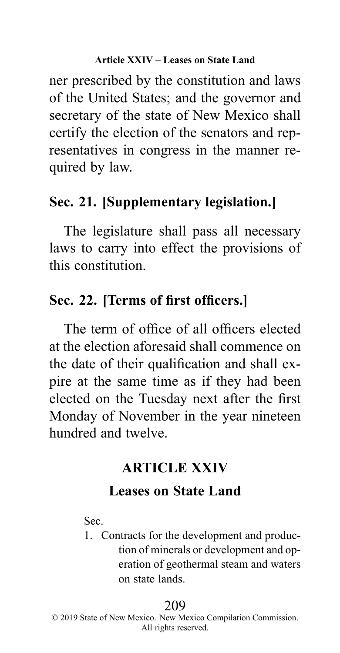ner prescribed by the constitution and laws of the United States; and the governor and secretary of the state of New Mexico shall certify the election of the senators and representatives in congress in the manner required by law.

## **Sec. 21. [Supplementary legislation.]**

The legislature shall pass all necessary laws to carry into effect the provisions of this constitution.

### **Sec. 22. [Terms of first officers.]**

The term of office of all officers elected at the election aforesaid shall commence on the date of their qualification and shall expire at the same time as if they had been elected on the Tuesday next after the first Monday of November in the year nineteen hundred and twelve.

# **ARTICLE XXIV**

#### **Leases on State Land**

Sec.

1. Contracts for the development and production of minerals or development and operation of geothermal steam and waters on state lands.

#### 209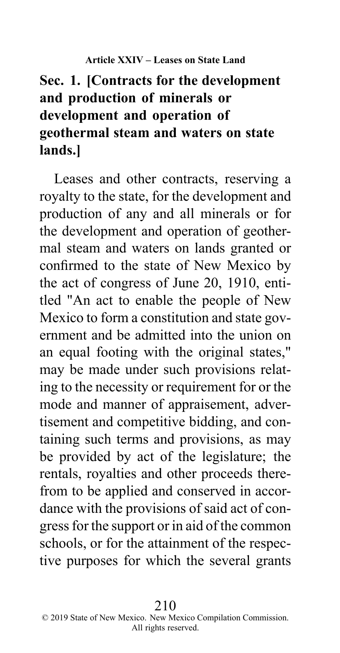## **Sec. 1. [Contracts for the development and production of minerals or development and operation of geothermal steam and waters on state lands.]**

Leases and other contracts, reserving <sup>a</sup> royalty to the state, for the development and production of any and all minerals or for the development and operation of geothermal steam and waters on lands granted or confirmed to the state of New Mexico by the act of congress of June 20, 1910, entitled "An act to enable the people of New Mexico to form <sup>a</sup> constitution and state government and be admitted into the union on an equal footing with the original states," may be made under such provisions relating to the necessity or requirement for or the mode and manner of appraisement, advertisement and competitive bidding, and containing such terms and provisions, as may be provided by act of the legislature; the rentals, royalties and other proceeds therefrom to be applied and conserved in accordance with the provisions of said act of congressfor the suppor<sup>t</sup> or in aid of the common schools, or for the attainment of the respective purposes for which the several grants

<sup>©</sup> 2019 State of New Mexico. New Mexico Compilation Commission. All rights reserved.